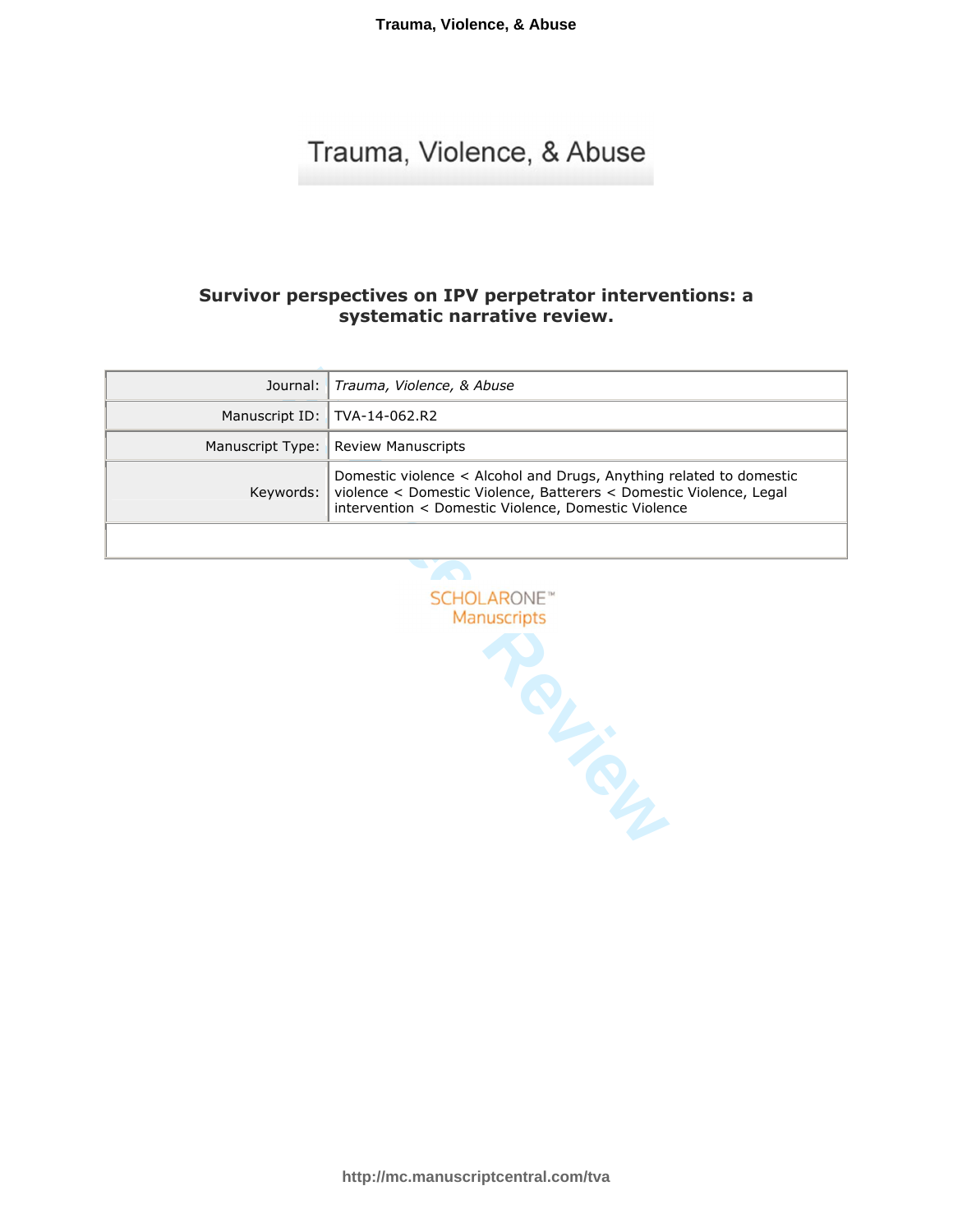# Trauma, Violence, & Abuse

# **Survivor perspectives on IPV perpetrator interventions: a systematic narrative review.**

| Journal:   Trauma, Violence, & Abuse                                                                                                                                                                         |
|--------------------------------------------------------------------------------------------------------------------------------------------------------------------------------------------------------------|
| Manuscript ID:   TVA-14-062.R2                                                                                                                                                                               |
| Manuscript Type:   Review Manuscripts                                                                                                                                                                        |
| Domestic violence < Alcohol and Drugs, Anything related to domestic<br>Keywords:   violence < Domestic Violence, Batterers < Domestic Violence, Legal<br>intervention < Domestic Violence, Domestic Violence |
|                                                                                                                                                                                                              |

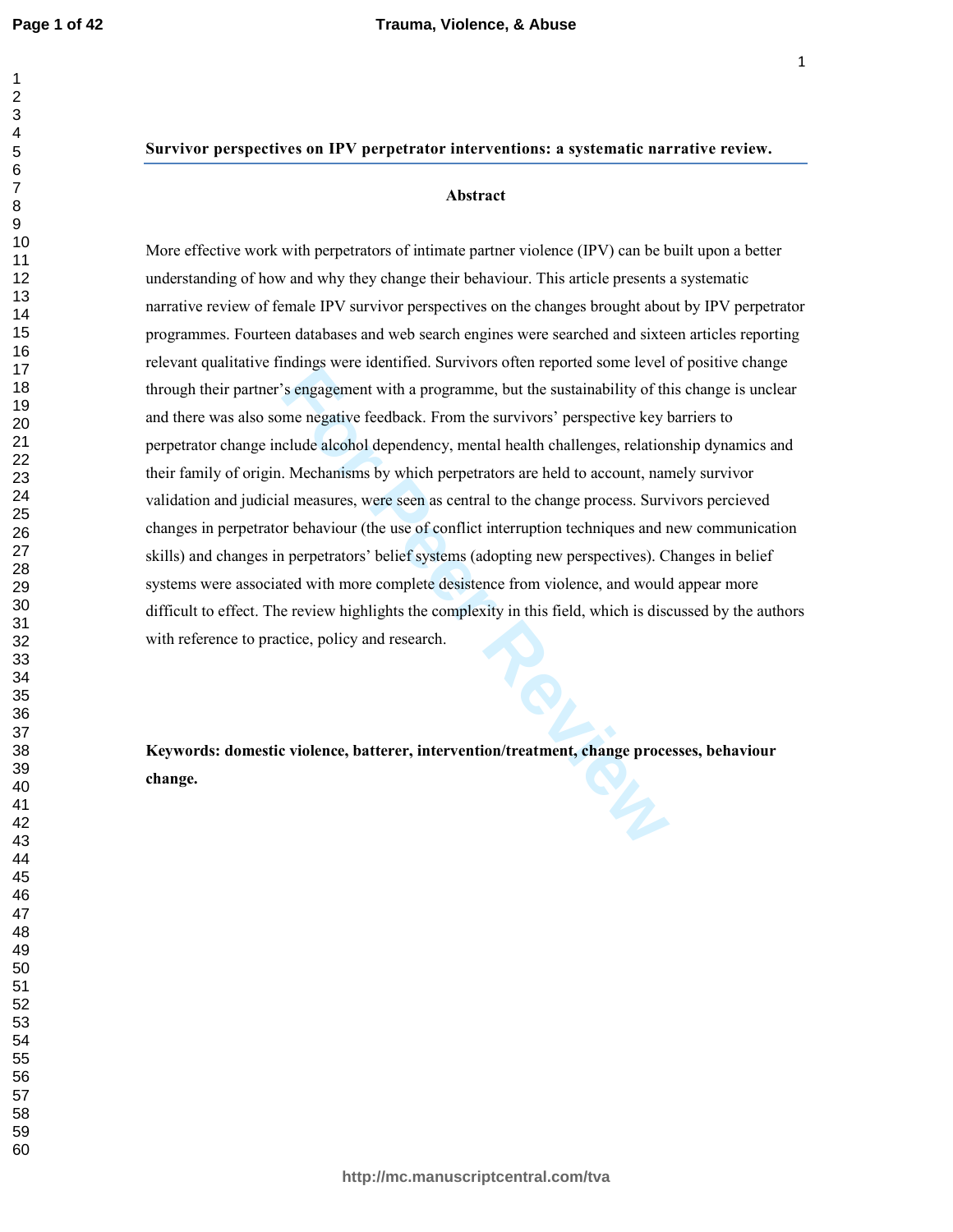## **Survivor perspectives on IPV perpetrator interventions: a systematic narrative review.**

## **Abstract**

For Perfect of Perfect of Perfect of Perfect and Terms<br>
In the engagement with a programme, but the sustainability of the<br>
In me negative feedback. From the survivors' perspective key I<br>
clude alcohol dependency, mental he More effective work with perpetrators of intimate partner violence (IPV) can be built upon a better understanding of how and why they change their behaviour. This article presents a systematic narrative review of female IPV survivor perspectives on the changes brought about by IPV perpetrator programmes. Fourteen databases and web search engines were searched and sixteen articles reporting relevant qualitative findings were identified. Survivors often reported some level of positive change through their partner's engagement with a programme, but the sustainability of this change is unclear and there was also some negative feedback. From the survivors' perspective key barriers to perpetrator change include alcohol dependency, mental health challenges, relationship dynamics and their family of origin. Mechanisms by which perpetrators are held to account, namely survivor validation and judicial measures, were seen as central to the change process. Survivors percieved changes in perpetrator behaviour (the use of conflict interruption techniques and new communication skills) and changes in perpetrators' belief systems (adopting new perspectives). Changes in belief systems were associated with more complete desistence from violence, and would appear more difficult to effect. The review highlights the complexity in this field, which is discussed by the authors with reference to practice, policy and research.

**Keywords: domestic violence, batterer, intervention/treatment, change processes, behaviour change.**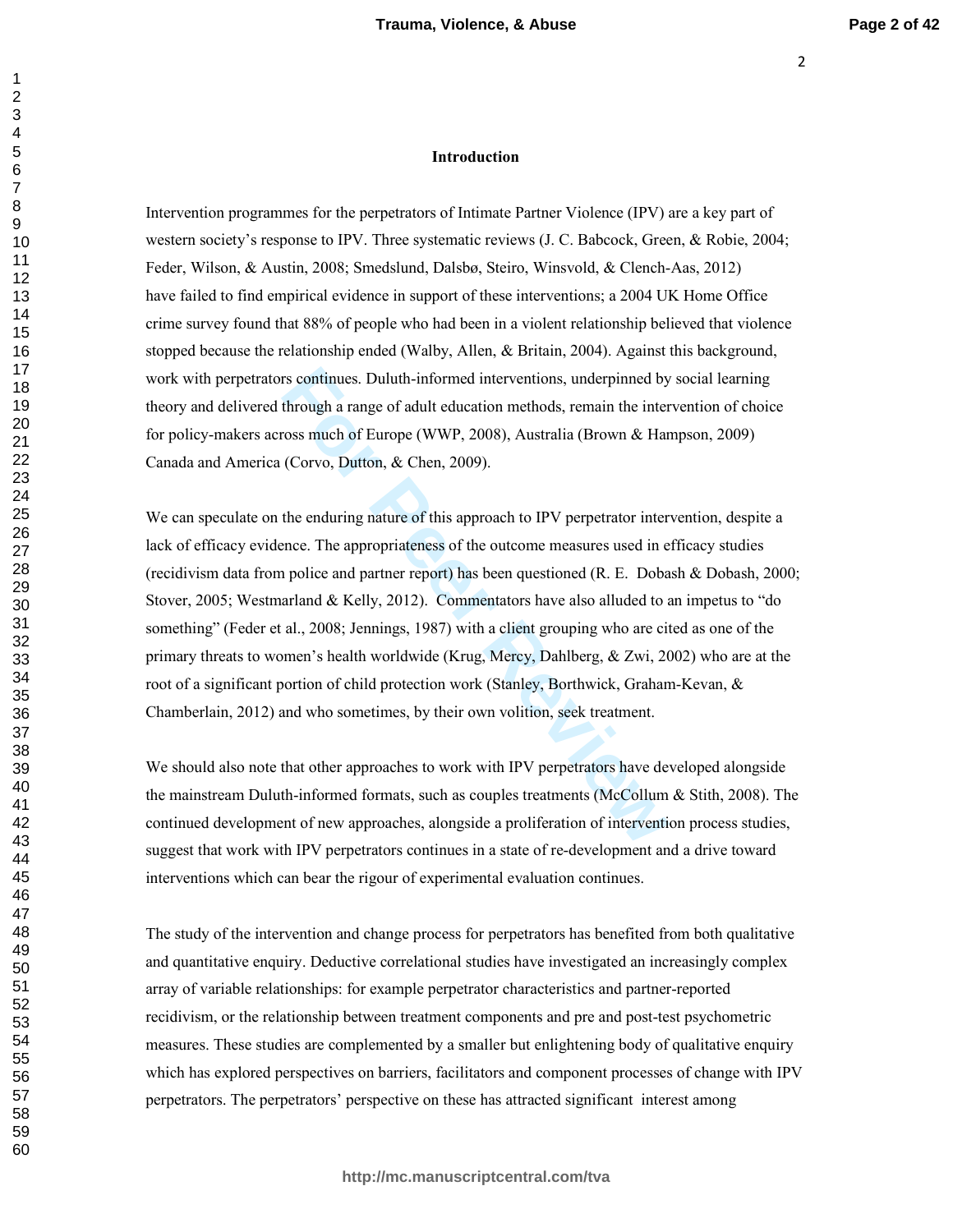#### **Introduction**

Intervention programmes for the perpetrators of Intimate Partner Violence (IPV) are a key part of western society's response to IPV. Three systematic reviews (J. C. Babcock, Green, & Robie, 2004; Feder, Wilson, & Austin, 2008; Smedslund, Dalsbø, Steiro, Winsvold, & Clench-Aas, 2012) have failed to find empirical evidence in support of these interventions; a 2004 UK Home Office crime survey found that 88% of people who had been in a violent relationship believed that violence stopped because the relationship ended (Walby, Allen, & Britain, 2004). Against this background, work with perpetrators continues. Duluth-informed interventions, underpinned by social learning theory and delivered through a range of adult education methods, remain the intervention of choice for policy-makers across much of Europe (WWP, 2008), Australia (Brown & Hampson, 2009) Canada and America (Corvo, Dutton, & Chen, 2009).

rs continues. Duluth-informed interventions, underpinned by<br>through a range of adult education methods, remain the inter<br>coss much of Europe (WWP, 2008), Australia (Brown & Har<br>(Corvo, Dutton, & Chen, 2009).<br>the enduring n We can speculate on the enduring nature of this approach to IPV perpetrator intervention, despite a lack of efficacy evidence. The appropriateness of the outcome measures used in efficacy studies (recidivism data from police and partner report) has been questioned (R. E. Dobash & Dobash, 2000; Stover, 2005; Westmarland & Kelly, 2012). Commentators have also alluded to an impetus to "do something" (Feder et al., 2008; Jennings, 1987) with a client grouping who are cited as one of the primary threats to women's health worldwide (Krug, Mercy, Dahlberg, & Zwi, 2002) who are at the root of a significant portion of child protection work (Stanley, Borthwick, Graham-Kevan, & Chamberlain, 2012) and who sometimes, by their own volition, seek treatment.

We should also note that other approaches to work with IPV perpetrators have developed alongside the mainstream Duluth-informed formats, such as couples treatments (McCollum & Stith, 2008). The continued development of new approaches, alongside a proliferation of intervention process studies, suggest that work with IPV perpetrators continues in a state of re-development and a drive toward interventions which can bear the rigour of experimental evaluation continues.

The study of the intervention and change process for perpetrators has benefited from both qualitative and quantitative enquiry. Deductive correlational studies have investigated an increasingly complex array of variable relationships: for example perpetrator characteristics and partner-reported recidivism, or the relationship between treatment components and pre and post-test psychometric measures. These studies are complemented by a smaller but enlightening body of qualitative enquiry which has explored perspectives on barriers, facilitators and component processes of change with IPV perpetrators. The perpetrators' perspective on these has attracted significant interest among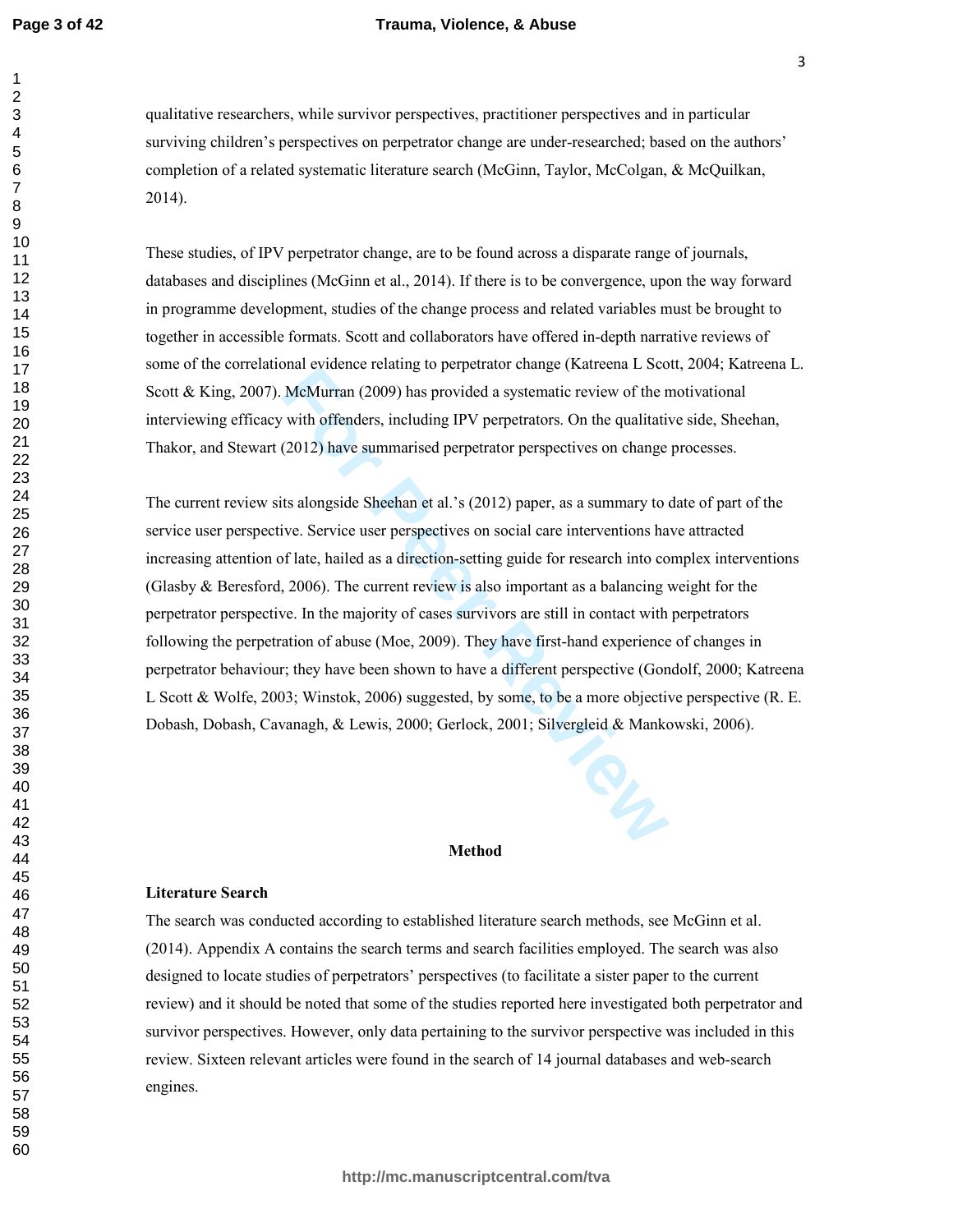## **Trauma, Violence, & Abuse**

qualitative researchers, while survivor perspectives, practitioner perspectives and in particular surviving children's perspectives on perpetrator change are under-researched; based on the authors' completion of a related systematic literature search (McGinn, Taylor, McColgan, & McQuilkan, 2014).

These studies, of IPV perpetrator change, are to be found across a disparate range of journals, databases and disciplines (McGinn et al., 2014). If there is to be convergence, upon the way forward in programme development, studies of the change process and related variables must be brought to together in accessible formats. Scott and collaborators have offered in-depth narrative reviews of some of the correlational evidence relating to perpetrator change (Katreena L Scott, 2004; Katreena L. Scott & King, 2007). McMurran (2009) has provided a systematic review of the motivational interviewing efficacy with offenders, including IPV perpetrators. On the qualitative side, Sheehan, Thakor, and Stewart (2012) have summarised perpetrator perspectives on change processes.

mal evidence relating to perpetrator change (Katiccha E see<br>McMurran (2009) has provided a systematic review of the n<br>with offenders, including IPV perpetrators. On the qualitatity<br>(2012) have summarised perpetrator perspe The current review sits alongside Sheehan et al.'s (2012) paper, as a summary to date of part of the service user perspective. Service user perspectives on social care interventions have attracted increasing attention of late, hailed as a direction-setting guide for research into complex interventions (Glasby & Beresford, 2006). The current review is also important as a balancing weight for the perpetrator perspective. In the majority of cases survivors are still in contact with perpetrators following the perpetration of abuse (Moe, 2009). They have first-hand experience of changes in perpetrator behaviour; they have been shown to have a different perspective (Gondolf, 2000; Katreena L Scott & Wolfe, 2003; Winstok, 2006) suggested, by some, to be a more objective perspective (R. E. Dobash, Dobash, Cavanagh, & Lewis, 2000; Gerlock, 2001; Silvergleid & Mankowski, 2006).

#### **Method**

#### **Literature Search**

The search was conducted according to established literature search methods, see McGinn et al. (2014). Appendix A contains the search terms and search facilities employed. The search was also designed to locate studies of perpetrators' perspectives (to facilitate a sister paper to the current review) and it should be noted that some of the studies reported here investigated both perpetrator and survivor perspectives. However, only data pertaining to the survivor perspective was included in this review. Sixteen relevant articles were found in the search of 14 journal databases and web-search engines.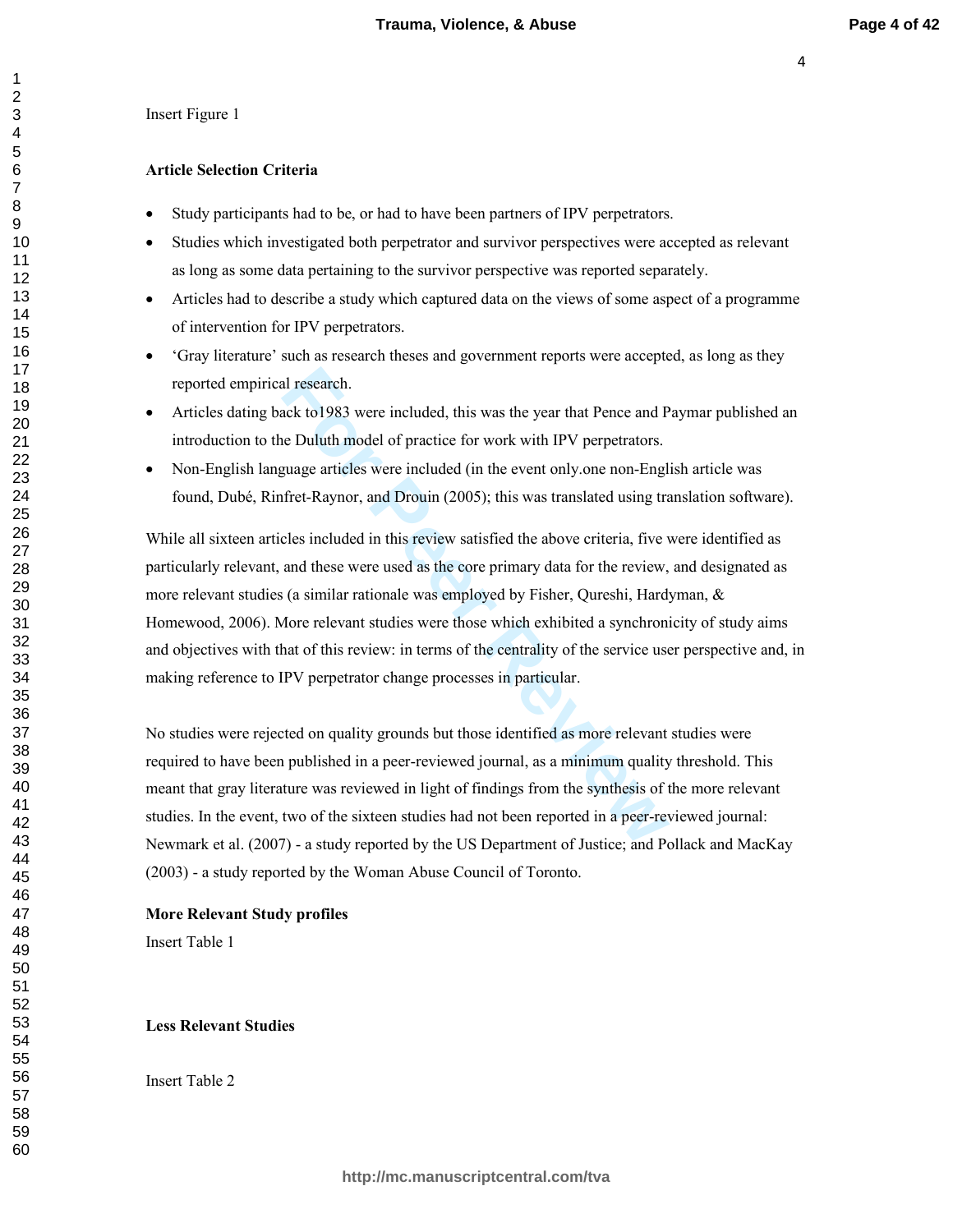## Insert Figure 1

## **Article Selection Criteria**

- Study participants had to be, or had to have been partners of IPV perpetrators.
- Studies which investigated both perpetrator and survivor perspectives were accepted as relevant as long as some data pertaining to the survivor perspective was reported separately.
- Articles had to describe a study which captured data on the views of some aspect of a programme of intervention for IPV perpetrators.
- 'Gray literature' such as research theses and government reports were accepted, as long as they reported empirical research.
- Articles dating back to 1983 were included, this was the year that Pence and Paymar published an introduction to the Duluth model of practice for work with IPV perpetrators.
- Non-English language articles were included (in the event only one non-English article was found, Dubé, Rinfret-Raynor, and Drouin (2005); this was translated using translation software).

al research.<br>
ack to 1983 were included, this was the year that Pence and P<br> **EVALUAT EXECUATE EVALUATE EVALUATE CONCIL EVALUATE EVALUATE EVALUATE EVALUATE EVALUATE EVALUATE Frel-Raynor, and Drouin (2005); this was transla** While all sixteen articles included in this review satisfied the above criteria, five were identified as particularly relevant, and these were used as the core primary data for the review, and designated as more relevant studies (a similar rationale was employed by Fisher, Qureshi, Hardyman, & Homewood, 2006). More relevant studies were those which exhibited a synchronicity of study aims and objectives with that of this review: in terms of the centrality of the service user perspective and, in making reference to IPV perpetrator change processes in particular.

No studies were rejected on quality grounds but those identified as more relevant studies were required to have been published in a peer-reviewed journal, as a minimum quality threshold. This meant that gray literature was reviewed in light of findings from the synthesis of the more relevant studies. In the event, two of the sixteen studies had not been reported in a peer-reviewed journal: Newmark et al. (2007) - a study reported by the US Department of Justice; and Pollack and MacKay (2003) - a study reported by the Woman Abuse Council of Toronto.

#### **More Relevant Study profiles**

Insert Table 1

## **Less Relevant Studies**

Insert Table 2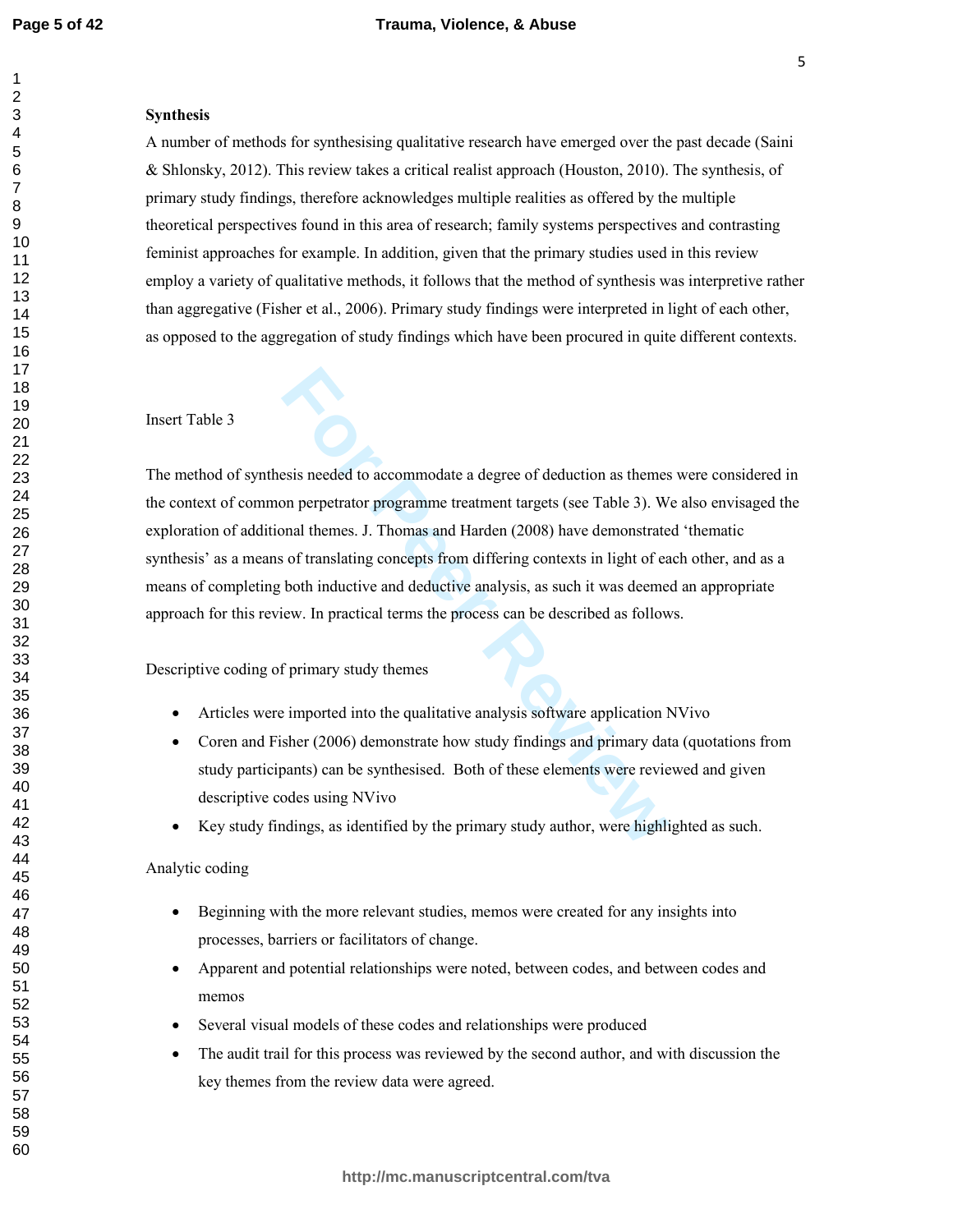#### **Synthesis**

A number of methods for synthesising qualitative research have emerged over the past decade (Saini & Shlonsky, 2012). This review takes a critical realist approach (Houston, 2010). The synthesis, of primary study findings, therefore acknowledges multiple realities as offered by the multiple theoretical perspectives found in this area of research; family systems perspectives and contrasting feminist approaches for example. In addition, given that the primary studies used in this review employ a variety of qualitative methods, it follows that the method of synthesis was interpretive rather than aggregative (Fisher et al., 2006). Primary study findings were interpreted in light of each other, as opposed to the aggregation of study findings which have been procured in quite different contexts.

## Insert Table 3

**Formal Set and Set and Set and Set and Set and Set and Set and Set and Set and Set and Set and Harden (2008) have demonstrate of translating concepts from differing contexts in light of each of translating concepts from d** The method of synthesis needed to accommodate a degree of deduction as themes were considered in the context of common perpetrator programme treatment targets (see Table 3). We also envisaged the exploration of additional themes. J. Thomas and Harden (2008) have demonstrated 'thematic synthesis' as a means of translating concepts from differing contexts in light of each other, and as a means of completing both inductive and deductive analysis, as such it was deemed an appropriate approach for this review. In practical terms the process can be described as follows.

Descriptive coding of primary study themes

- Articles were imported into the qualitative analysis software application NVivo
- Coren and Fisher (2006) demonstrate how study findings and primary data (quotations from study participants) can be synthesised. Both of these elements were reviewed and given descriptive codes using NVivo
- Key study findings, as identified by the primary study author, were highlighted as such.

## Analytic coding

- Beginning with the more relevant studies, memos were created for any insights into processes, barriers or facilitators of change.
- Apparent and potential relationships were noted, between codes, and between codes and memos
- Several visual models of these codes and relationships were produced
- The audit trail for this process was reviewed by the second author, and with discussion the key themes from the review data were agreed.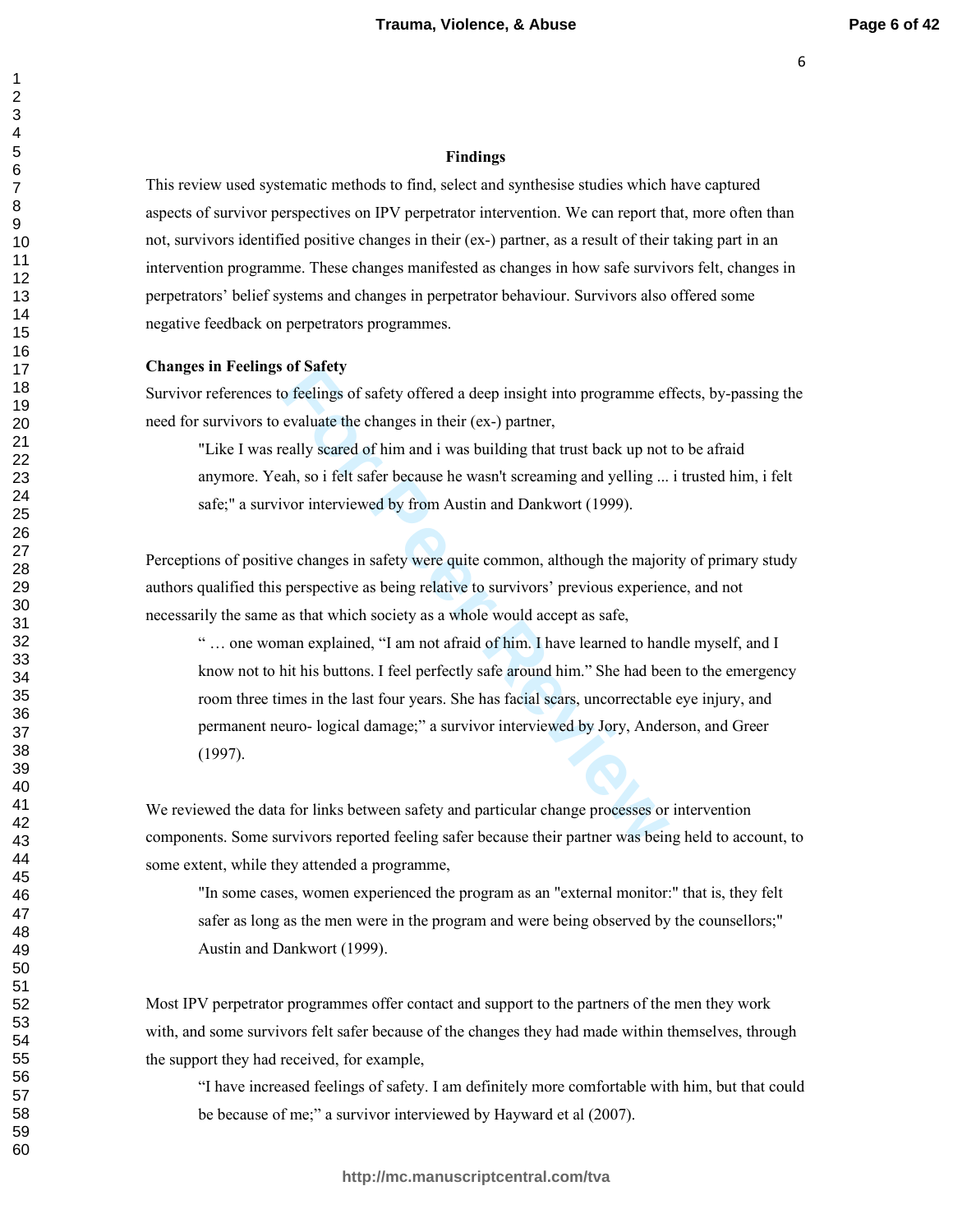## **Findings**

This review used systematic methods to find, select and synthesise studies which have captured aspects of survivor perspectives on IPV perpetrator intervention. We can report that, more often than not, survivors identified positive changes in their (ex-) partner, as a result of their taking part in an intervention programme. These changes manifested as changes in how safe survivors felt, changes in perpetrators' belief systems and changes in perpetrator behaviour. Survivors also offered some negative feedback on perpetrators programmes.

#### **Changes in Feelings of Safety**

Survivor references to feelings of safety offered a deep insight into programme effects, by-passing the need for survivors to evaluate the changes in their (ex-) partner,

"Like I was really scared of him and i was building that trust back up not to be afraid anymore. Yeah, so i felt safer because he wasn't screaming and yelling ... i trusted him, i felt safe;" a survivor interviewed by from Austin and Dankwort (1999).

Perceptions of positive changes in safety were quite common, although the majority of primary study authors qualified this perspective as being relative to survivors' previous experience, and not necessarily the same as that which society as a whole would accept as safe,

**For Salety** of safety offered a deep insight into programme ef evaluate the changes in their (ex-) partner, eally scared of him and i was building that trust back up not ah, so i felt safer because he wasn't screaming and " … one woman explained, "I am not afraid of him. I have learned to handle myself, and I know not to hit his buttons. I feel perfectly safe around him." She had been to the emergency room three times in the last four years. She has facial scars, uncorrectable eye injury, and permanent neuro- logical damage;" a survivor interviewed by Jory, Anderson, and Greer (1997).

We reviewed the data for links between safety and particular change processes or intervention components. Some survivors reported feeling safer because their partner was being held to account, to some extent, while they attended a programme,

"In some cases, women experienced the program as an "external monitor:" that is, they felt safer as long as the men were in the program and were being observed by the counsellors;" Austin and Dankwort (1999).

Most IPV perpetrator programmes offer contact and support to the partners of the men they work with, and some survivors felt safer because of the changes they had made within themselves, through the support they had received, for example,

"I have increased feelings of safety. I am definitely more comfortable with him, but that could be because of me;" a survivor interviewed by Hayward et al (2007).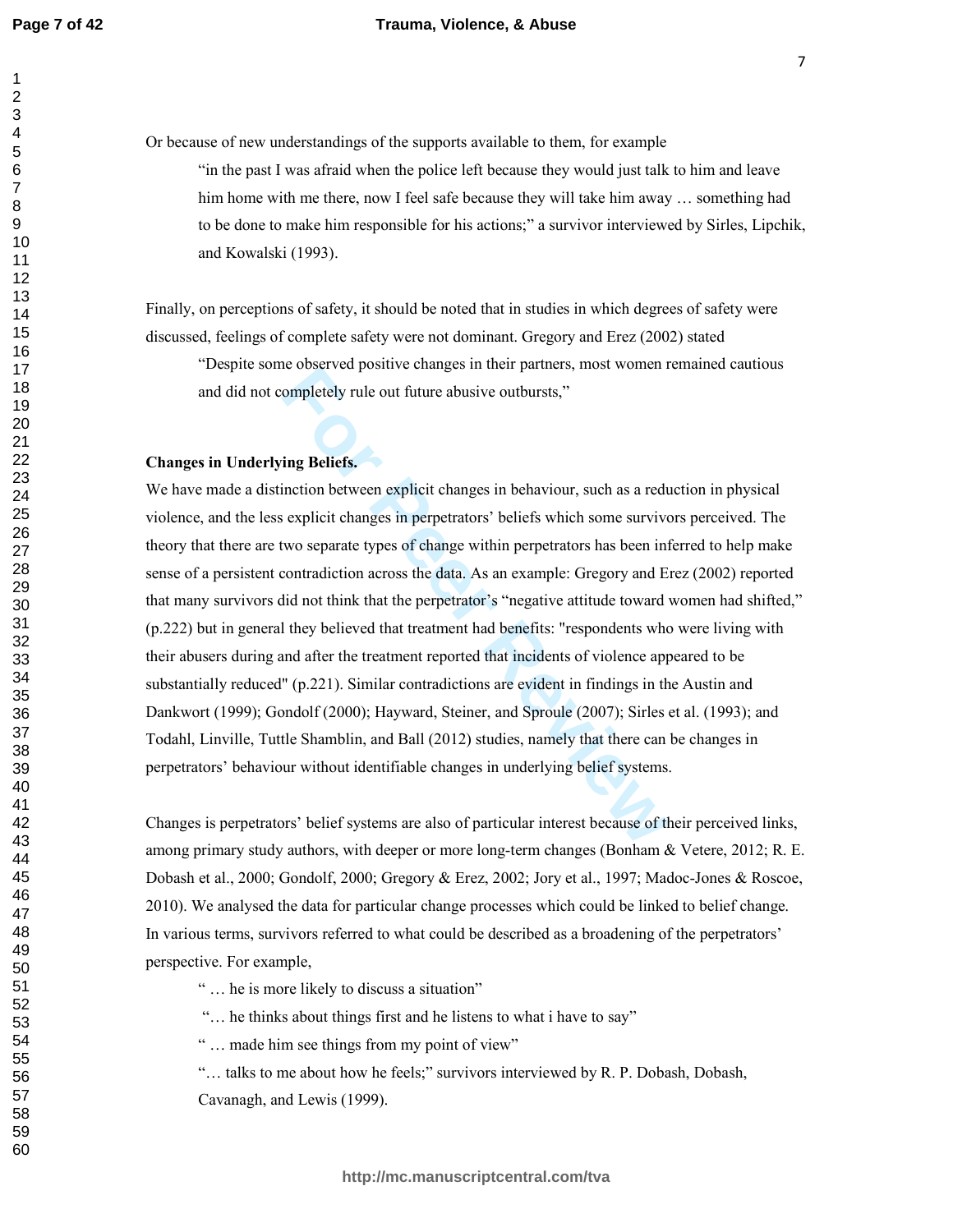Or because of new understandings of the supports available to them, for example

"in the past I was afraid when the police left because they would just talk to him and leave him home with me there, now I feel safe because they will take him away ... something had to be done to make him responsible for his actions;" a survivor interviewed by Sirles, Lipchik, and Kowalski (1993).

Finally, on perceptions of safety, it should be noted that in studies in which degrees of safety were discussed, feelings of complete safety were not dominant. Gregory and Erez (2002) stated

"Despite some observed positive changes in their partners, most women remained cautious and did not completely rule out future abusive outbursts,"

## **Changes in Underlying Beliefs.**

**Example Example 2012** and the same of the same of the same of the same of the same of the same of the same explicit changes in perpetrators,<sup>3</sup> and explicit changes in perpetrators' beliefs which some survive wo separate We have made a distinction between explicit changes in behaviour, such as a reduction in physical violence, and the less explicit changes in perpetrators' beliefs which some survivors perceived. The theory that there are two separate types of change within perpetrators has been inferred to help make sense of a persistent contradiction across the data. As an example: Gregory and Erez (2002) reported that many survivors did not think that the perpetrator's "negative attitude toward women had shifted," (p.222) but in general they believed that treatment had benefits: "respondents who were living with their abusers during and after the treatment reported that incidents of violence appeared to be substantially reduced" (p.221). Similar contradictions are evident in findings in the Austin and Dankwort (1999); Gondolf (2000); Hayward, Steiner, and Sproule (2007); Sirles et al. (1993); and Todahl, Linville, Tuttle Shamblin, and Ball (2012) studies, namely that there can be changes in perpetrators' behaviour without identifiable changes in underlying belief systems.

Changes is perpetrators' belief systems are also of particular interest because of their perceived links, among primary study authors, with deeper or more long-term changes (Bonham & Vetere, 2012; R. E. Dobash et al., 2000; Gondolf, 2000; Gregory & Erez, 2002; Jory et al., 1997; Madoc-Jones & Roscoe, 2010). We analysed the data for particular change processes which could be linked to belief change. In various terms, survivors referred to what could be described as a broadening of the perpetrators' perspective. For example,

" … he is more likely to discuss a situation"

"… he thinks about things first and he listens to what i have to say"

" … made him see things from my point of view"

"… talks to me about how he feels;" survivors interviewed by R. P. Dobash, Dobash,

Cavanagh, and Lewis (1999).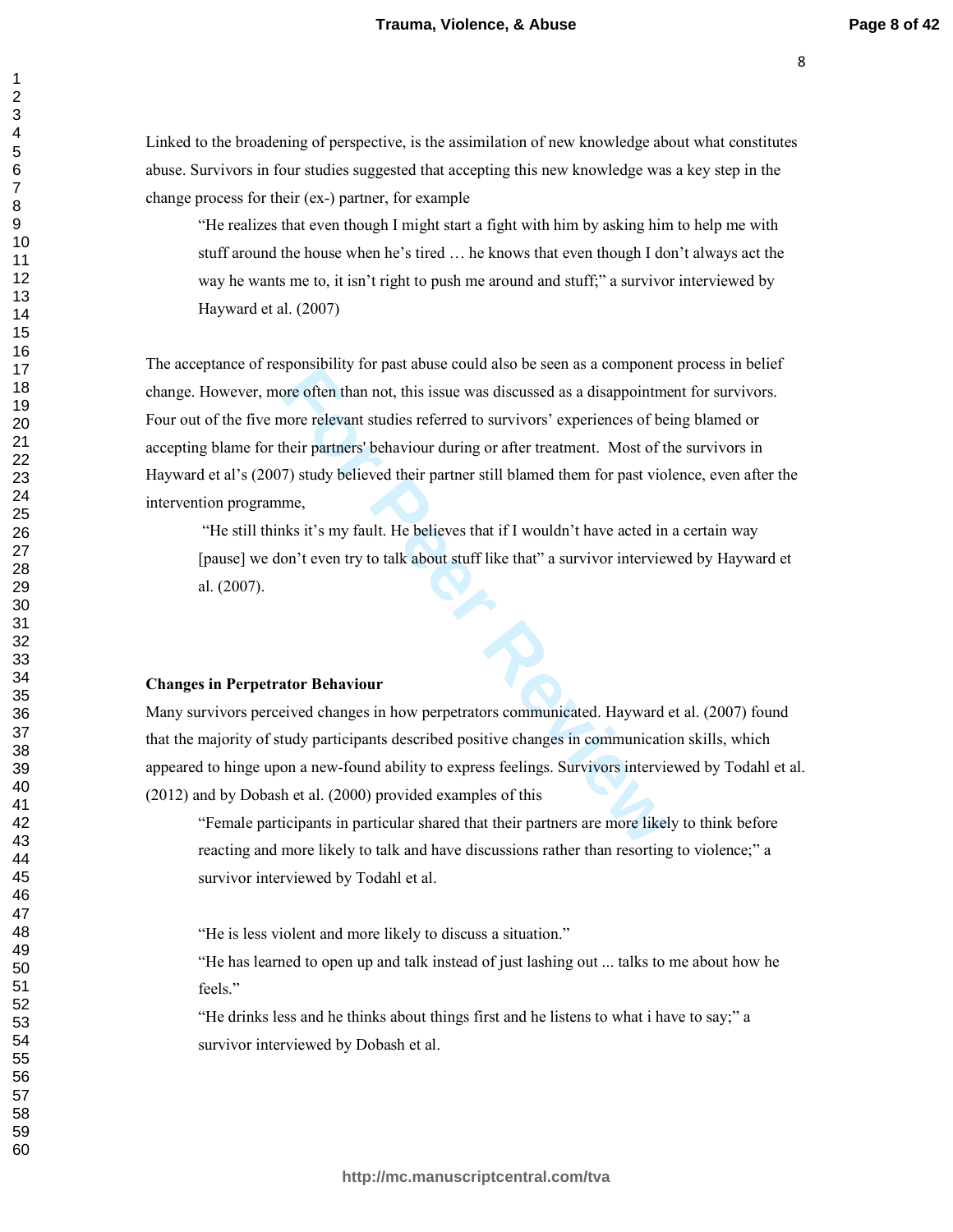Linked to the broadening of perspective, is the assimilation of new knowledge about what constitutes abuse. Survivors in four studies suggested that accepting this new knowledge was a key step in the change process for their (ex-) partner, for example

"He realizes that even though I might start a fight with him by asking him to help me with stuff around the house when he's tired … he knows that even though I don't always act the way he wants me to, it isn't right to push me around and stuff;" a survivor interviewed by Hayward et al. (2007)

For other han not, this issue was discussed as a disappointment<br>ore often than not, this issue was discussed as a disappointment<br>ore relevant studies referred to survivors' experiences of be<br>heir partners' behaviour during The acceptance of responsibility for past abuse could also be seen as a component process in belief change. However, more often than not, this issue was discussed as a disappointment for survivors. Four out of the five more relevant studies referred to survivors' experiences of being blamed or accepting blame for their partners' behaviour during or after treatment. Most of the survivors in Hayward et al's (2007) study believed their partner still blamed them for past violence, even after the intervention programme,

 "He still thinks it's my fault. He believes that if I wouldn't have acted in a certain way [pause] we don't even try to talk about stuff like that" a survivor interviewed by Hayward et al. (2007).

## **Changes in Perpetrator Behaviour**

Many survivors perceived changes in how perpetrators communicated. Hayward et al. (2007) found that the majority of study participants described positive changes in communication skills, which appeared to hinge upon a new-found ability to express feelings. Survivors interviewed by Todahl et al. (2012) and by Dobash et al. (2000) provided examples of this

"Female participants in particular shared that their partners are more likely to think before reacting and more likely to talk and have discussions rather than resorting to violence;" a survivor interviewed by Todahl et al.

"He is less violent and more likely to discuss a situation."

"He has learned to open up and talk instead of just lashing out ... talks to me about how he feels."

"He drinks less and he thinks about things first and he listens to what i have to say;" a survivor interviewed by Dobash et al.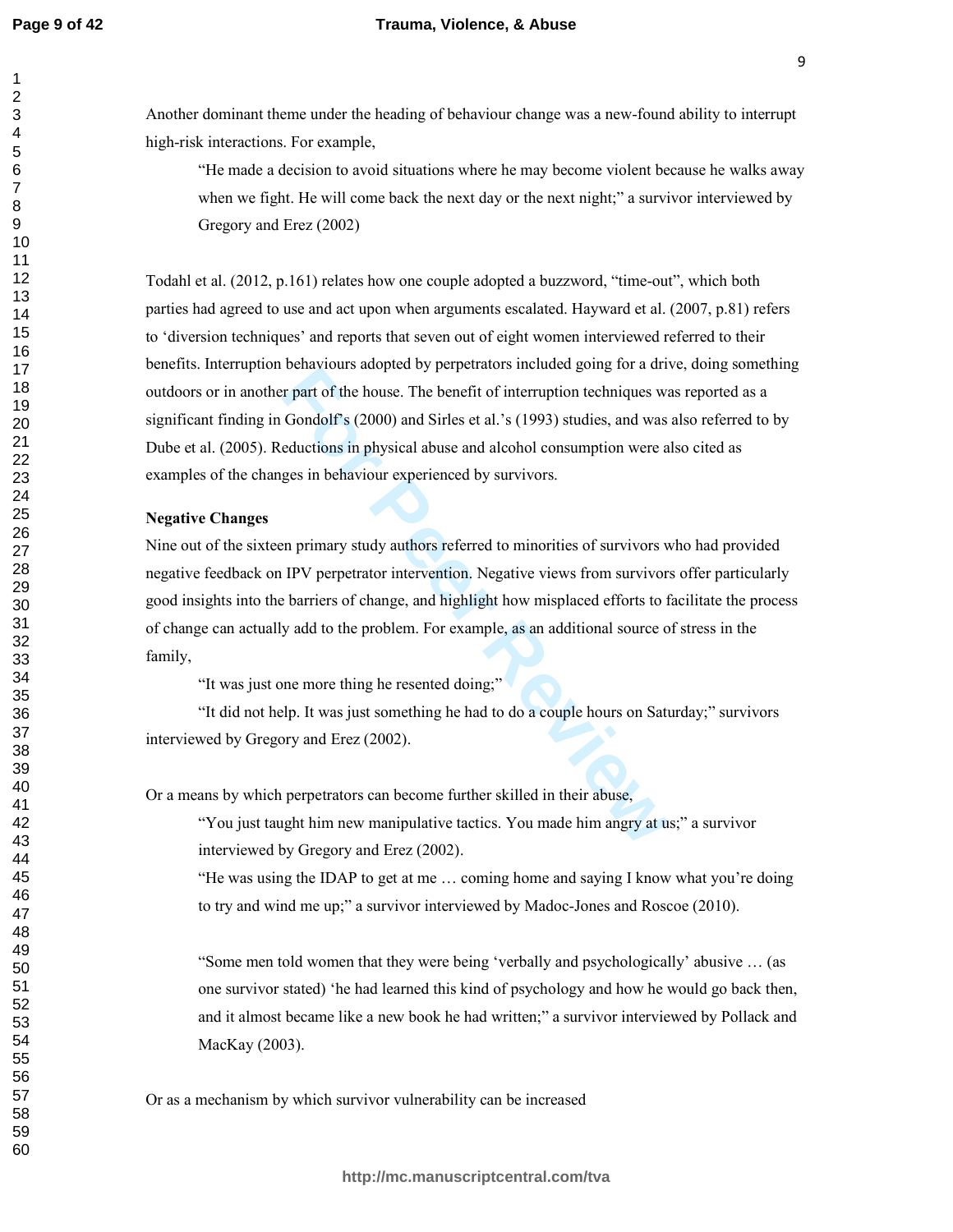Another dominant theme under the heading of behaviour change was a new-found ability to interrupt high-risk interactions. For example,

"He made a decision to avoid situations where he may become violent because he walks away when we fight. He will come back the next day or the next night;" a survivor interviewed by Gregory and Erez (2002)

Todahl et al. (2012, p.161) relates how one couple adopted a buzzword, "time-out", which both parties had agreed to use and act upon when arguments escalated. Hayward et al. (2007, p.81) refers to 'diversion techniques' and reports that seven out of eight women interviewed referred to their benefits. Interruption behaviours adopted by perpetrators included going for a drive, doing something outdoors or in another part of the house. The benefit of interruption techniques was reported as a significant finding in Gondolf's (2000) and Sirles et al.'s (1993) studies, and was also referred to by Dube et al. (2005). Reductions in physical abuse and alcohol consumption were also cited as examples of the changes in behaviour experienced by survivors.

#### **Negative Changes**

behaviours adopted by perpetators included going for a uri-<br> **For Part of the house.** The benefit of interruption techniques we<br> **Gondolf's** (2000) and Sirles et al.'s (1993) studies, and was<br>
eductions in physical abuse a Nine out of the sixteen primary study authors referred to minorities of survivors who had provided negative feedback on IPV perpetrator intervention. Negative views from survivors offer particularly good insights into the barriers of change, and highlight how misplaced efforts to facilitate the process of change can actually add to the problem. For example, as an additional source of stress in the family,

"It was just one more thing he resented doing;"

 "It did not help. It was just something he had to do a couple hours on Saturday;" survivors interviewed by Gregory and Erez (2002).

Or a means by which perpetrators can become further skilled in their abuse,

"You just taught him new manipulative tactics. You made him angry at us;" a survivor interviewed by Gregory and Erez (2002).

"He was using the IDAP to get at me … coming home and saying I know what you're doing to try and wind me up;" a survivor interviewed by Madoc-Jones and Roscoe (2010).

"Some men told women that they were being 'verbally and psychologically' abusive … (as one survivor stated) 'he had learned this kind of psychology and how he would go back then, and it almost became like a new book he had written;" a survivor interviewed by Pollack and MacKay (2003).

Or as a mechanism by which survivor vulnerability can be increased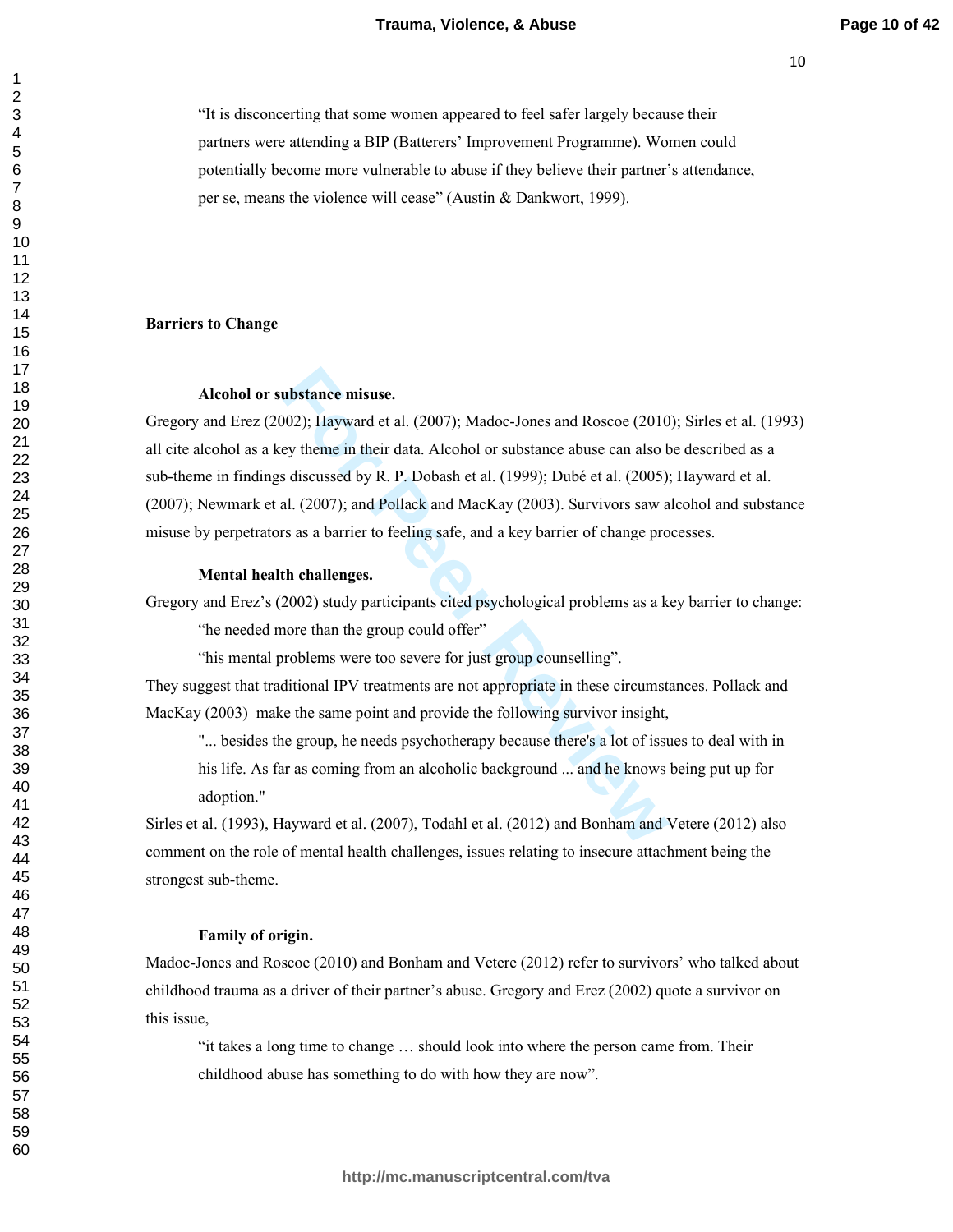### **Trauma, Violence, & Abuse**

"It is disconcerting that some women appeared to feel safer largely because their partners were attending a BIP (Batterers' Improvement Programme). Women could potentially become more vulnerable to abuse if they believe their partner's attendance, per se, means the violence will cease" (Austin & Dankwort, 1999).

## **Barriers to Change**

#### **Alcohol or substance misuse.**

**ubstance misuse.**<br>
102); Hayward et al. (2007); Madoc-Jones and Roscoe (2010<br>
ey theme in their data. Alcohol or substance abuse can also b<br>
5 discussed by R. P. Dobash et al. (1999); Dubé et al. (2005);<br>
al. (2007); and Gregory and Erez (2002); Hayward et al. (2007); Madoc-Jones and Roscoe (2010); Sirles et al. (1993) all cite alcohol as a key theme in their data. Alcohol or substance abuse can also be described as a sub-theme in findings discussed by R. P. Dobash et al. (1999); Dubé et al. (2005); Hayward et al. (2007); Newmark et al. (2007); and Pollack and MacKay (2003). Survivors saw alcohol and substance misuse by perpetrators as a barrier to feeling safe, and a key barrier of change processes.

#### **Mental health challenges.**

Gregory and Erez's (2002) study participants cited psychological problems as a key barrier to change:

"he needed more than the group could offer"

"his mental problems were too severe for just group counselling".

They suggest that traditional IPV treatments are not appropriate in these circumstances. Pollack and MacKay (2003) make the same point and provide the following survivor insight,

"... besides the group, he needs psychotherapy because there's a lot of issues to deal with in

his life. As far as coming from an alcoholic background ... and he knows being put up for adoption."

Sirles et al. (1993), Hayward et al. (2007), Todahl et al. (2012) and Bonham and Vetere (2012) also comment on the role of mental health challenges, issues relating to insecure attachment being the strongest sub-theme.

#### **Family of origin.**

Madoc-Jones and Roscoe (2010) and Bonham and Vetere (2012) refer to survivors' who talked about childhood trauma as a driver of their partner's abuse. Gregory and Erez (2002) quote a survivor on this issue,

"it takes a long time to change … should look into where the person came from. Their childhood abuse has something to do with how they are now".

**http://mc.manuscriptcentral.com/tva**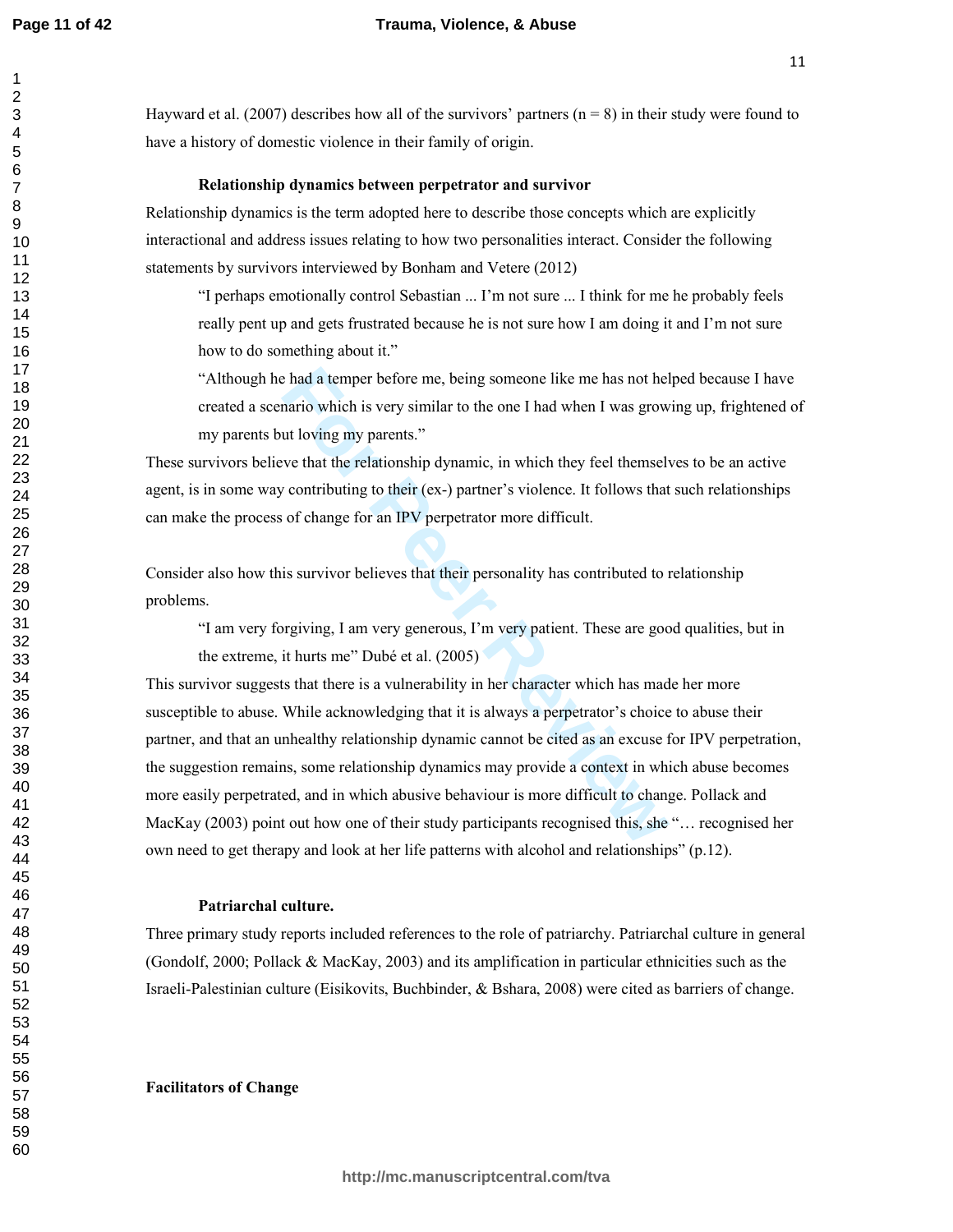Hayward et al. (2007) describes how all of the survivors' partners  $(n = 8)$  in their study were found to have a history of domestic violence in their family of origin.

#### **Relationship dynamics between perpetrator and survivor**

Relationship dynamics is the term adopted here to describe those concepts which are explicitly interactional and address issues relating to how two personalities interact. Consider the following statements by survivors interviewed by Bonham and Vetere (2012)

"I perhaps emotionally control Sebastian ... I'm not sure ... I think for me he probably feels really pent up and gets frustrated because he is not sure how I am doing it and I'm not sure how to do something about it."

"Although he had a temper before me, being someone like me has not helped because I have created a scenario which is very similar to the one I had when I was growing up, frightened of my parents but loving my parents."

These survivors believe that the relationship dynamic, in which they feel themselves to be an active agent, is in some way contributing to their (ex-) partner's violence. It follows that such relationships can make the process of change for an IPV perpetrator more difficult.

Consider also how this survivor believes that their personality has contributed to relationship problems.

"I am very forgiving, I am very generous, I'm very patient. These are good qualities, but in the extreme, it hurts me" Dubé et al. (2005)

Example 1 at the provide a temper before me, being someone like me has not helevation which is very similar to the one I had when I was grow to loving my parents."<br>
For Provideo and That the relationship dynamic, in which This survivor suggests that there is a vulnerability in her character which has made her more susceptible to abuse. While acknowledging that it is always a perpetrator's choice to abuse their partner, and that an unhealthy relationship dynamic cannot be cited as an excuse for IPV perpetration, the suggestion remains, some relationship dynamics may provide a context in which abuse becomes more easily perpetrated, and in which abusive behaviour is more difficult to change. Pollack and MacKay (2003) point out how one of their study participants recognised this, she "... recognised her own need to get therapy and look at her life patterns with alcohol and relationships" (p.12).

## **Patriarchal culture.**

Three primary study reports included references to the role of patriarchy. Patriarchal culture in general (Gondolf, 2000; Pollack & MacKay, 2003) and its amplification in particular ethnicities such as the Israeli-Palestinian culture (Eisikovits, Buchbinder, & Bshara, 2008) were cited as barriers of change.

## **Facilitators of Change**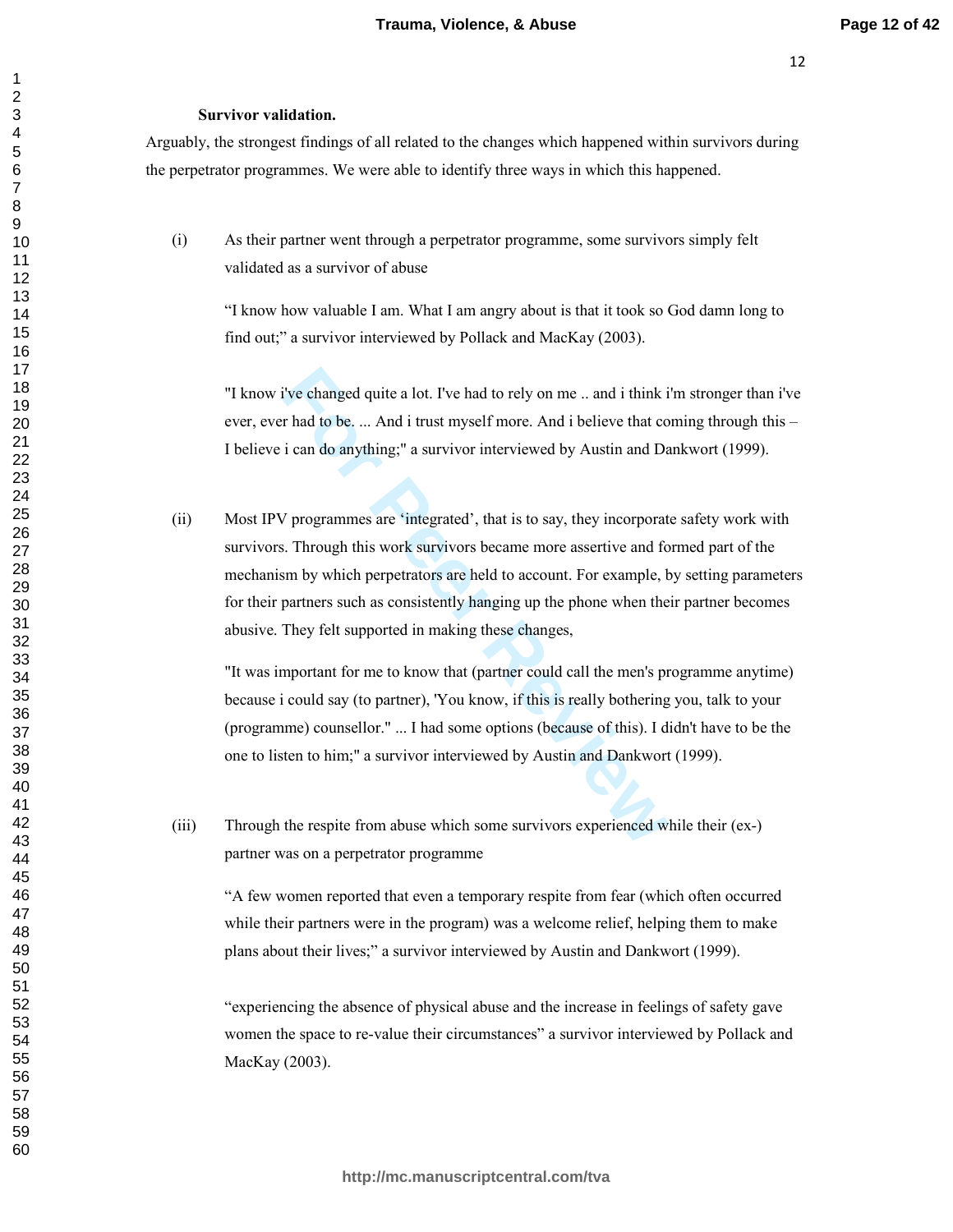## **Trauma, Violence, & Abuse**

## **Survivor validation.**

Arguably, the strongest findings of all related to the changes which happened within survivors during the perpetrator programmes. We were able to identify three ways in which this happened.

(i) As their partner went through a perpetrator programme, some survivors simply felt validated as a survivor of abuse

"I know how valuable I am. What I am angry about is that it took so God damn long to find out;" a survivor interviewed by Pollack and MacKay (2003).

"I know i've changed quite a lot. I've had to rely on me .. and i think i'm stronger than i've ever, ever had to be. ... And i trust myself more. And i believe that coming through this – I believe i can do anything;" a survivor interviewed by Austin and Dankwort (1999).

i've changed quite a lot. I've had to rely on me .. and i think i<br>
r had to be. ... And i trust myself more. And i believe that co<br>
i can do anything;" a survivor interviewed by Austin and Da<br>
V programmes are 'integrated' (ii) Most IPV programmes are 'integrated', that is to say, they incorporate safety work with survivors. Through this work survivors became more assertive and formed part of the mechanism by which perpetrators are held to account. For example, by setting parameters for their partners such as consistently hanging up the phone when their partner becomes abusive. They felt supported in making these changes,

"It was important for me to know that (partner could call the men's programme anytime) because i could say (to partner), 'You know, if this is really bothering you, talk to your (programme) counsellor." ... I had some options (because of this). I didn't have to be the one to listen to him;" a survivor interviewed by Austin and Dankwort (1999).

(iii) Through the respite from abuse which some survivors experienced while their (ex-) partner was on a perpetrator programme

"A few women reported that even a temporary respite from fear (which often occurred while their partners were in the program) was a welcome relief, helping them to make plans about their lives;" a survivor interviewed by Austin and Dankwort (1999).

"experiencing the absence of physical abuse and the increase in feelings of safety gave women the space to re-value their circumstances" a survivor interviewed by Pollack and MacKay (2003).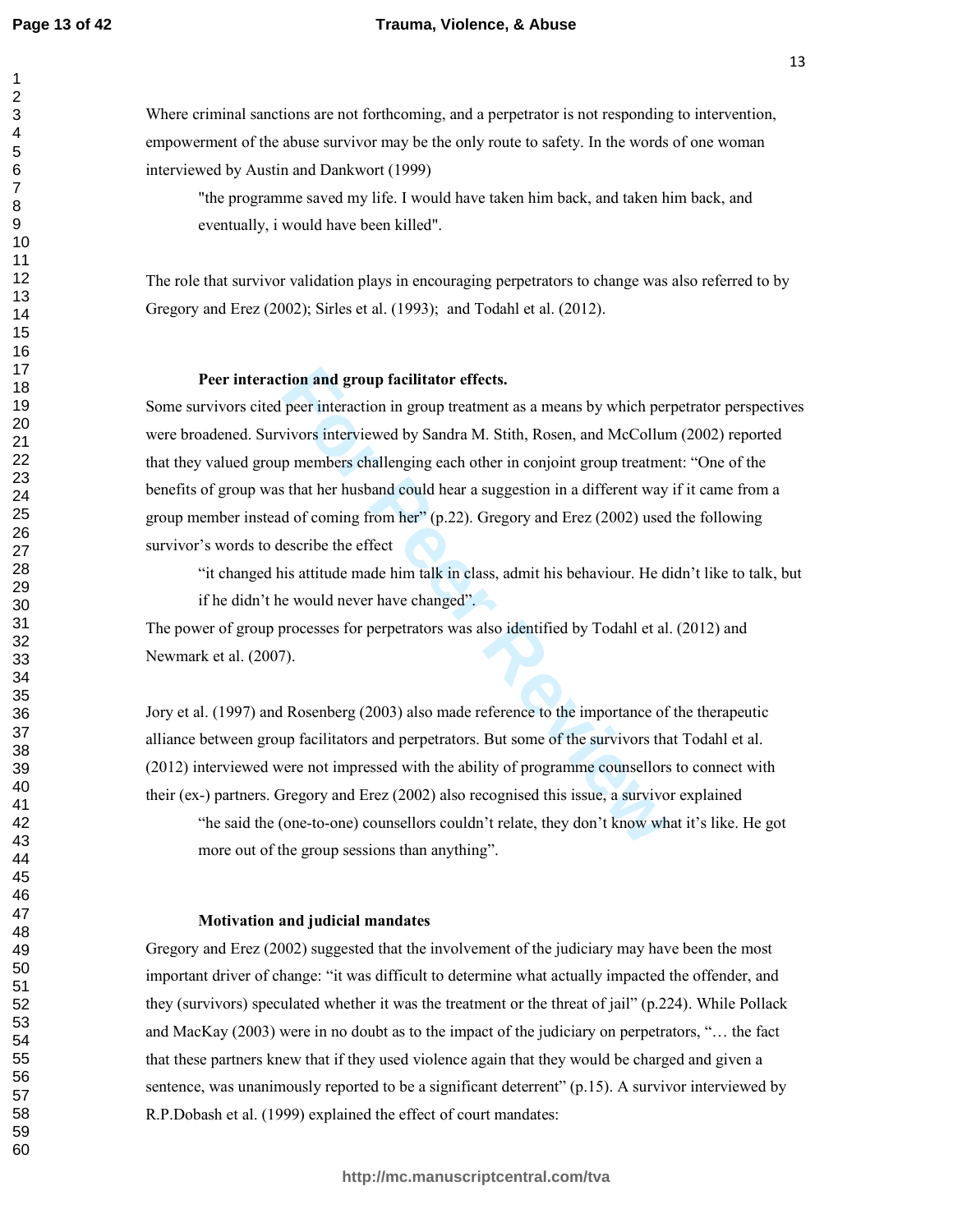#### **Trauma, Violence, & Abuse**

Where criminal sanctions are not forthcoming, and a perpetrator is not responding to intervention, empowerment of the abuse survivor may be the only route to safety. In the words of one woman interviewed by Austin and Dankwort (1999)

"the programme saved my life. I would have taken him back, and taken him back, and eventually, i would have been killed".

The role that survivor validation plays in encouraging perpetrators to change was also referred to by Gregory and Erez (2002); Sirles et al. (1993); and Todahl et al. (2012).

## **Peer interaction and group facilitator effects.**

**For and group facilitator effects.**<br>
peer interaction in group treatment as a means by which per<br>
prembers challenging each other in conjoint group treatme<br>
that her husband could hear a suggestion in a different way<br>
d o Some survivors cited peer interaction in group treatment as a means by which perpetrator perspectives were broadened. Survivors interviewed by Sandra M. Stith, Rosen, and McCollum (2002) reported that they valued group members challenging each other in conjoint group treatment: "One of the benefits of group was that her husband could hear a suggestion in a different way if it came from a group member instead of coming from her" (p.22). Gregory and Erez (2002) used the following survivor's words to describe the effect

"it changed his attitude made him talk in class, admit his behaviour. He didn't like to talk, but

if he didn't he would never have changed".

The power of group processes for perpetrators was also identified by Todahl et al. (2012) and Newmark et al. (2007).

Jory et al. (1997) and Rosenberg (2003) also made reference to the importance of the therapeutic alliance between group facilitators and perpetrators. But some of the survivors that Todahl et al. (2012) interviewed were not impressed with the ability of programme counsellors to connect with their (ex-) partners. Gregory and Erez (2002) also recognised this issue, a survivor explained

"he said the (one-to-one) counsellors couldn't relate, they don't know what it's like. He got more out of the group sessions than anything".

#### **Motivation and judicial mandates**

Gregory and Erez (2002) suggested that the involvement of the judiciary may have been the most important driver of change: "it was difficult to determine what actually impacted the offender, and they (survivors) speculated whether it was the treatment or the threat of jail" (p.224). While Pollack and MacKay (2003) were in no doubt as to the impact of the judiciary on perpetrators, "… the fact that these partners knew that if they used violence again that they would be charged and given a sentence, was unanimously reported to be a significant deterrent" (p.15). A survivor interviewed by R.P.Dobash et al. (1999) explained the effect of court mandates: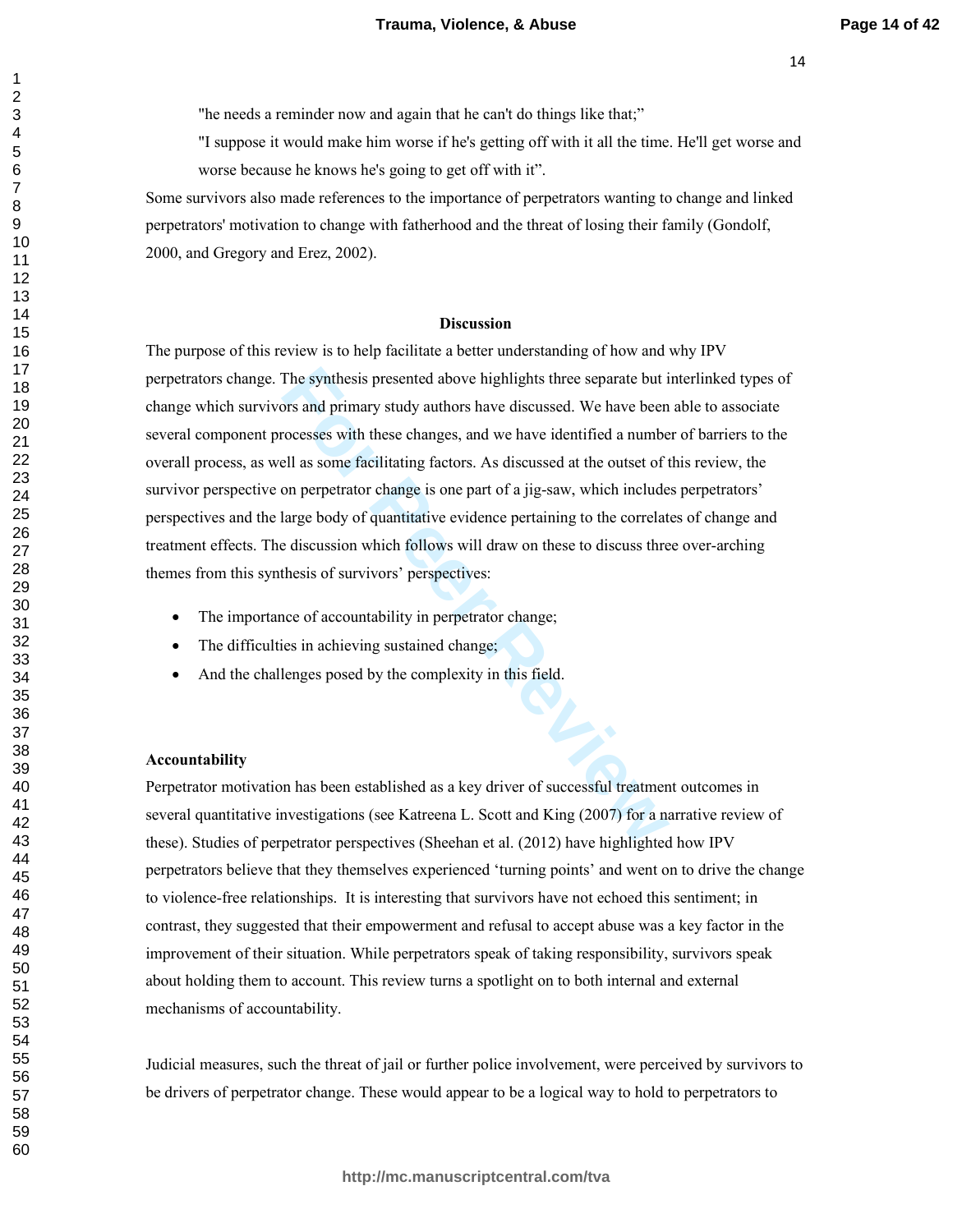"he needs a reminder now and again that he can't do things like that;"

"I suppose it would make him worse if he's getting off with it all the time. He'll get worse and worse because he knows he's going to get off with it".

Some survivors also made references to the importance of perpetrators wanting to change and linked perpetrators' motivation to change with fatherhood and the threat of losing their family (Gondolf, 2000, and Gregory and Erez, 2002).

#### **Discussion**

The synthesis presented above highlights three separate but intimated a properation and primary study authors have discussed. We have been cocesses with these changes, and we have identified a numbell as some facilitating The purpose of this review is to help facilitate a better understanding of how and why IPV perpetrators change. The synthesis presented above highlights three separate but interlinked types of change which survivors and primary study authors have discussed. We have been able to associate several component processes with these changes, and we have identified a number of barriers to the overall process, as well as some facilitating factors. As discussed at the outset of this review, the survivor perspective on perpetrator change is one part of a jig-saw, which includes perpetrators' perspectives and the large body of quantitative evidence pertaining to the correlates of change and treatment effects. The discussion which follows will draw on these to discuss three over-arching themes from this synthesis of survivors' perspectives:

- The importance of accountability in perpetrator change;
- The difficulties in achieving sustained change;
- And the challenges posed by the complexity in this field.

#### **Accountability**

Perpetrator motivation has been established as a key driver of successful treatment outcomes in several quantitative investigations (see Katreena L. Scott and King (2007) for a narrative review of these). Studies of perpetrator perspectives (Sheehan et al. (2012) have highlighted how IPV perpetrators believe that they themselves experienced 'turning points' and went on to drive the change to violence-free relationships. It is interesting that survivors have not echoed this sentiment; in contrast, they suggested that their empowerment and refusal to accept abuse was a key factor in the improvement of their situation. While perpetrators speak of taking responsibility, survivors speak about holding them to account. This review turns a spotlight on to both internal and external mechanisms of accountability.

Judicial measures, such the threat of jail or further police involvement, were perceived by survivors to be drivers of perpetrator change. These would appear to be a logical way to hold to perpetrators to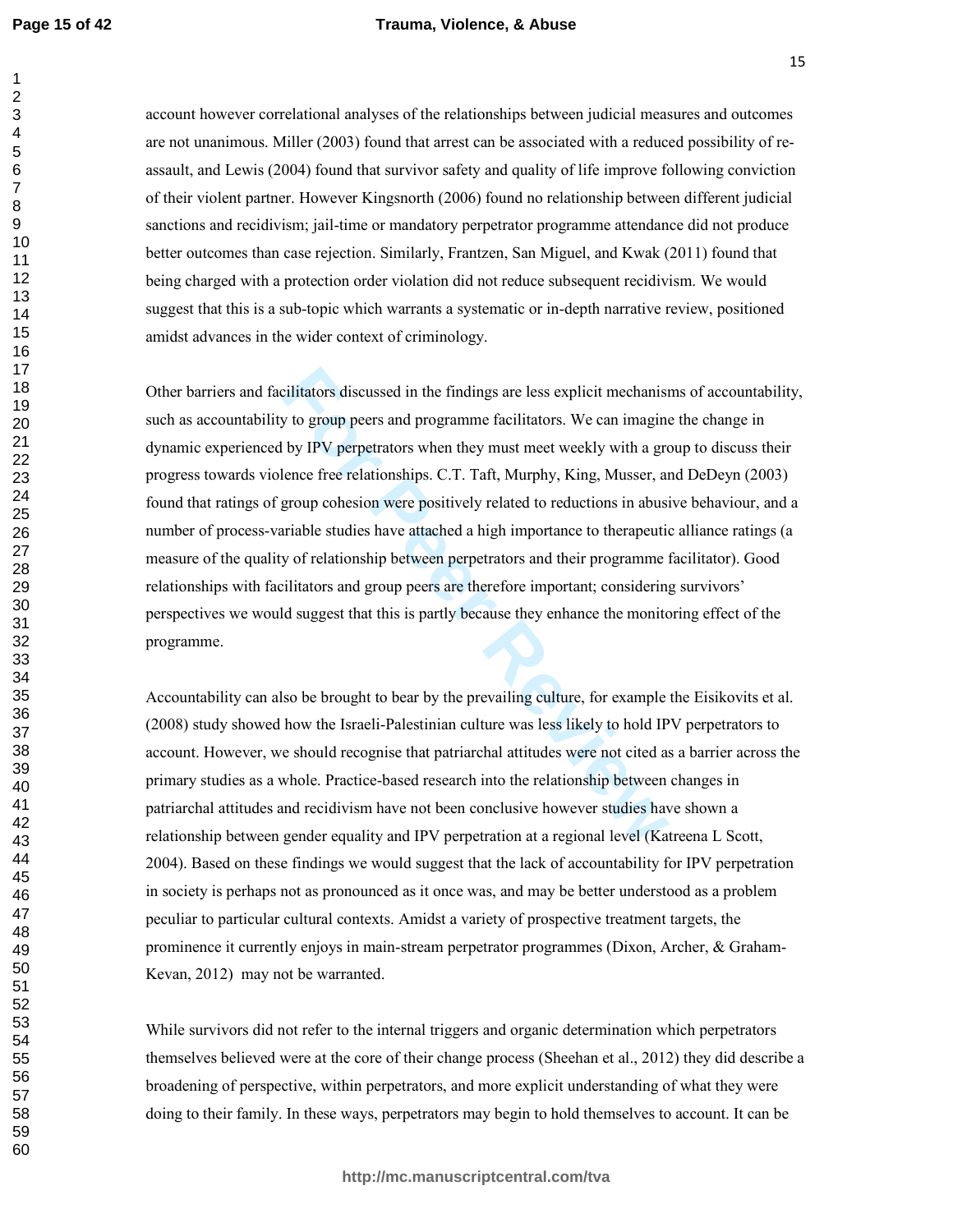#### **Trauma, Violence, & Abuse**

60

account however correlational analyses of the relationships between judicial measures and outcomes are not unanimous. Miller (2003) found that arrest can be associated with a reduced possibility of reassault, and Lewis (2004) found that survivor safety and quality of life improve following conviction of their violent partner. However Kingsnorth (2006) found no relationship between different judicial sanctions and recidivism; jail-time or mandatory perpetrator programme attendance did not produce better outcomes than case rejection. Similarly, Frantzen, San Miguel, and Kwak (2011) found that being charged with a protection order violation did not reduce subsequent recidivism. We would suggest that this is a sub-topic which warrants a systematic or in-depth narrative review, positioned amidst advances in the wider context of criminology.

cilitators discussed in the findings are less explicit mechanisty to group peers and programme facilitators. We can imagine by IPV perpetrators when they must meet weekly with a greence free relationships. C.T. Taft, Murph Other barriers and facilitators discussed in the findings are less explicit mechanisms of accountability, such as accountability to group peers and programme facilitators. We can imagine the change in dynamic experienced by IPV perpetrators when they must meet weekly with a group to discuss their progress towards violence free relationships. C.T. Taft, Murphy, King, Musser, and DeDeyn (2003) found that ratings of group cohesion were positively related to reductions in abusive behaviour, and a number of process-variable studies have attached a high importance to therapeutic alliance ratings (a measure of the quality of relationship between perpetrators and their programme facilitator). Good relationships with facilitators and group peers are therefore important; considering survivors' perspectives we would suggest that this is partly because they enhance the monitoring effect of the programme.

Accountability can also be brought to bear by the prevailing culture, for example the Eisikovits et al. (2008) study showed how the Israeli-Palestinian culture was less likely to hold IPV perpetrators to account. However, we should recognise that patriarchal attitudes were not cited as a barrier across the primary studies as a whole. Practice-based research into the relationship between changes in patriarchal attitudes and recidivism have not been conclusive however studies have shown a relationship between gender equality and IPV perpetration at a regional level (Katreena L Scott, 2004). Based on these findings we would suggest that the lack of accountability for IPV perpetration in society is perhaps not as pronounced as it once was, and may be better understood as a problem peculiar to particular cultural contexts. Amidst a variety of prospective treatment targets, the prominence it currently enjoys in main-stream perpetrator programmes (Dixon, Archer, & Graham-Kevan, 2012) may not be warranted.

While survivors did not refer to the internal triggers and organic determination which perpetrators themselves believed were at the core of their change process (Sheehan et al., 2012) they did describe a broadening of perspective, within perpetrators, and more explicit understanding of what they were doing to their family. In these ways, perpetrators may begin to hold themselves to account. It can be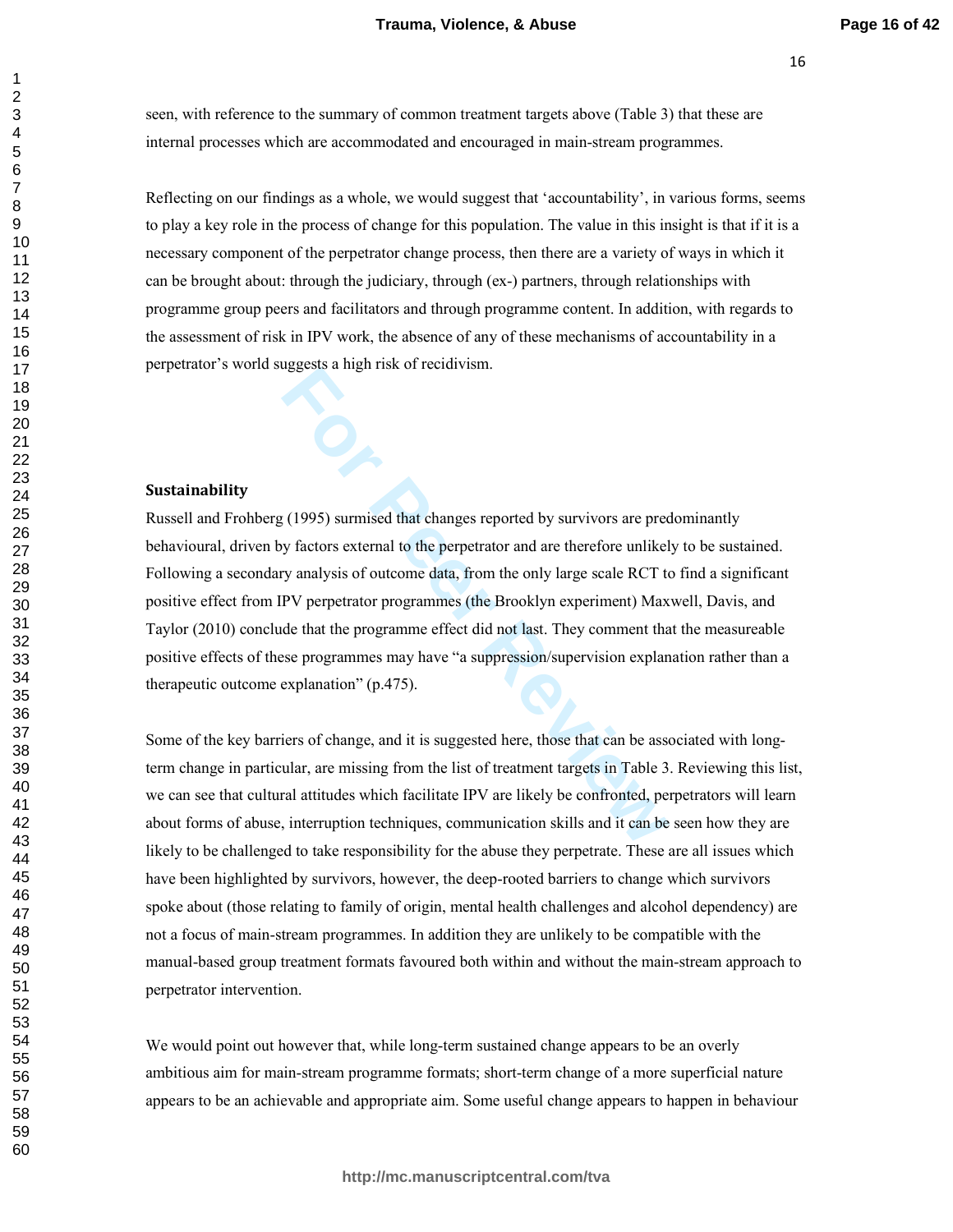seen, with reference to the summary of common treatment targets above (Table 3) that these are internal processes which are accommodated and encouraged in main-stream programmes.

Reflecting on our findings as a whole, we would suggest that 'accountability', in various forms, seems to play a key role in the process of change for this population. The value in this insight is that if it is a necessary component of the perpetrator change process, then there are a variety of ways in which it can be brought about: through the judiciary, through (ex-) partners, through relationships with programme group peers and facilitators and through programme content. In addition, with regards to the assessment of risk in IPV work, the absence of any of these mechanisms of accountability in a perpetrator's world suggests a high risk of recidivism.

#### **Sustainability**

**Formal Solution** Solution Constant Constant Constant Constant Constant Constant Constant Constant Constant Constant Constant Constant Constant Constant Constant Per per perfect and are therefore unliked per perpetrator pr Russell and Frohberg (1995) surmised that changes reported by survivors are predominantly behavioural, driven by factors external to the perpetrator and are therefore unlikely to be sustained. Following a secondary analysis of outcome data, from the only large scale RCT to find a significant positive effect from IPV perpetrator programmes (the Brooklyn experiment) Maxwell, Davis, and Taylor (2010) conclude that the programme effect did not last. They comment that the measureable positive effects of these programmes may have "a suppression/supervision explanation rather than a therapeutic outcome explanation" (p.475).

Some of the key barriers of change, and it is suggested here, those that can be associated with longterm change in particular, are missing from the list of treatment targets in Table 3. Reviewing this list, we can see that cultural attitudes which facilitate IPV are likely be confronted, perpetrators will learn about forms of abuse, interruption techniques, communication skills and it can be seen how they are likely to be challenged to take responsibility for the abuse they perpetrate. These are all issues which have been highlighted by survivors, however, the deep-rooted barriers to change which survivors spoke about (those relating to family of origin, mental health challenges and alcohol dependency) are not a focus of main-stream programmes. In addition they are unlikely to be compatible with the manual-based group treatment formats favoured both within and without the main-stream approach to perpetrator intervention.

We would point out however that, while long-term sustained change appears to be an overly ambitious aim for main-stream programme formats; short-term change of a more superficial nature appears to be an achievable and appropriate aim. Some useful change appears to happen in behaviour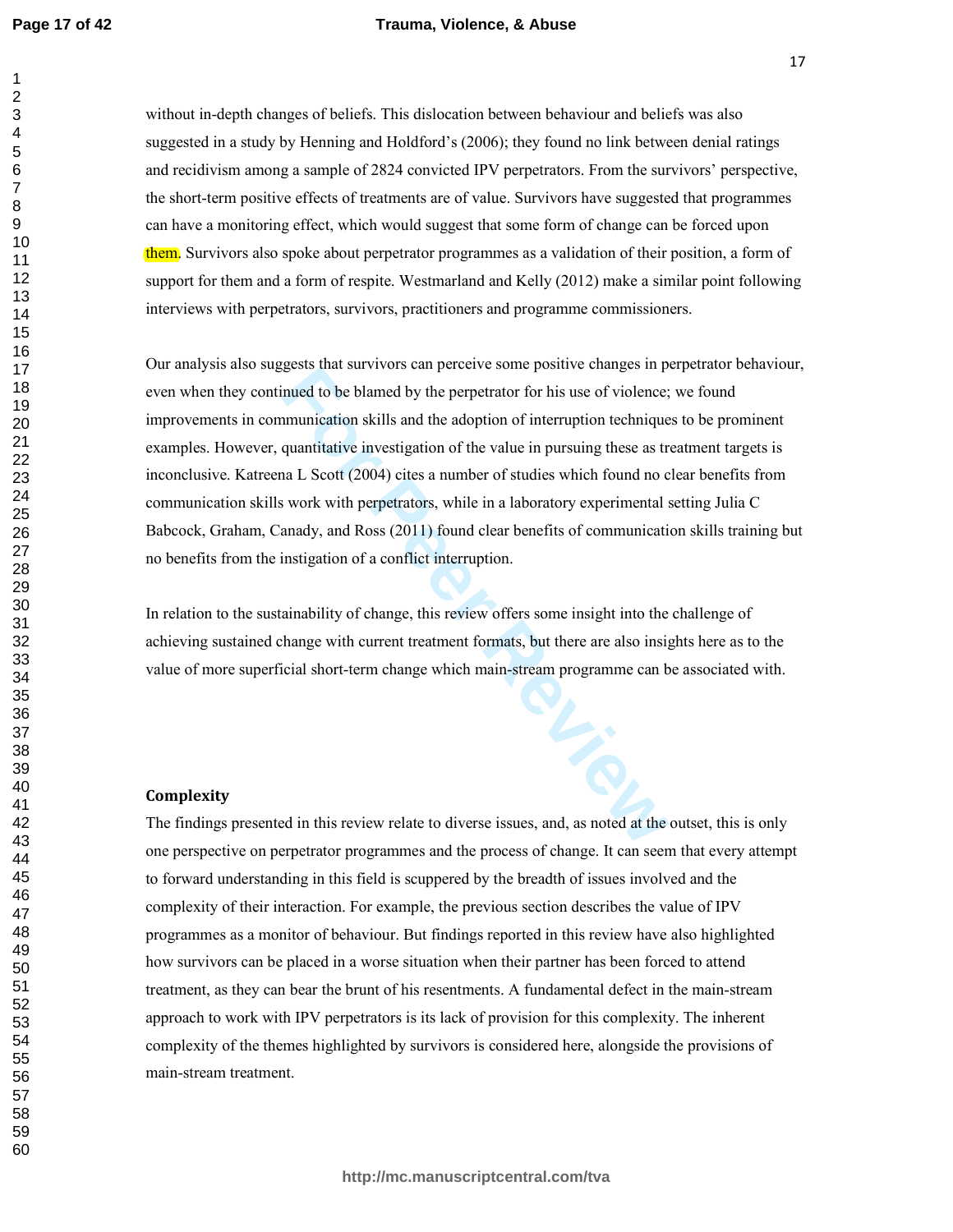#### **Trauma, Violence, & Abuse**

without in-depth changes of beliefs. This dislocation between behaviour and beliefs was also suggested in a study by Henning and Holdford's (2006); they found no link between denial ratings and recidivism among a sample of 2824 convicted IPV perpetrators. From the survivors' perspective, the short-term positive effects of treatments are of value. Survivors have suggested that programmes can have a monitoring effect, which would suggest that some form of change can be forced upon them. Survivors also spoke about perpetrator programmes as a validation of their position, a form of support for them and a form of respite. Westmarland and Kelly (2012) make a similar point following interviews with perpetrators, survivors, practitioners and programme commissioners.

Our analysis also suggests that survivors can perceive some positive changes in perpetrator behaviour, even when they continued to be blamed by the perpetrator for his use of violence; we found improvements in communication skills and the adoption of interruption techniques to be prominent examples. However, quantitative investigation of the value in pursuing these as treatment targets is inconclusive. Katreena L Scott (2004) cites a number of studies which found no clear benefits from communication skills work with perpetrators, while in a laboratory experimental setting Julia C Babcock, Graham, Canady, and Ross (2011) found clear benefits of communication skills training but no benefits from the instigation of a conflict interruption.

In relation to the sustainability of change, this review offers some insight into the challenge of achieving sustained change with current treatment formats, but there are also insights here as to the value of more superficial short-term change which main-stream programme can be associated with.

## **Complexity**

The findings presented in this review relate to diverse issues, and, as noted at the outset, this is only one perspective on perpetrator programmes and the process of change. It can seem that every attempt to forward understanding in this field is scuppered by the breadth of issues involved and the complexity of their interaction. For example, the previous section describes the value of IPV programmes as a monitor of behaviour. But findings reported in this review have also highlighted how survivors can be placed in a worse situation when their partner has been forced to attend treatment, as they can bear the brunt of his resentments. A fundamental defect in the main-stream approach to work with IPV perpetrators is its lack of provision for this complexity. The inherent complexity of the themes highlighted by survivors is considered here, alongside the provisions of main-stream treatment.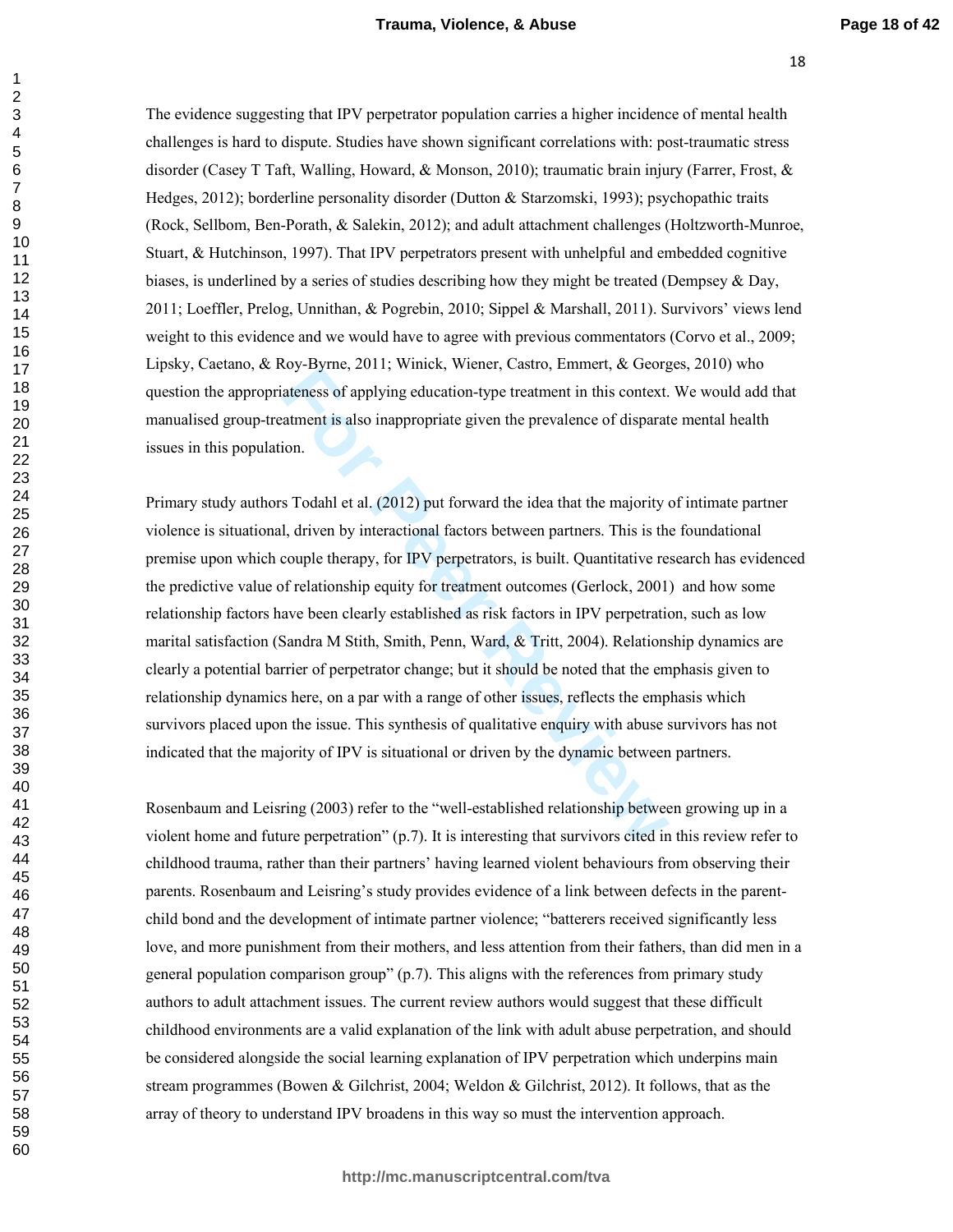The evidence suggesting that IPV perpetrator population carries a higher incidence of mental health challenges is hard to dispute. Studies have shown significant correlations with: post-traumatic stress disorder (Casey T Taft, Walling, Howard, & Monson, 2010); traumatic brain injury (Farrer, Frost, & Hedges, 2012); borderline personality disorder (Dutton & Starzomski, 1993); psychopathic traits (Rock, Sellbom, Ben-Porath, & Salekin, 2012); and adult attachment challenges (Holtzworth-Munroe, Stuart, & Hutchinson, 1997). That IPV perpetrators present with unhelpful and embedded cognitive biases, is underlined by a series of studies describing how they might be treated (Dempsey & Day, 2011; Loeffler, Prelog, Unnithan, & Pogrebin, 2010; Sippel & Marshall, 2011). Survivors' views lend weight to this evidence and we would have to agree with previous commentators (Corvo et al., 2009; Lipsky, Caetano, & Roy-Byrne, 2011; Winick, Wiener, Castro, Emmert, & Georges, 2010) who question the appropriateness of applying education-type treatment in this context. We would add that manualised group-treatment is also inappropriate given the prevalence of disparate mental health issues in this population.

Form, 2011, which, where, casto, Elimite, & Georg<br>ateness of applying education-type treatment in this context.<br>atment is also inappropriate given the prevalence of disparat<br>ion.<br>S Todahl et al. (2012) put forward the idea Primary study authors Todahl et al. (2012) put forward the idea that the majority of intimate partner violence is situational, driven by interactional factors between partners. This is the foundational premise upon which couple therapy, for IPV perpetrators, is built. Quantitative research has evidenced the predictive value of relationship equity for treatment outcomes (Gerlock, 2001) and how some relationship factors have been clearly established as risk factors in IPV perpetration, such as low marital satisfaction (Sandra M Stith, Smith, Penn, Ward, & Tritt, 2004). Relationship dynamics are clearly a potential barrier of perpetrator change; but it should be noted that the emphasis given to relationship dynamics here, on a par with a range of other issues, reflects the emphasis which survivors placed upon the issue. This synthesis of qualitative enquiry with abuse survivors has not indicated that the majority of IPV is situational or driven by the dynamic between partners.

Rosenbaum and Leisring (2003) refer to the "well-established relationship between growing up in a violent home and future perpetration" (p.7). It is interesting that survivors cited in this review refer to childhood trauma, rather than their partners' having learned violent behaviours from observing their parents. Rosenbaum and Leisring's study provides evidence of a link between defects in the parentchild bond and the development of intimate partner violence; "batterers received significantly less love, and more punishment from their mothers, and less attention from their fathers, than did men in a general population comparison group"  $(p.7)$ . This aligns with the references from primary study authors to adult attachment issues. The current review authors would suggest that these difficult childhood environments are a valid explanation of the link with adult abuse perpetration, and should be considered alongside the social learning explanation of IPV perpetration which underpins main stream programmes (Bowen & Gilchrist, 2004; Weldon & Gilchrist, 2012). It follows, that as the array of theory to understand IPV broadens in this way so must the intervention approach.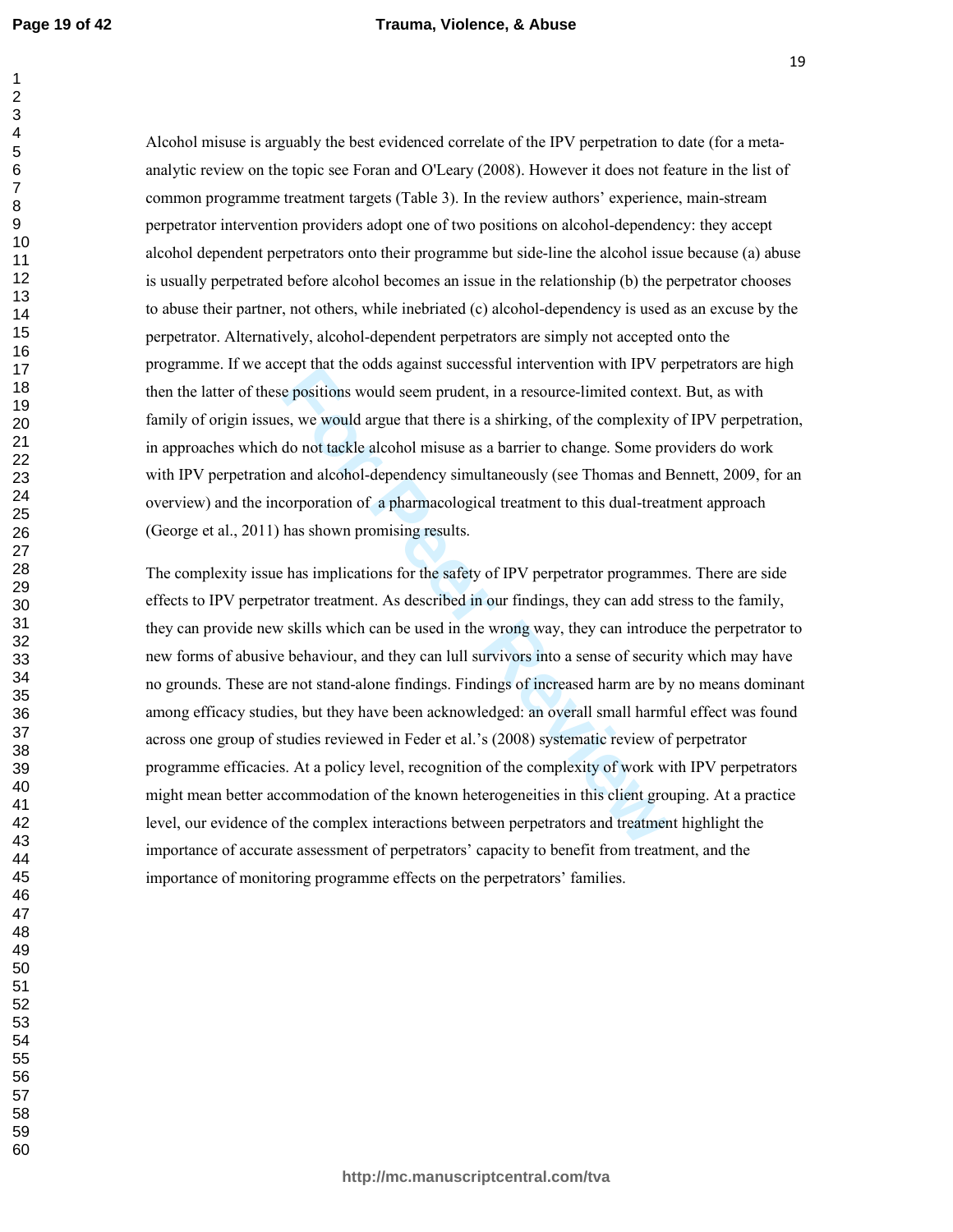Alcohol misuse is arguably the best evidenced correlate of the IPV perpetration to date (for a metaanalytic review on the topic see Foran and O'Leary (2008). However it does not feature in the list of common programme treatment targets (Table 3). In the review authors' experience, main-stream perpetrator intervention providers adopt one of two positions on alcohol-dependency: they accept alcohol dependent perpetrators onto their programme but side-line the alcohol issue because (a) abuse is usually perpetrated before alcohol becomes an issue in the relationship (b) the perpetrator chooses to abuse their partner, not others, while inebriated (c) alcohol-dependency is used as an excuse by the perpetrator. Alternatively, alcohol-dependent perpetrators are simply not accepted onto the programme. If we accept that the odds against successful intervention with IPV perpetrators are high then the latter of these positions would seem prudent, in a resource-limited context. But, as with family of origin issues, we would argue that there is a shirking, of the complexity of IPV perpetration, in approaches which do not tackle alcohol misuse as a barrier to change. Some providers do work with IPV perpetration and alcohol-dependency simultaneously (see Thomas and Bennett, 2009, for an overview) and the incorporation of a pharmacological treatment to this dual-treatment approach (George et al., 2011) has shown promising results.

Equal the basis against successian intervention with it v p<br>e positions would seem prudent, in a resource-limited contex<br>s, we would argue that there is a shirking, of the complexity<br>do not tackle alcohol misuse as a barri The complexity issue has implications for the safety of IPV perpetrator programmes. There are side effects to IPV perpetrator treatment. As described in our findings, they can add stress to the family, they can provide new skills which can be used in the wrong way, they can introduce the perpetrator to new forms of abusive behaviour, and they can lull survivors into a sense of security which may have no grounds. These are not stand-alone findings. Findings of increased harm are by no means dominant among efficacy studies, but they have been acknowledged: an overall small harmful effect was found across one group of studies reviewed in Feder et al.'s (2008) systematic review of perpetrator programme efficacies. At a policy level, recognition of the complexity of work with IPV perpetrators might mean better accommodation of the known heterogeneities in this client grouping. At a practice level, our evidence of the complex interactions between perpetrators and treatment highlight the importance of accurate assessment of perpetrators' capacity to benefit from treatment, and the importance of monitoring programme effects on the perpetrators' families.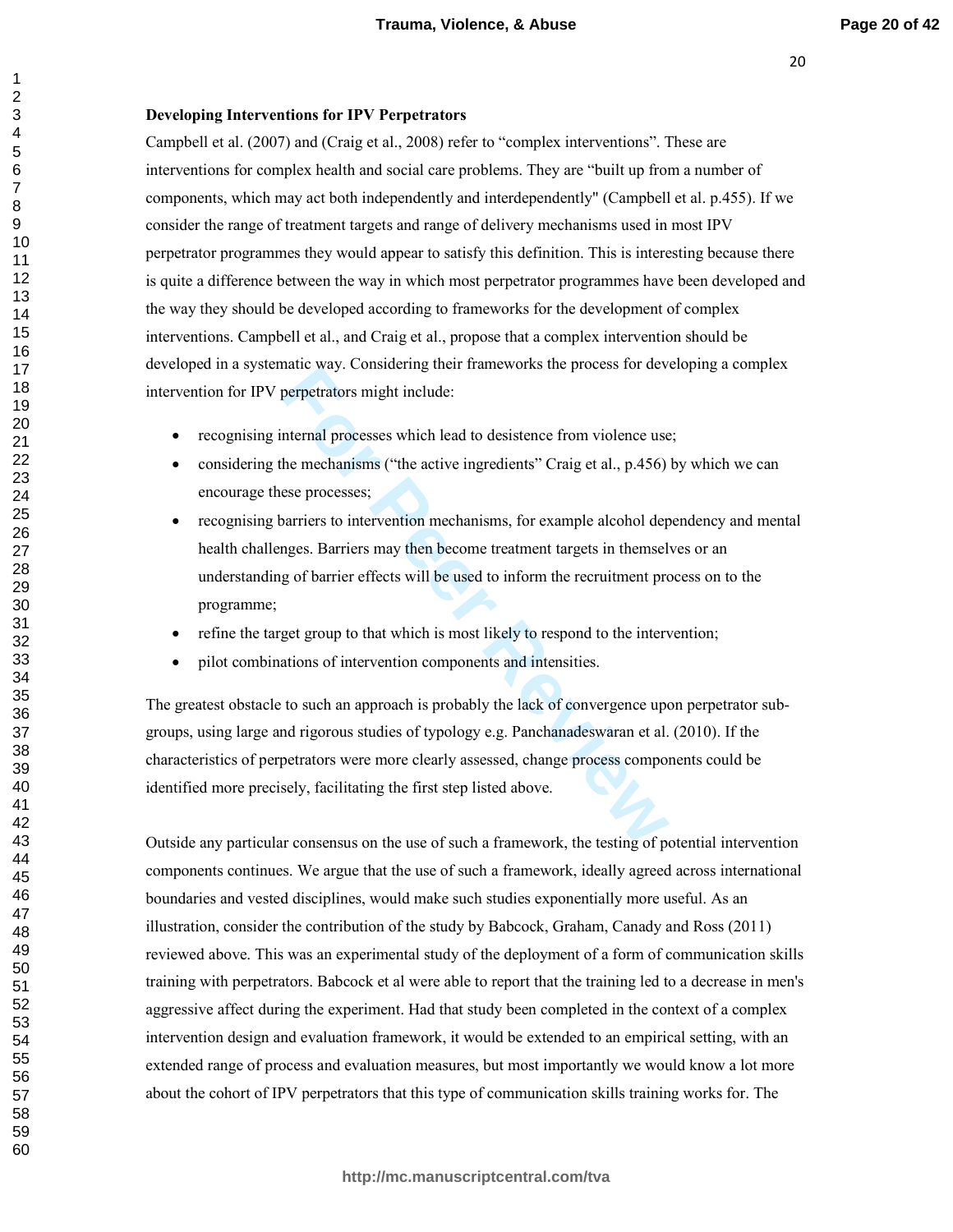## **Developing Interventions for IPV Perpetrators**

Campbell et al. (2007) and (Craig et al., 2008) refer to "complex interventions". These are interventions for complex health and social care problems. They are "built up from a number of components, which may act both independently and interdependently" (Campbell et al. p.455). If we consider the range of treatment targets and range of delivery mechanisms used in most IPV perpetrator programmes they would appear to satisfy this definition. This is interesting because there is quite a difference between the way in which most perpetrator programmes have been developed and the way they should be developed according to frameworks for the development of complex interventions. Campbell et al., and Craig et al., propose that a complex intervention should be developed in a systematic way. Considering their frameworks the process for developing a complex intervention for IPV perpetrators might include:

- recognising internal processes which lead to desistence from violence use;
- considering the mechanisms ("the active ingredients" Craig et al., p.456) by which we can encourage these processes;
- recognising barriers to intervention mechanisms, for example alcohol dependency and mental health challenges. Barriers may then become treatment targets in themselves or an understanding of barrier effects will be used to inform the recruitment process on to the programme;
- refine the target group to that which is most likely to respond to the intervention;
- pilot combinations of intervention components and intensities.

matic way. Considering their matic works the process for devi-<br> **Forefortators** might include:<br>
Internal processes which lead to desistence from violence use<br>
the mechanisms ("the active ingredients" Craig et al., p.456)<br> The greatest obstacle to such an approach is probably the lack of convergence upon perpetrator subgroups, using large and rigorous studies of typology e.g. Panchanadeswaran et al. (2010). If the characteristics of perpetrators were more clearly assessed, change process components could be identified more precisely, facilitating the first step listed above.

Outside any particular consensus on the use of such a framework, the testing of potential intervention components continues. We argue that the use of such a framework, ideally agreed across international boundaries and vested disciplines, would make such studies exponentially more useful. As an illustration, consider the contribution of the study by Babcock, Graham, Canady and Ross (2011) reviewed above. This was an experimental study of the deployment of a form of communication skills training with perpetrators. Babcock et al were able to report that the training led to a decrease in men's aggressive affect during the experiment. Had that study been completed in the context of a complex intervention design and evaluation framework, it would be extended to an empirical setting, with an extended range of process and evaluation measures, but most importantly we would know a lot more about the cohort of IPV perpetrators that this type of communication skills training works for. The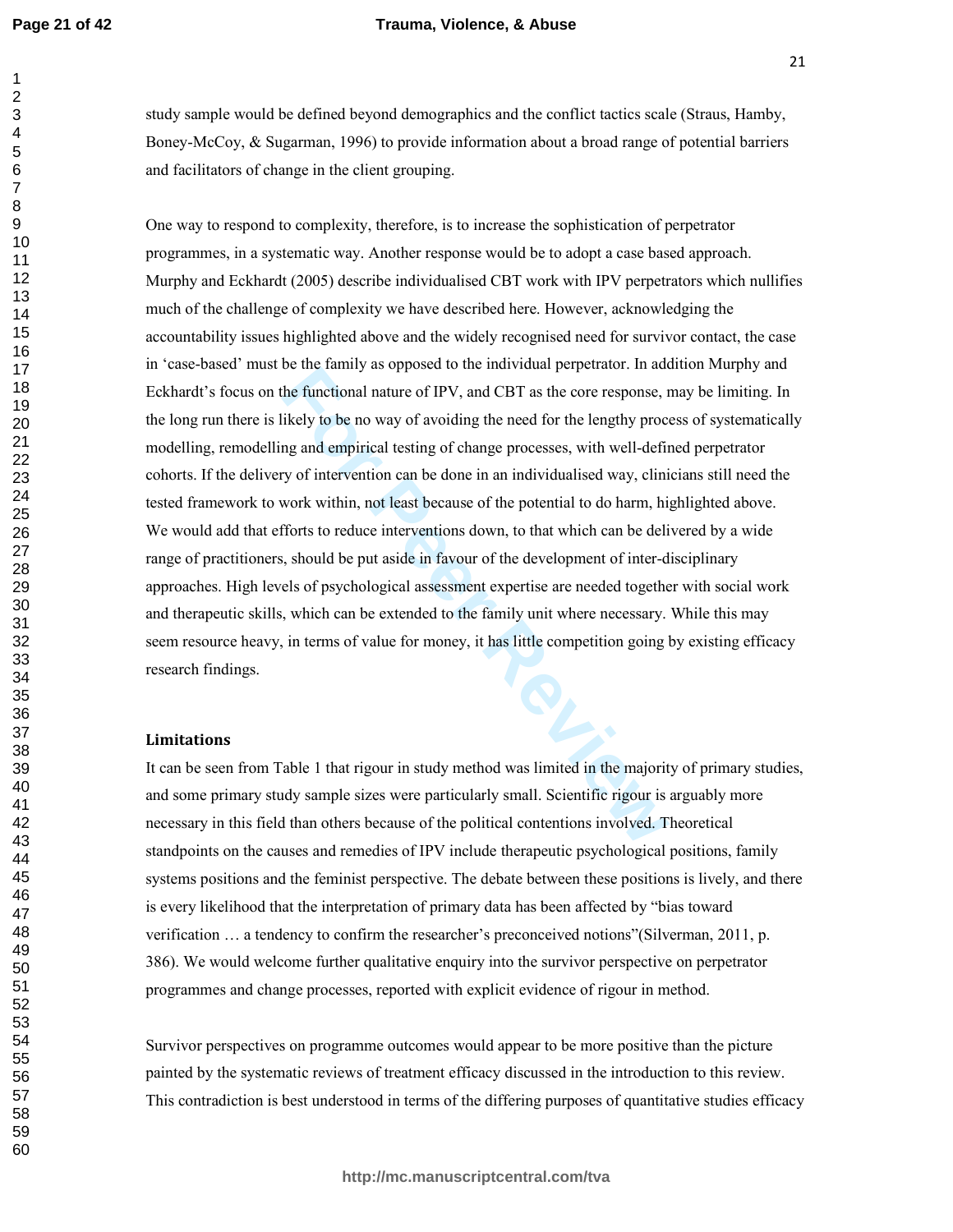## **Trauma, Violence, & Abuse**

study sample would be defined beyond demographics and the conflict tactics scale (Straus, Hamby, Boney-McCoy, & Sugarman, 1996) to provide information about a broad range of potential barriers and facilitators of change in the client grouping.

be the functional nature of IPV, and CBT as the core response, in add<br>the functional nature of IPV, and CBT as the core response, is<br>ikely to be no way of avoiding the need for the lengthy proce<br>mg and empirical testing of One way to respond to complexity, therefore, is to increase the sophistication of perpetrator programmes, in a systematic way. Another response would be to adopt a case based approach. Murphy and Eckhardt (2005) describe individualised CBT work with IPV perpetrators which nullifies much of the challenge of complexity we have described here. However, acknowledging the accountability issues highlighted above and the widely recognised need for survivor contact, the case in 'case-based' must be the family as opposed to the individual perpetrator. In addition Murphy and Eckhardt's focus on the functional nature of IPV, and CBT as the core response, may be limiting. In the long run there is likely to be no way of avoiding the need for the lengthy process of systematically modelling, remodelling and empirical testing of change processes, with well-defined perpetrator cohorts. If the delivery of intervention can be done in an individualised way, clinicians still need the tested framework to work within, not least because of the potential to do harm, highlighted above. We would add that efforts to reduce interventions down, to that which can be delivered by a wide range of practitioners, should be put aside in favour of the development of inter-disciplinary approaches. High levels of psychological assessment expertise are needed together with social work and therapeutic skills, which can be extended to the family unit where necessary. While this may seem resource heavy, in terms of value for money, it has little competition going by existing efficacy research findings.

## **Limitations**

It can be seen from Table 1 that rigour in study method was limited in the majority of primary studies, and some primary study sample sizes were particularly small. Scientific rigour is arguably more necessary in this field than others because of the political contentions involved. Theoretical standpoints on the causes and remedies of IPV include therapeutic psychological positions, family systems positions and the feminist perspective. The debate between these positions is lively, and there is every likelihood that the interpretation of primary data has been affected by "bias toward verification … a tendency to confirm the researcher's preconceived notions"(Silverman, 2011, p. 386). We would welcome further qualitative enquiry into the survivor perspective on perpetrator programmes and change processes, reported with explicit evidence of rigour in method.

Survivor perspectives on programme outcomes would appear to be more positive than the picture painted by the systematic reviews of treatment efficacy discussed in the introduction to this review. This contradiction is best understood in terms of the differing purposes of quantitative studies efficacy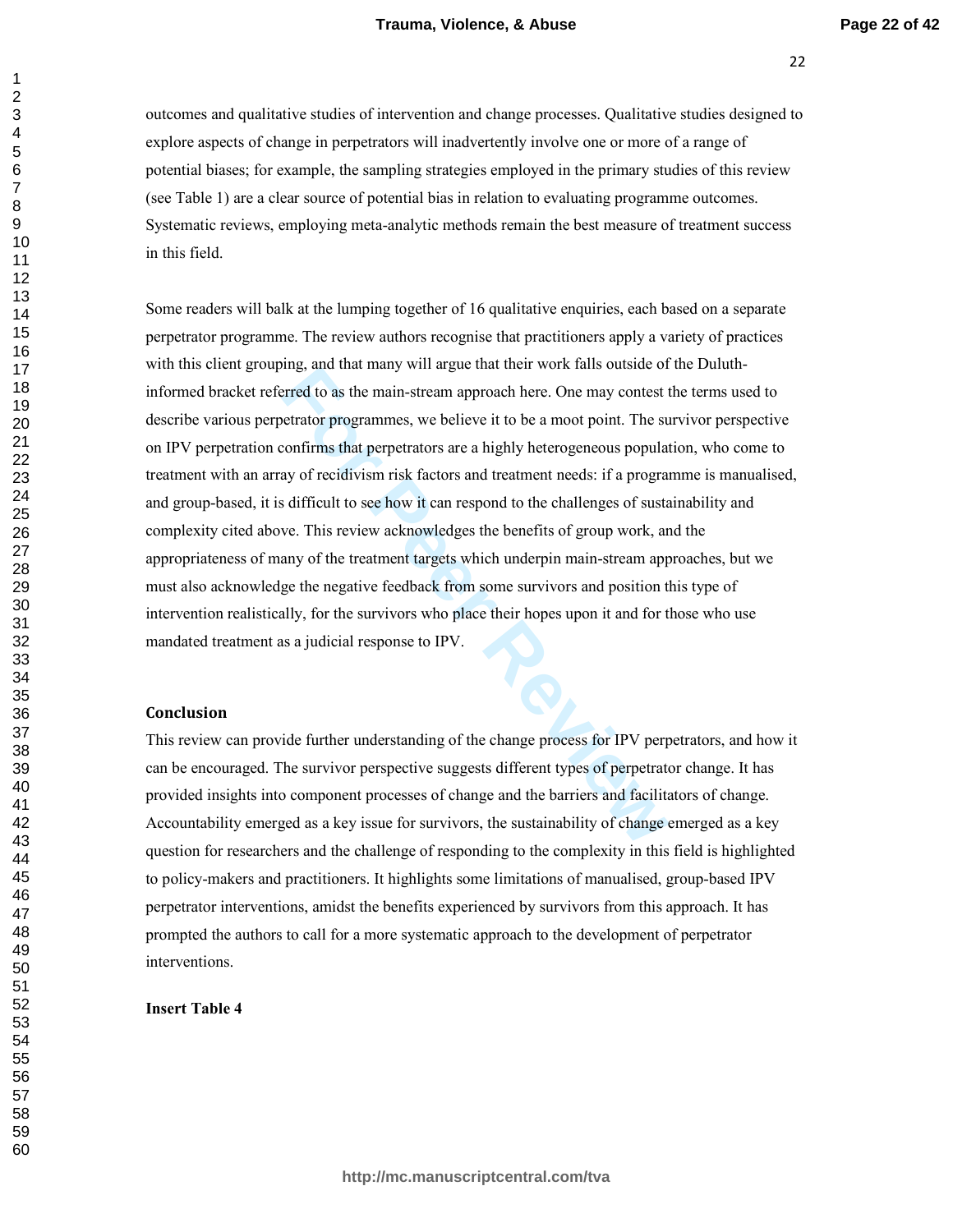outcomes and qualitative studies of intervention and change processes. Qualitative studies designed to explore aspects of change in perpetrators will inadvertently involve one or more of a range of potential biases; for example, the sampling strategies employed in the primary studies of this review (see Table 1) are a clear source of potential bias in relation to evaluating programme outcomes. Systematic reviews, employing meta-analytic methods remain the best measure of treatment success in this field.

For the material in the state and the state of the state of the state of the main-stream approach here. One may contest the tractor programmes, we believe it to be a moot point. The suconfirms that perpetrators are a highl Some readers will balk at the lumping together of 16 qualitative enquiries, each based on a separate perpetrator programme. The review authors recognise that practitioners apply a variety of practices with this client grouping, and that many will argue that their work falls outside of the Duluthinformed bracket referred to as the main-stream approach here. One may contest the terms used to describe various perpetrator programmes, we believe it to be a moot point. The survivor perspective on IPV perpetration confirms that perpetrators are a highly heterogeneous population, who come to treatment with an array of recidivism risk factors and treatment needs: if a programme is manualised, and group-based, it is difficult to see how it can respond to the challenges of sustainability and complexity cited above. This review acknowledges the benefits of group work, and the appropriateness of many of the treatment targets which underpin main-stream approaches, but we must also acknowledge the negative feedback from some survivors and position this type of intervention realistically, for the survivors who place their hopes upon it and for those who use mandated treatment as a judicial response to IPV.

#### **Conclusion**

This review can provide further understanding of the change process for IPV perpetrators, and how it can be encouraged. The survivor perspective suggests different types of perpetrator change. It has provided insights into component processes of change and the barriers and facilitators of change. Accountability emerged as a key issue for survivors, the sustainability of change emerged as a key question for researchers and the challenge of responding to the complexity in this field is highlighted to policy-makers and practitioners. It highlights some limitations of manualised, group-based IPV perpetrator interventions, amidst the benefits experienced by survivors from this approach. It has prompted the authors to call for a more systematic approach to the development of perpetrator interventions.

## **Insert Table 4**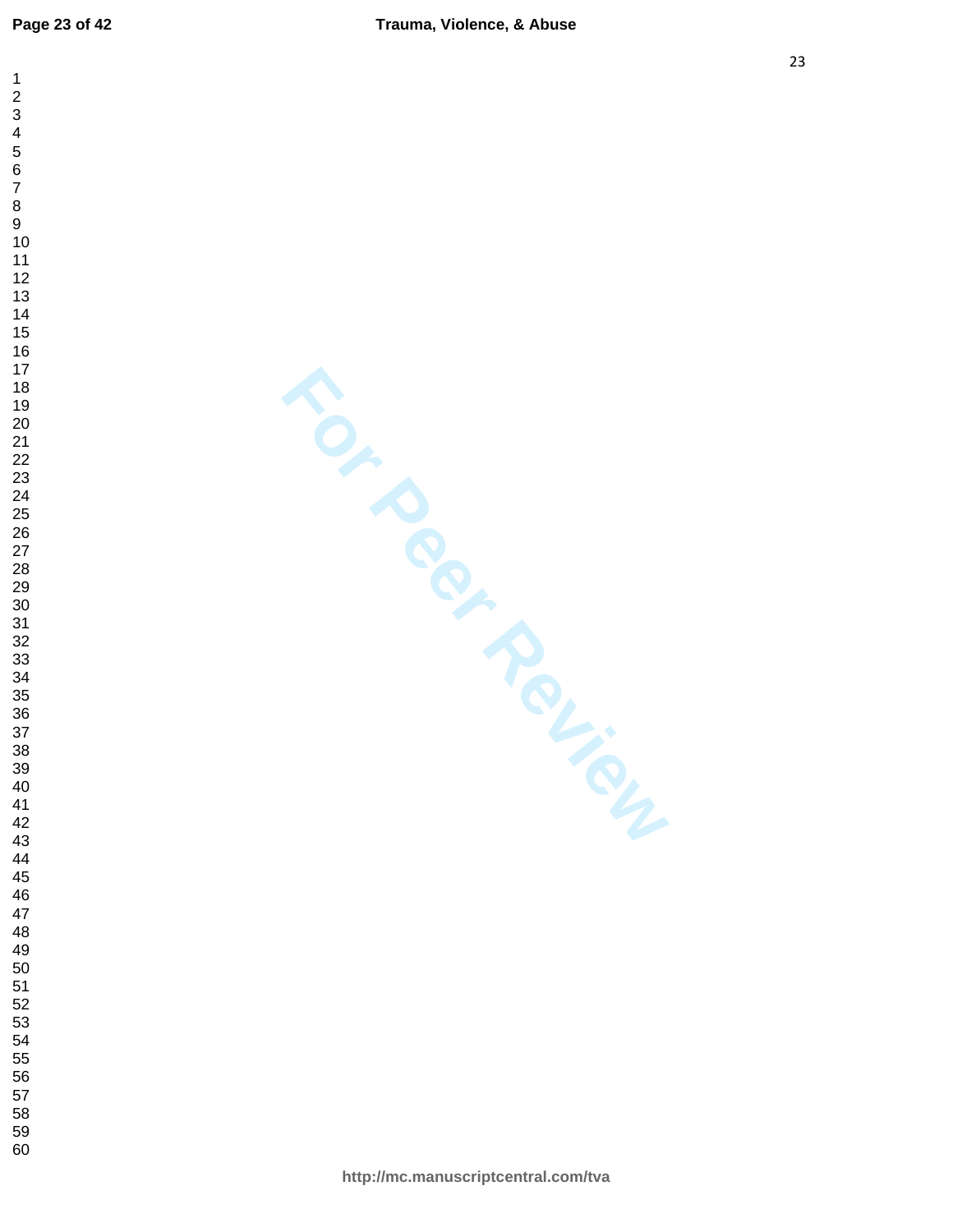$\mathbf 1$  $\overline{2}$  $\overline{\mathbf{4}}$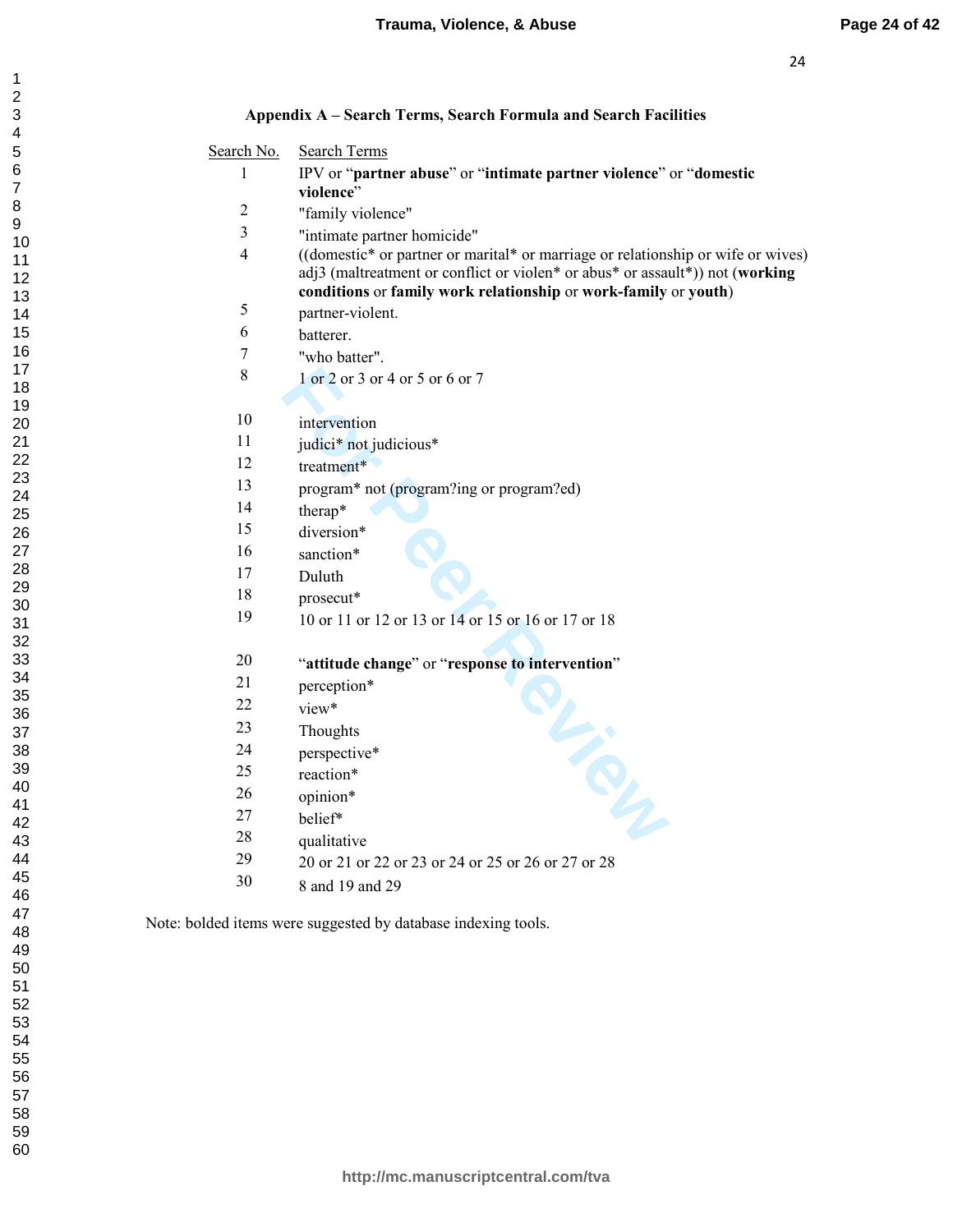| Search No.     | <b>Search Terms</b>                                                                                                                                                                                                                                          |
|----------------|--------------------------------------------------------------------------------------------------------------------------------------------------------------------------------------------------------------------------------------------------------------|
| 1              | IPV or "partner abuse" or "intimate partner violence" or "domestic<br>violence"                                                                                                                                                                              |
| $\overline{2}$ | "family violence"                                                                                                                                                                                                                                            |
| 3              | "intimate partner homicide"                                                                                                                                                                                                                                  |
| $\overline{4}$ | ((domestic <sup>*</sup> or partner or marital <sup>*</sup> or marriage or relationship or wife or wives)<br>adj3 (maltreatment or conflict or violen* or abus* or assault*)) not (working<br>conditions or family work relationship or work-family or youth) |
| 5              | partner-violent.                                                                                                                                                                                                                                             |
| 6              | batterer.                                                                                                                                                                                                                                                    |
| 7              | "who batter".                                                                                                                                                                                                                                                |
| 8              | 1 or 2 or 3 or 4 or 5 or 6 or 7                                                                                                                                                                                                                              |
|                |                                                                                                                                                                                                                                                              |
| 10             | intervention                                                                                                                                                                                                                                                 |
| 11             | judici* not judicious*                                                                                                                                                                                                                                       |
| 12             | treatment*                                                                                                                                                                                                                                                   |
| 13             | program* not (program?ing or program?ed)                                                                                                                                                                                                                     |
| 14             | therap*                                                                                                                                                                                                                                                      |
| 15             | diversion*                                                                                                                                                                                                                                                   |
| 16             | sanction*                                                                                                                                                                                                                                                    |
| 17             | Duluth                                                                                                                                                                                                                                                       |
| 18             | prosecut*                                                                                                                                                                                                                                                    |
| 19             | 10 or 11 or 12 or 13 or 14 or 15 or 16 or 17 or 18                                                                                                                                                                                                           |
| 20             | "attitude change" or "response to intervention"                                                                                                                                                                                                              |
| 21             | perception*                                                                                                                                                                                                                                                  |
| 22             | view*                                                                                                                                                                                                                                                        |
| 23             | Thoughts                                                                                                                                                                                                                                                     |
| 24             | perspective*                                                                                                                                                                                                                                                 |
| 25             | DH.<br>reaction*                                                                                                                                                                                                                                             |
| 26             | opinion*                                                                                                                                                                                                                                                     |
| 27             | belief*                                                                                                                                                                                                                                                      |
| 28             | qualitative                                                                                                                                                                                                                                                  |
| 29             | 20 or 21 or 22 or 23 or 24 or 25 or 26 or 27 or 28                                                                                                                                                                                                           |
| 30             | 8 and 19 and 29                                                                                                                                                                                                                                              |

## **Appendix A – Search Terms, Search Formula and Search Facilities**

Note: bolded items were suggested by database indexing tools.

 $\mathbf 1$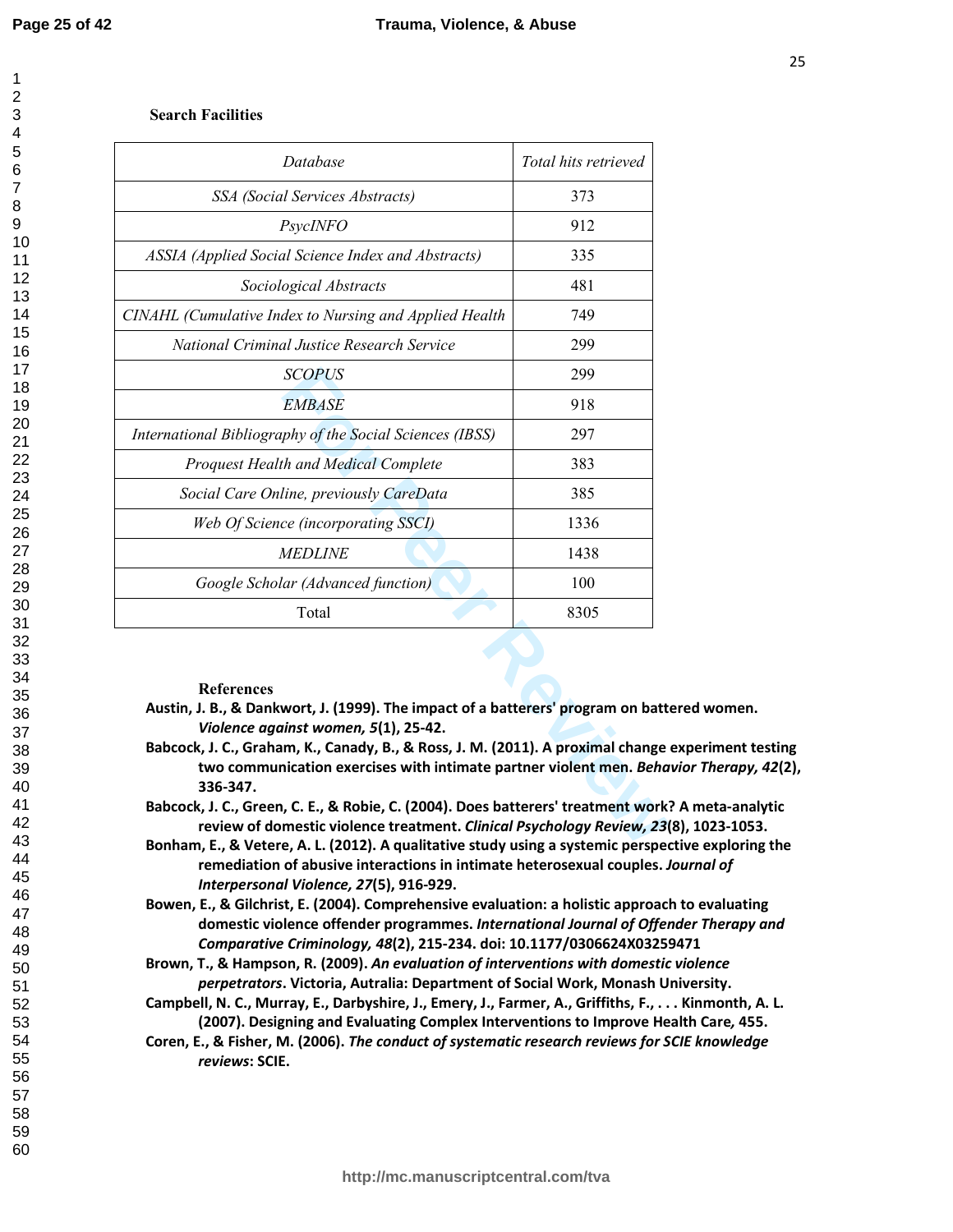$\mathbf{1}$ 

## **Search Facilities**

| Total hits retrieved                                                                                                                                                                                                                                                                                                           |
|--------------------------------------------------------------------------------------------------------------------------------------------------------------------------------------------------------------------------------------------------------------------------------------------------------------------------------|
| 373                                                                                                                                                                                                                                                                                                                            |
| 912                                                                                                                                                                                                                                                                                                                            |
| 335                                                                                                                                                                                                                                                                                                                            |
| 481                                                                                                                                                                                                                                                                                                                            |
| 749                                                                                                                                                                                                                                                                                                                            |
| 299                                                                                                                                                                                                                                                                                                                            |
| 299                                                                                                                                                                                                                                                                                                                            |
| 918                                                                                                                                                                                                                                                                                                                            |
| 297                                                                                                                                                                                                                                                                                                                            |
| 383                                                                                                                                                                                                                                                                                                                            |
| 385                                                                                                                                                                                                                                                                                                                            |
| 1336                                                                                                                                                                                                                                                                                                                           |
| 1438                                                                                                                                                                                                                                                                                                                           |
| 100                                                                                                                                                                                                                                                                                                                            |
| 8305                                                                                                                                                                                                                                                                                                                           |
| Austin, J. B., & Dankwort, J. (1999). The impact of a batterers' program on batt<br>Babcock, J. C., Graham, K., Canady, B., & Ross, J. M. (2011). A proximal change<br>two communication exercises with intimate partner violent men. Beha<br>Babcock, J. C., Green, C. E., & Robie, C. (2004). Does batterers' treatment work |
| CINAHL (Cumulative Index to Nursing and Applied Health                                                                                                                                                                                                                                                                         |

- **Austin, J. B., & Dankwort, J. (1999). The impact of a batterers' program on battered women.**  *Violence against women, 5***(1), 25-42.**
- **Babcock, J. C., Graham, K., Canady, B., & Ross, J. M. (2011). A proximal change experiment testing two communication exercises with intimate partner violent men.** *Behavior Therapy, 42***(2), 336-347.**
- **Babcock, J. C., Green, C. E., & Robie, C. (2004). Does batterers' treatment work? A meta-analytic review of domestic violence treatment.** *Clinical Psychology Review, 23***(8), 1023-1053.**
- **Bonham, E., & Vetere, A. L. (2012). A qualitative study using a systemic perspective exploring the remediation of abusive interactions in intimate heterosexual couples.** *Journal of Interpersonal Violence, 27***(5), 916-929.**
- **Bowen, E., & Gilchrist, E. (2004). Comprehensive evaluation: a holistic approach to evaluating domestic violence offender programmes.** *International Journal of Offender Therapy and Comparative Criminology, 48***(2), 215-234. doi: 10.1177/0306624X03259471**
- **Brown, T., & Hampson, R. (2009).** *An evaluation of interventions with domestic violence perpetrators***. Victoria, Autralia: Department of Social Work, Monash University.**
- **Campbell, N. C., Murray, E., Darbyshire, J., Emery, J., Farmer, A., Griffiths, F., . . . Kinmonth, A. L. (2007). Designing and Evaluating Complex Interventions to Improve Health Care***,* **455.**
- **Coren, E., & Fisher, M. (2006).** *The conduct of systematic research reviews for SCIE knowledge reviews***: SCIE.**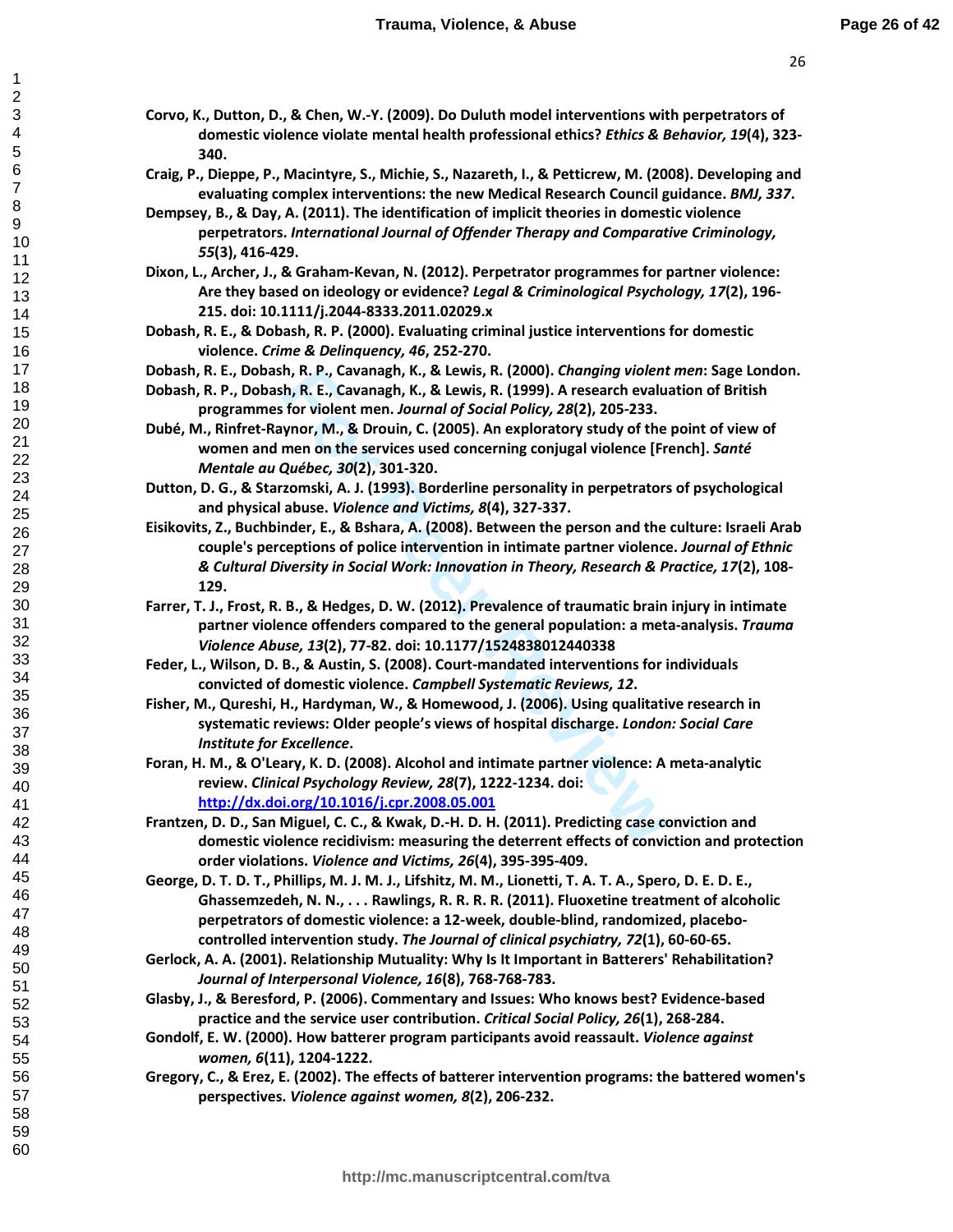**Corvo, K., Dutton, D., & Chen, W.-Y. (2009). Do Duluth model interventions with perpetrators of domestic violence violate mental health professional ethics?** *Ethics & Behavior, 19***(4), 323- 340.** 

123456789

- **Craig, P., Dieppe, P., Macintyre, S., Michie, S., Nazareth, I., & Petticrew, M. (2008). Developing and evaluating complex interventions: the new Medical Research Council guidance.** *BMJ, 337***.**
- **Dempsey, B., & Day, A. (2011). The identification of implicit theories in domestic violence perpetrators.** *International Journal of Offender Therapy and Comparative Criminology, 55***(3), 416-429.**
- **Dixon, L., Archer, J., & Graham-Kevan, N. (2012). Perpetrator programmes for partner violence: Are they based on ideology or evidence?** *Legal & Criminological Psychology, 17***(2), 196- 215. doi: 10.1111/j.2044-8333.2011.02029.x**
- **Dobash, R. E., & Dobash, R. P. (2000). Evaluating criminal justice interventions for domestic violence.** *Crime & Delinquency, 46***, 252-270.**
- **Dobash, R. E., Dobash, R. P., Cavanagh, K., & Lewis, R. (2000).** *Changing violent men***: Sage London.**
- **Dobash, R. P., Dobash, R. E., Cavanagh, K., & Lewis, R. (1999). A research evaluation of British programmes for violent men.** *Journal of Social Policy, 28***(2), 205-233.**
- **Dubé, M., Rinfret-Raynor, M., & Drouin, C. (2005). An exploratory study of the point of view of women and men on the services used concerning conjugal violence [French].** *Santé Mentale au Québec, 30***(2), 301-320.**
- **Dutton, D. G., & Starzomski, A. J. (1993). Borderline personality in perpetrators of psychological and physical abuse.** *Violence and Victims, 8***(4), 327-337.**
- h, R. P., Cavanagh, K., & Lewis, R. (2000). *Changing violent*<br>
h, R. E., Cavanagh, K., & Lewis, R. (1999). A research evalues<br>
for violent men. *Journal of Social Policy, 28*(2), 205-233.<br>
for violent men. *Journal of Soc* **Eisikovits, Z., Buchbinder, E., & Bshara, A. (2008). Between the person and the culture: Israeli Arab couple's perceptions of police intervention in intimate partner violence.** *Journal of Ethnic & Cultural Diversity in Social Work: Innovation in Theory, Research & Practice, 17***(2), 108- 129.**
- **Farrer, T. J., Frost, R. B., & Hedges, D. W. (2012). Prevalence of traumatic brain injury in intimate partner violence offenders compared to the general population: a meta-analysis.** *Trauma Violence Abuse, 13***(2), 77-82. doi: 10.1177/1524838012440338**
- **Feder, L., Wilson, D. B., & Austin, S. (2008). Court-mandated interventions for individuals convicted of domestic violence.** *Campbell Systematic Reviews, 12***.**
- **Fisher, M., Qureshi, H., Hardyman, W., & Homewood, J. (2006). Using qualitative research in systematic reviews: Older people's views of hospital discharge.** *London: Social Care Institute for Excellence***.**
- **Foran, H. M., & O'Leary, K. D. (2008). Alcohol and intimate partner violence: A meta-analytic review.** *Clinical Psychology Review, 28***(7), 1222-1234. doi: http://dx.doi.org/10.1016/j.cpr.2008.05.001**
- **Frantzen, D. D., San Miguel, C. C., & Kwak, D.-H. D. H. (2011). Predicting case conviction and domestic violence recidivism: measuring the deterrent effects of conviction and protection order violations.** *Violence and Victims, 26***(4), 395-395-409.**
- **George, D. T. D. T., Phillips, M. J. M. J., Lifshitz, M. M., Lionetti, T. A. T. A., Spero, D. E. D. E., Ghassemzedeh, N. N., . . . Rawlings, R. R. R. R. (2011). Fluoxetine treatment of alcoholic perpetrators of domestic violence: a 12-week, double-blind, randomized, placebocontrolled intervention study.** *The Journal of clinical psychiatry, 72***(1), 60-60-65.**
- **Gerlock, A. A. (2001). Relationship Mutuality: Why Is It Important in Batterers' Rehabilitation?**  *Journal of Interpersonal Violence, 16***(8), 768-768-783.**
- **Glasby, J., & Beresford, P. (2006). Commentary and Issues: Who knows best? Evidence-based practice and the service user contribution.** *Critical Social Policy, 26***(1), 268-284.**
- **Gondolf, E. W. (2000). How batterer program participants avoid reassault.** *Violence against women, 6***(11), 1204-1222.**
- **Gregory, C., & Erez, E. (2002). The effects of batterer intervention programs: the battered women's perspectives.** *Violence against women, 8***(2), 206-232.**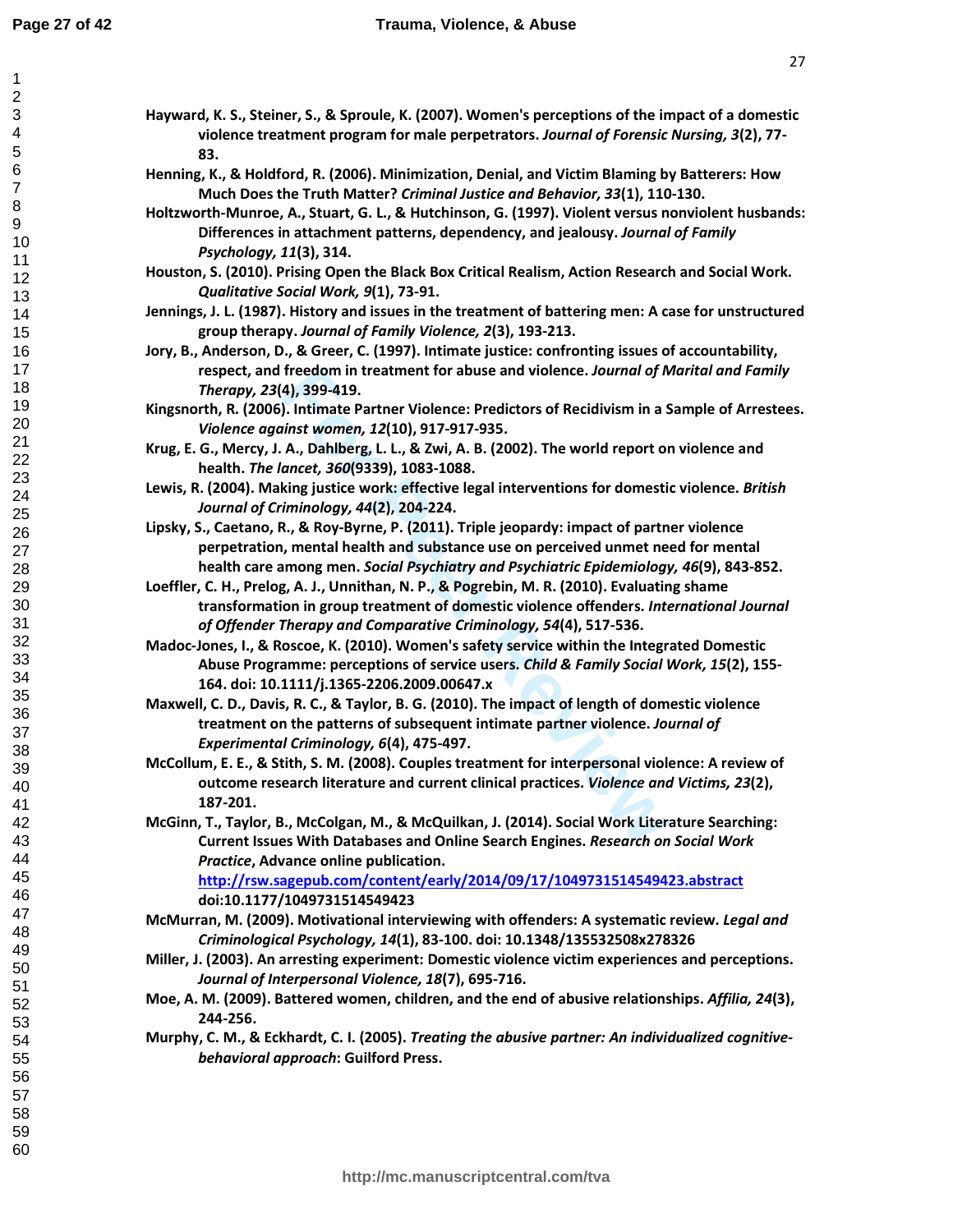$\mathbf{1}$  $\overline{2}$ 3  $\overline{\mathbf{4}}$ 5 6  $\overline{7}$  $\,8\,$ 9

| Hayward, K. S., Steiner, S., & Sproule, K. (2007). Women's perceptions of the impact of a domestic<br>violence treatment program for male perpetrators. Journal of Forensic Nursing, 3(2), 77-<br>83.                      |
|----------------------------------------------------------------------------------------------------------------------------------------------------------------------------------------------------------------------------|
| Henning, K., & Holdford, R. (2006). Minimization, Denial, and Victim Blaming by Batterers: How<br>Much Does the Truth Matter? Criminal Justice and Behavior, 33(1), 110-130.                                               |
| Holtzworth-Munroe, A., Stuart, G. L., & Hutchinson, G. (1997). Violent versus nonviolent husbands:<br>Differences in attachment patterns, dependency, and jealousy. Journal of Family                                      |
| Psychology, 11(3), 314.                                                                                                                                                                                                    |
| Houston, S. (2010). Prising Open the Black Box Critical Realism, Action Research and Social Work.<br>Qualitative Social Work, 9(1), 73-91.                                                                                 |
| Jennings, J. L. (1987). History and issues in the treatment of battering men: A case for unstructured                                                                                                                      |
| group therapy. Journal of Family Violence, 2(3), 193-213.                                                                                                                                                                  |
| Jory, B., Anderson, D., & Greer, C. (1997). Intimate justice: confronting issues of accountability,<br>respect, and freedom in treatment for abuse and violence. Journal of Marital and Family<br>Therapy, 23(4), 399-419. |
| Kingsnorth, R. (2006). Intimate Partner Violence: Predictors of Recidivism in a Sample of Arrestees.<br>Violence against women, 12(10), 917-917-935.                                                                       |
| Krug, E. G., Mercy, J. A., Dahlberg, L. L., & Zwi, A. B. (2002). The world report on violence and<br>health. The lancet, 360(9339), 1083-1088.                                                                             |
| Lewis, R. (2004). Making justice work: effective legal interventions for domestic violence. British<br>Journal of Criminology, 44(2), 204-224.                                                                             |
| Lipsky, S., Caetano, R., & Roy-Byrne, P. (2011). Triple jeopardy: impact of partner violence                                                                                                                               |
| perpetration, mental health and substance use on perceived unmet need for mental<br>health care among men. Social Psychiatry and Psychiatric Epidemiology, 46(9), 843-852.                                                 |
| Loeffler, C. H., Prelog, A. J., Unnithan, N. P., & Pogrebin, M. R. (2010). Evaluating shame                                                                                                                                |
| transformation in group treatment of domestic violence offenders. International Journal<br>of Offender Therapy and Comparative Criminology, 54(4), 517-536.                                                                |
| Madoc-Jones, I., & Roscoe, K. (2010). Women's safety service within the Integrated Domestic                                                                                                                                |
| Abuse Programme: perceptions of service users. Child & Family Social Work, 15(2), 155-<br>164. doi: 10.1111/j.1365-2206.2009.00647.x                                                                                       |
| Maxwell, C. D., Davis, R. C., & Taylor, B. G. (2010). The impact of length of domestic violence                                                                                                                            |
| treatment on the patterns of subsequent intimate partner violence. Journal of<br>Experimental Criminology, 6(4), 475-497.                                                                                                  |
| McCollum, E. E., & Stith, S. M. (2008). Couples treatment for interpersonal violence: A review of                                                                                                                          |
| outcome research literature and current clinical practices. Violence and Victims, 23(2),<br>187-201.                                                                                                                       |
| McGinn, T., Taylor, B., McColgan, M., & McQuilkan, J. (2014). Social Work Literature Searching:                                                                                                                            |
| Current Issues With Databases and Online Search Engines. Research on Social Work<br>Practice, Advance online publication.                                                                                                  |
| http://rsw.sagepub.com/content/early/2014/09/17/1049731514549423.abstract<br>doi:10.1177/1049731514549423                                                                                                                  |
| McMurran, M. (2009). Motivational interviewing with offenders: A systematic review. Legal and<br>Criminological Psychology, 14(1), 83-100. doi: 10.1348/135532508x278326                                                   |
| Miller, J. (2003). An arresting experiment: Domestic violence victim experiences and perceptions.<br>Journal of Interpersonal Violence, 18(7), 695-716.                                                                    |
| Moe, A. M. (2009). Battered women, children, and the end of abusive relationships. Affilia, 24(3),<br>244-256.                                                                                                             |
| Murphy, C. M., & Eckhardt, C. I. (2005). Treating the abusive partner: An individualized cognitive-                                                                                                                        |
| behavioral approach: Guilford Press.                                                                                                                                                                                       |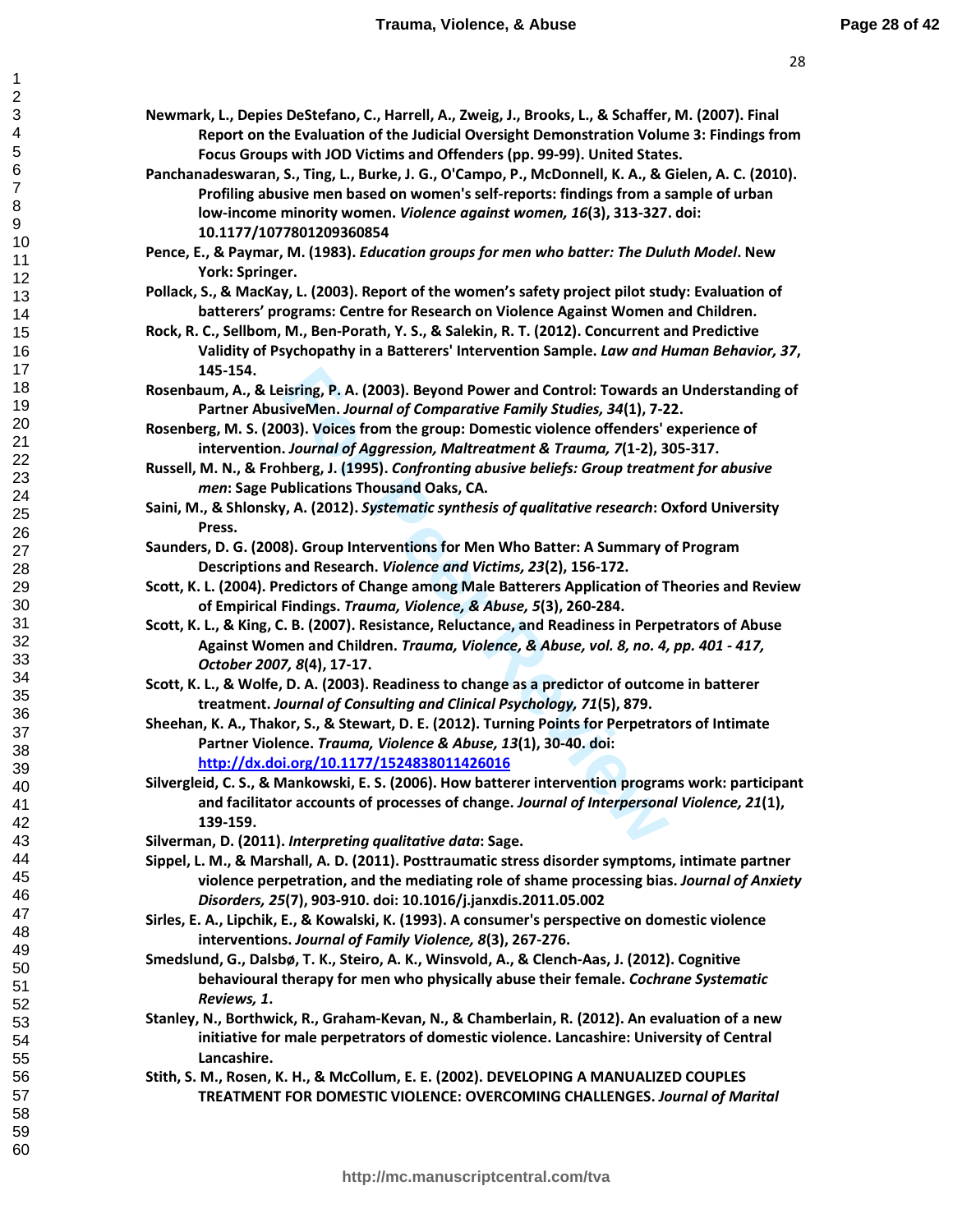- **Newmark, L., Depies DeStefano, C., Harrell, A., Zweig, J., Brooks, L., & Schaffer, M. (2007). Final Report on the Evaluation of the Judicial Oversight Demonstration Volume 3: Findings from Focus Groups with JOD Victims and Offenders (pp. 99-99). United States.**
- **Panchanadeswaran, S., Ting, L., Burke, J. G., O'Campo, P., McDonnell, K. A., & Gielen, A. C. (2010). Profiling abusive men based on women's self-reports: findings from a sample of urban low-income minority women.** *Violence against women, 16***(3), 313-327. doi: 10.1177/1077801209360854**
- **Pence, E., & Paymar, M. (1983).** *Education groups for men who batter: The Duluth Model***. New York: Springer.**
- **Pollack, S., & MacKay, L. (2003). Report of the women's safety project pilot study: Evaluation of batterers' programs: Centre for Research on Violence Against Women and Children.**
- **Rock, R. C., Sellbom, M., Ben-Porath, Y. S., & Salekin, R. T. (2012). Concurrent and Predictive Validity of Psychopathy in a Batterers' Intervention Sample.** *Law and Human Behavior, 37***, 145-154.**
- **Rosenbaum, A., & Leisring, P. A. (2003). Beyond Power and Control: Towards an Understanding of Partner AbusiveMen.** *Journal of Comparative Family Studies, 34***(1), 7-22.**
- **Rosenberg, M. S. (2003). Voices from the group: Domestic violence offenders' experience of intervention.** *Journal of Aggression, Maltreatment & Trauma, 7***(1-2), 305-317.**
- **Russell, M. N., & Frohberg, J. (1995).** *Confronting abusive beliefs: Group treatment for abusive men***: Sage Publications Thousand Oaks, CA.**
- **Saini, M., & Shlonsky, A. (2012).** *Systematic synthesis of qualitative research***: Oxford University Press.**
- **Saunders, D. G. (2008). Group Interventions for Men Who Batter: A Summary of Program Descriptions and Research.** *Violence and Victims, 23***(2), 156-172.**
- **Scott, K. L. (2004). Predictors of Change among Male Batterers Application of Theories and Review of Empirical Findings.** *Trauma, Violence, & Abuse, 5***(3), 260-284.**
- eisring, P. A. (2003). Beyond Power and Control: Towards a<br>siveMen. Journal of Comparative Family Studies, 34(1), 7-2<br>03). Voices from the group: Domestic violence offenders' e.<br>Journal of Aggression, Maltreatment & Trauma **Scott, K. L., & King, C. B. (2007). Resistance, Reluctance, and Readiness in Perpetrators of Abuse Against Women and Children.** *Trauma, Violence, & Abuse, vol. 8, no. 4, pp. 401 - 417, October 2007, 8***(4), 17-17.**
- **Scott, K. L., & Wolfe, D. A. (2003). Readiness to change as a predictor of outcome in batterer treatment.** *Journal of Consulting and Clinical Psychology, 71***(5), 879.**
- **Sheehan, K. A., Thakor, S., & Stewart, D. E. (2012). Turning Points for Perpetrators of Intimate Partner Violence.** *Trauma, Violence & Abuse, 13***(1), 30-40. doi: http://dx.doi.org/10.1177/1524838011426016**
- **Silvergleid, C. S., & Mankowski, E. S. (2006). How batterer intervention programs work: participant and facilitator accounts of processes of change.** *Journal of Interpersonal Violence, 21***(1), 139-159.**
- **Silverman, D. (2011).** *Interpreting qualitative data***: Sage.**
- **Sippel, L. M., & Marshall, A. D. (2011). Posttraumatic stress disorder symptoms, intimate partner violence perpetration, and the mediating role of shame processing bias.** *Journal of Anxiety Disorders, 25***(7), 903-910. doi: 10.1016/j.janxdis.2011.05.002**
- **Sirles, E. A., Lipchik, E., & Kowalski, K. (1993). A consumer's perspective on domestic violence interventions.** *Journal of Family Violence, 8***(3), 267-276.**
- **Smedslund, G., Dalsbø, T. K., Steiro, A. K., Winsvold, A., & Clench-Aas, J. (2012). Cognitive behavioural therapy for men who physically abuse their female.** *Cochrane Systematic Reviews, 1***.**
- **Stanley, N., Borthwick, R., Graham-Kevan, N., & Chamberlain, R. (2012). An evaluation of a new initiative for male perpetrators of domestic violence. Lancashire: University of Central Lancashire.**
- **Stith, S. M., Rosen, K. H., & McCollum, E. E. (2002). DEVELOPING A MANUALIZED COUPLES TREATMENT FOR DOMESTIC VIOLENCE: OVERCOMING CHALLENGES.** *Journal of Marital*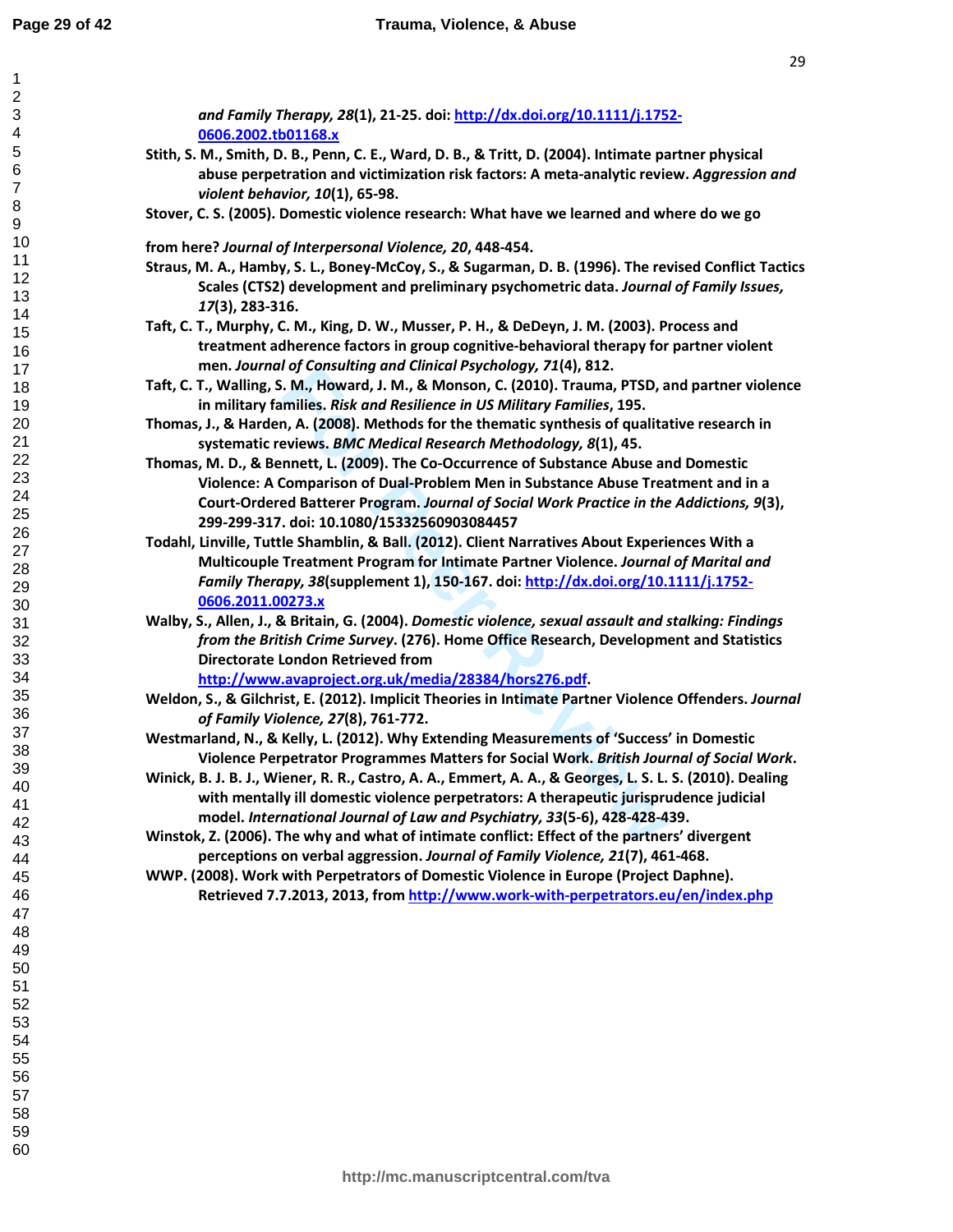$\mathbf{1}$  $\overline{2}$ 3  $\overline{\mathbf{4}}$ 5 6  $\overline{7}$  $\,8\,$  $\boldsymbol{9}$ 

| and Family Therapy, 28(1), 21-25. doi: http://dx.doi.org/10.1111/j.1752-<br>0606.2002.tb01168.x                                                                                                  |
|--------------------------------------------------------------------------------------------------------------------------------------------------------------------------------------------------|
| Stith, S. M., Smith, D. B., Penn, C. E., Ward, D. B., & Tritt, D. (2004). Intimate partner physical<br>abuse perpetration and victimization risk factors: A meta-analytic review. Aggression and |
| violent behavior, 10(1), 65-98.<br>Stover, C. S. (2005). Domestic violence research: What have we learned and where do we go                                                                     |
|                                                                                                                                                                                                  |
| from here? Journal of Interpersonal Violence, 20, 448-454.<br>Straus, M. A., Hamby, S. L., Boney-McCoy, S., & Sugarman, D. B. (1996). The revised Conflict Tactics                               |
| Scales (CTS2) development and preliminary psychometric data. Journal of Family Issues,<br>17(3), 283-316.                                                                                        |
| Taft, C. T., Murphy, C. M., King, D. W., Musser, P. H., & DeDeyn, J. M. (2003). Process and                                                                                                      |
| treatment adherence factors in group cognitive-behavioral therapy for partner violent<br>men. Journal of Consulting and Clinical Psychology, 71(4), 812.                                         |
| Taft, C. T., Walling, S. M., Howard, J. M., & Monson, C. (2010). Trauma, PTSD, and partner violence<br>in military families. Risk and Resilience in US Military Families, 195.                   |
| Thomas, J., & Harden, A. (2008). Methods for the thematic synthesis of qualitative research in<br>systematic reviews. BMC Medical Research Methodology, 8(1), 45.                                |
| Thomas, M. D., & Bennett, L. (2009). The Co-Occurrence of Substance Abuse and Domestic                                                                                                           |
| Violence: A Comparison of Dual-Problem Men in Substance Abuse Treatment and in a                                                                                                                 |
| Court-Ordered Batterer Program. Journal of Social Work Practice in the Addictions, 9(3),<br>299-299-317. doi: 10.1080/15332560903084457                                                          |
| Todahl, Linville, Tuttle Shamblin, & Ball. (2012). Client Narratives About Experiences With a                                                                                                    |
| Multicouple Treatment Program for Intimate Partner Violence. Journal of Marital and<br>Family Therapy, 38(supplement 1), 150-167. doi: http://dx.doi.org/10.1111/j.1752-                         |
| 0606.2011.00273.x                                                                                                                                                                                |
| Walby, S., Allen, J., & Britain, G. (2004). Domestic violence, sexual assault and stalking: Findings                                                                                             |
| from the British Crime Survey. (276). Home Office Research, Development and Statistics                                                                                                           |
| <b>Directorate London Retrieved from</b>                                                                                                                                                         |
| http://www.avaproject.org.uk/media/28384/hors276.pdf.                                                                                                                                            |
| Weldon, S., & Gilchrist, E. (2012). Implicit Theories in Intimate Partner Violence Offenders. Journal                                                                                            |
| of Family Violence, 27(8), 761-772.                                                                                                                                                              |
| Westmarland, N., & Kelly, L. (2012). Why Extending Measurements of 'Success' in Domestic<br>Violence Perpetrator Programmes Matters for Social Work. British Journal of Social Work.             |
| Winick, B. J. B. J., Wiener, R. R., Castro, A. A., Emmert, A. A., & Georges, L. S. L. S. (2010). Dealing                                                                                         |
| with mentally ill domestic violence perpetrators: A therapeutic jurisprudence judicial                                                                                                           |
| model. International Journal of Law and Psychiatry, 33(5-6), 428-428-439.                                                                                                                        |
| Winstok, Z. (2006). The why and what of intimate conflict: Effect of the partners' divergent                                                                                                     |
| perceptions on verbal aggression. Journal of Family Violence, 21(7), 461-468.                                                                                                                    |
| WWP. (2008). Work with Perpetrators of Domestic Violence in Europe (Project Daphne).                                                                                                             |
| Retrieved 7.7.2013, 2013, from http://www.work-with-perpetrators.eu/en/index.php                                                                                                                 |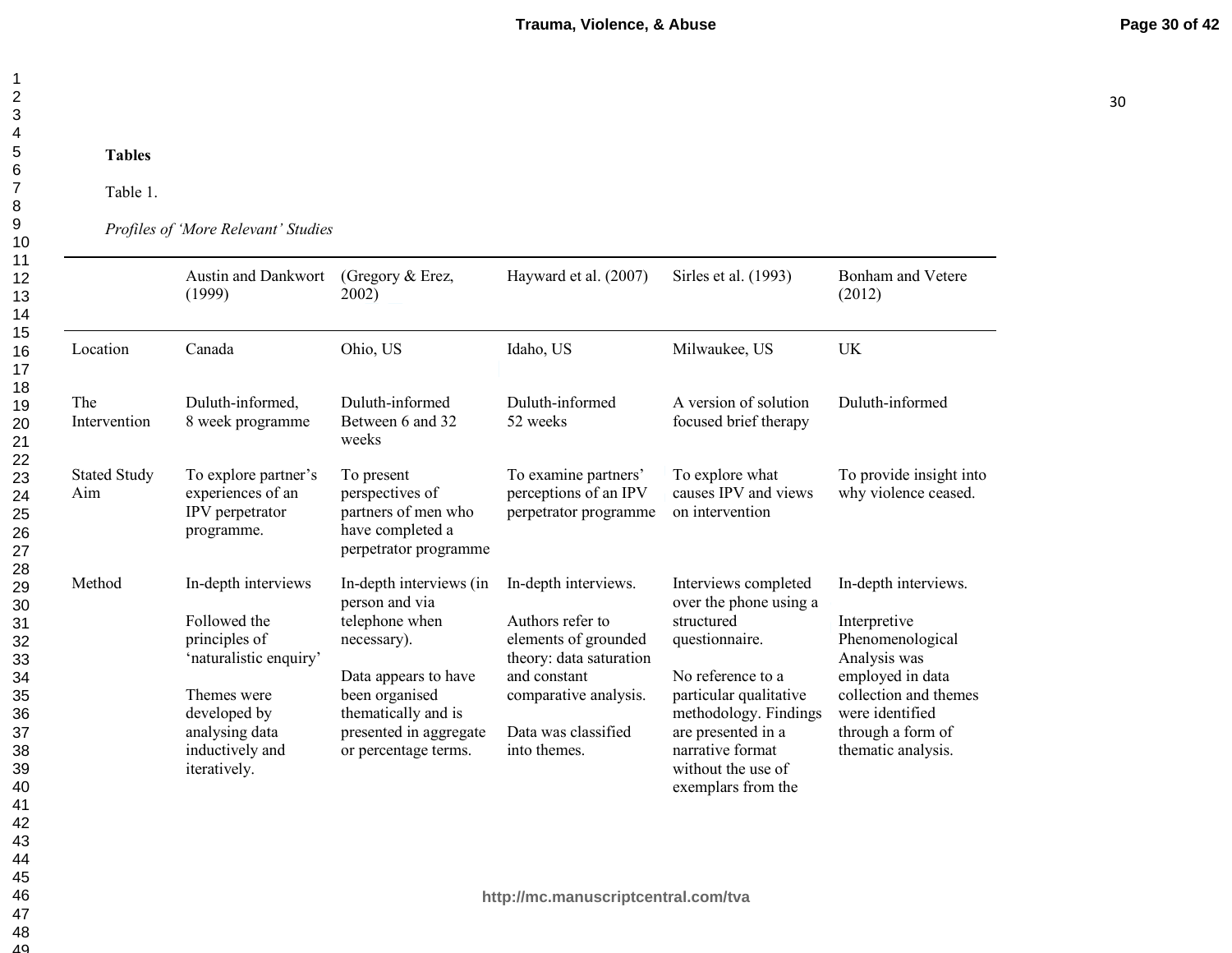# **Tables**

Table 1.

*Profiles of 'More Relevant' Studies* 

|                            | <b>Austin and Dankwort</b><br>(1999)                                                                                                                               | (Gregory & Erez,<br>2002)                                                                                                                                                                     | Hayward et al. (2007)                                                                                                                                                       | Sirles et al. (1993)                                                                                                                                                                                                                         | Bonham and Vetere<br>(2012)                                                                                                                                                         |
|----------------------------|--------------------------------------------------------------------------------------------------------------------------------------------------------------------|-----------------------------------------------------------------------------------------------------------------------------------------------------------------------------------------------|-----------------------------------------------------------------------------------------------------------------------------------------------------------------------------|----------------------------------------------------------------------------------------------------------------------------------------------------------------------------------------------------------------------------------------------|-------------------------------------------------------------------------------------------------------------------------------------------------------------------------------------|
| Location                   | Canada                                                                                                                                                             | Ohio, US                                                                                                                                                                                      | Idaho, US                                                                                                                                                                   | Milwaukee, US                                                                                                                                                                                                                                | <b>UK</b>                                                                                                                                                                           |
| The<br>Intervention        | Duluth-informed,<br>8 week programme                                                                                                                               | Duluth-informed<br>Between 6 and 32<br>weeks                                                                                                                                                  | Duluth-informed<br>52 weeks                                                                                                                                                 | A version of solution<br>focused brief therapy                                                                                                                                                                                               | Duluth-informed                                                                                                                                                                     |
| <b>Stated Study</b><br>Aim | To explore partner's<br>experiences of an<br>IPV perpetrator<br>programme.                                                                                         | To present<br>perspectives of<br>partners of men who<br>have completed a<br>perpetrator programme                                                                                             | To examine partners'<br>perceptions of an IPV<br>perpetrator programme                                                                                                      | To explore what<br>causes IPV and views<br>on intervention                                                                                                                                                                                   | To provide insight into<br>why violence ceased.                                                                                                                                     |
| Method                     | In-depth interviews<br>Followed the<br>principles of<br>'naturalistic enquiry'<br>Themes were<br>developed by<br>analysing data<br>inductively and<br>iteratively. | In-depth interviews (in<br>person and via<br>telephone when<br>necessary).<br>Data appears to have<br>been organised<br>thematically and is<br>presented in aggregate<br>or percentage terms. | In-depth interviews.<br>Authors refer to<br>elements of grounded<br>theory: data saturation<br>and constant<br>comparative analysis.<br>Data was classified<br>into themes. | Interviews completed<br>over the phone using a<br>structured<br>questionnaire.<br>No reference to a<br>particular qualitative<br>methodology. Findings<br>are presented in a<br>narrative format<br>without the use of<br>exemplars from the | In-depth interviews.<br>Interpretive<br>Phenomenological<br>Analysis was<br>employed in data<br>collection and themes<br>were identified<br>through a form of<br>thematic analysis. |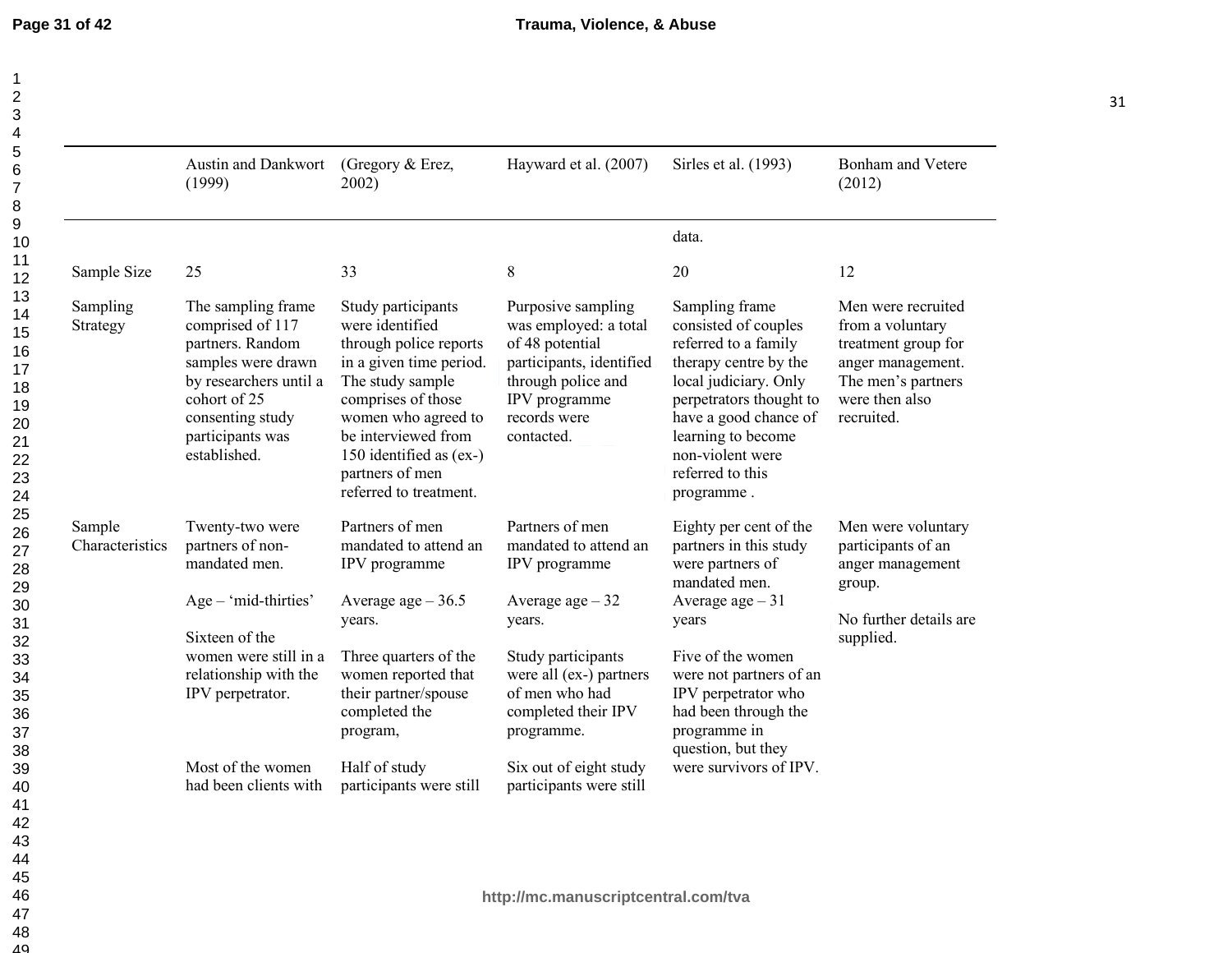**http://mc.manuscriptcentral.com/tva**

|                           | Austin and Dankwort<br>(1999)                                                                                                                                                                                        | (Gregory & Erez,<br>2002)                                                                                                                                                                                                                                  | Hayward et al. (2007)                                                                                                                                                                                                                                  | Sirles et al. (1993)                                                                                                                                                                                                                                                                | <b>Bonham and Vetere</b><br>(2012)                                                                                                       |
|---------------------------|----------------------------------------------------------------------------------------------------------------------------------------------------------------------------------------------------------------------|------------------------------------------------------------------------------------------------------------------------------------------------------------------------------------------------------------------------------------------------------------|--------------------------------------------------------------------------------------------------------------------------------------------------------------------------------------------------------------------------------------------------------|-------------------------------------------------------------------------------------------------------------------------------------------------------------------------------------------------------------------------------------------------------------------------------------|------------------------------------------------------------------------------------------------------------------------------------------|
|                           |                                                                                                                                                                                                                      |                                                                                                                                                                                                                                                            |                                                                                                                                                                                                                                                        | data.                                                                                                                                                                                                                                                                               |                                                                                                                                          |
| Sample Size               | 25                                                                                                                                                                                                                   | 33                                                                                                                                                                                                                                                         | 8                                                                                                                                                                                                                                                      | 20                                                                                                                                                                                                                                                                                  | 12                                                                                                                                       |
| Sampling<br>Strategy      | The sampling frame<br>comprised of 117<br>partners. Random<br>samples were drawn<br>by researchers until a<br>cohort of 25<br>consenting study<br>participants was<br>established.                                   | Study participants<br>were identified<br>through police reports<br>in a given time period.<br>The study sample<br>comprises of those<br>women who agreed to<br>be interviewed from<br>150 identified as (ex-)<br>partners of men<br>referred to treatment. | Purposive sampling<br>was employed: a total<br>of 48 potential<br>participants, identified<br>through police and<br>IPV programme<br>records were<br>contacted.                                                                                        | Sampling frame<br>consisted of couples<br>referred to a family<br>therapy centre by the<br>local judiciary. Only<br>perpetrators thought to<br>have a good chance of<br>learning to become<br>non-violent were<br>referred to this<br>programme.                                    | Men were recruited<br>from a voluntary<br>treatment group for<br>anger management.<br>The men's partners<br>were then also<br>recruited. |
| Sample<br>Characteristics | Twenty-two were<br>partners of non-<br>mandated men.<br>$Age - 'mid-thirties'$<br>Sixteen of the<br>women were still in a<br>relationship with the<br>IPV perpetrator.<br>Most of the women<br>had been clients with | Partners of men<br>mandated to attend an<br>IPV programme<br>Average age $-36.5$<br>years.<br>Three quarters of the<br>women reported that<br>their partner/spouse<br>completed the<br>program,<br>Half of study<br>participants were still                | Partners of men<br>mandated to attend an<br>IPV programme<br>Average $age - 32$<br>years.<br>Study participants<br>were all (ex-) partners<br>of men who had<br>completed their IPV<br>programme.<br>Six out of eight study<br>participants were still | Eighty per cent of the<br>partners in this study<br>were partners of<br>mandated men.<br>Average $age - 31$<br>years<br>Five of the women<br>were not partners of an<br>IPV perpetrator who<br>had been through the<br>programme in<br>question, but they<br>were survivors of IPV. | Men were voluntary<br>participants of an<br>anger management<br>group.<br>No further details are<br>supplied.                            |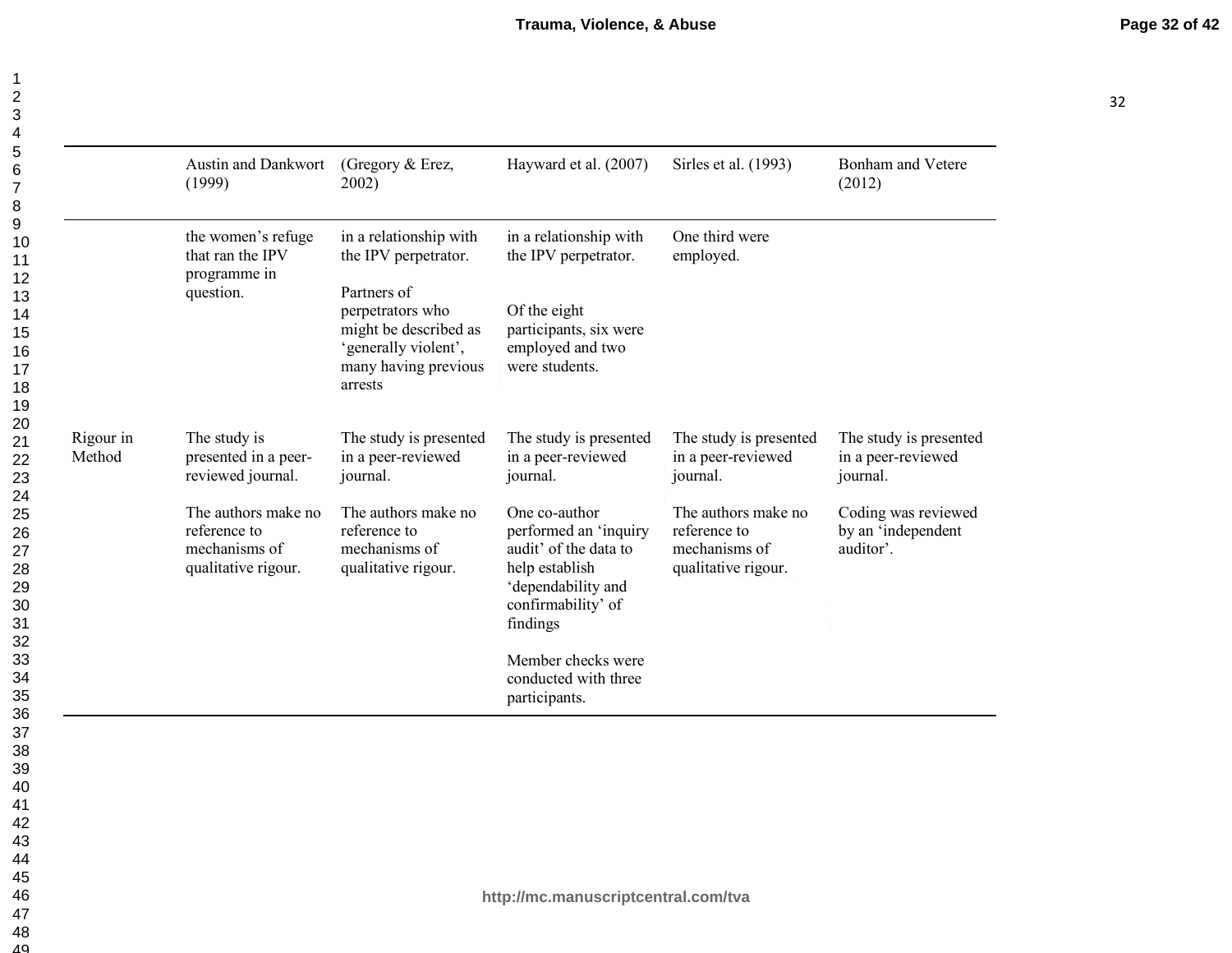|                     | Austin and Dankwort<br>(1999)                                               | (Gregory & Erez,<br>2002)                                                                                                                                             | Hayward et al. (2007)                                                                                                                     | Sirles et al. (1993)                                                        | Bonham and Vetere<br>(2012)                              |
|---------------------|-----------------------------------------------------------------------------|-----------------------------------------------------------------------------------------------------------------------------------------------------------------------|-------------------------------------------------------------------------------------------------------------------------------------------|-----------------------------------------------------------------------------|----------------------------------------------------------|
|                     | the women's refuge<br>that ran the IPV<br>programme in<br>question.         | in a relationship with<br>the IPV perpetrator.<br>Partners of<br>perpetrators who<br>might be described as<br>'generally violent',<br>many having previous<br>arrests | in a relationship with<br>the IPV perpetrator.<br>Of the eight<br>participants, six were<br>employed and two<br>were students.            | One third were<br>employed.                                                 |                                                          |
| Rigour in<br>Method | The study is<br>presented in a peer-<br>reviewed journal.                   | The study is presented<br>in a peer-reviewed<br>journal.                                                                                                              | The study is presented<br>in a peer-reviewed<br>journal.                                                                                  | The study is presented<br>in a peer-reviewed<br>journal.                    | The study is presented<br>in a peer-reviewed<br>journal. |
|                     | The authors make no<br>reference to<br>mechanisms of<br>qualitative rigour. | The authors make no<br>reference to<br>mechanisms of<br>qualitative rigour.                                                                                           | One co-author<br>performed an 'inquiry<br>audit' of the data to<br>help establish<br>'dependability and<br>confirmability' of<br>findings | The authors make no<br>reference to<br>mechanisms of<br>qualitative rigour. | Coding was reviewed<br>by an 'independent<br>auditor'.   |
|                     |                                                                             |                                                                                                                                                                       | Member checks were<br>conducted with three<br>participants.                                                                               |                                                                             |                                                          |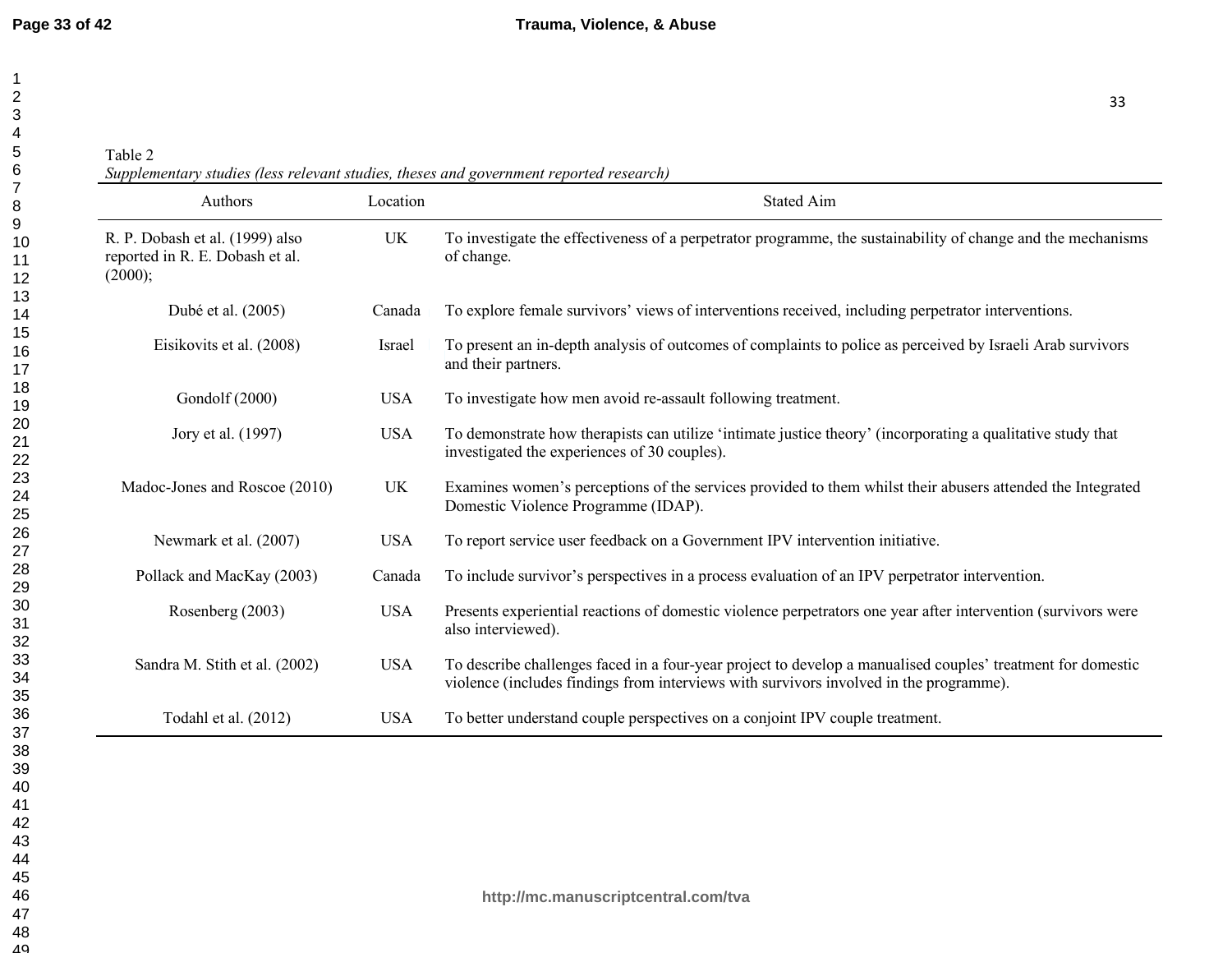| Table 2                                                                                |
|----------------------------------------------------------------------------------------|
| Supplementary studies (less relevant studies, theses and government reported research) |

| Authors                                                                       | Location   | <b>Stated Aim</b>                                                                                                                                                                                     |
|-------------------------------------------------------------------------------|------------|-------------------------------------------------------------------------------------------------------------------------------------------------------------------------------------------------------|
| R. P. Dobash et al. (1999) also<br>reported in R. E. Dobash et al.<br>(2000); | <b>UK</b>  | To investigate the effectiveness of a perpetrator programme, the sustainability of change and the mechanisms<br>of change.                                                                            |
| Dubé et al. (2005)                                                            | Canada     | To explore female survivors' views of interventions received, including perpetrator interventions.                                                                                                    |
| Eisikovits et al. (2008)                                                      | Israel     | To present an in-depth analysis of outcomes of complaints to police as perceived by Israeli Arab survivors<br>and their partners.                                                                     |
| Gondolf (2000)                                                                | <b>USA</b> | To investigate how men avoid re-assault following treatment.                                                                                                                                          |
| Jory et al. (1997)                                                            | <b>USA</b> | To demonstrate how therapists can utilize 'intimate justice theory' (incorporating a qualitative study that<br>investigated the experiences of 30 couples).                                           |
| Madoc-Jones and Roscoe (2010)                                                 | UK         | Examines women's perceptions of the services provided to them whilst their abusers attended the Integrated<br>Domestic Violence Programme (IDAP).                                                     |
| Newmark et al. (2007)                                                         | <b>USA</b> | To report service user feedback on a Government IPV intervention initiative.                                                                                                                          |
| Pollack and MacKay (2003)                                                     | Canada     | To include survivor's perspectives in a process evaluation of an IPV perpetrator intervention.                                                                                                        |
| Rosenberg (2003)                                                              | <b>USA</b> | Presents experiential reactions of domestic violence perpetrators one year after intervention (survivors were<br>also interviewed).                                                                   |
| Sandra M. Stith et al. (2002)                                                 | <b>USA</b> | To describe challenges faced in a four-year project to develop a manualised couples' treatment for domestic<br>violence (includes findings from interviews with survivors involved in the programme). |
| Todahl et al. (2012)                                                          | <b>USA</b> | To better understand couple perspectives on a conjoint IPV couple treatment.                                                                                                                          |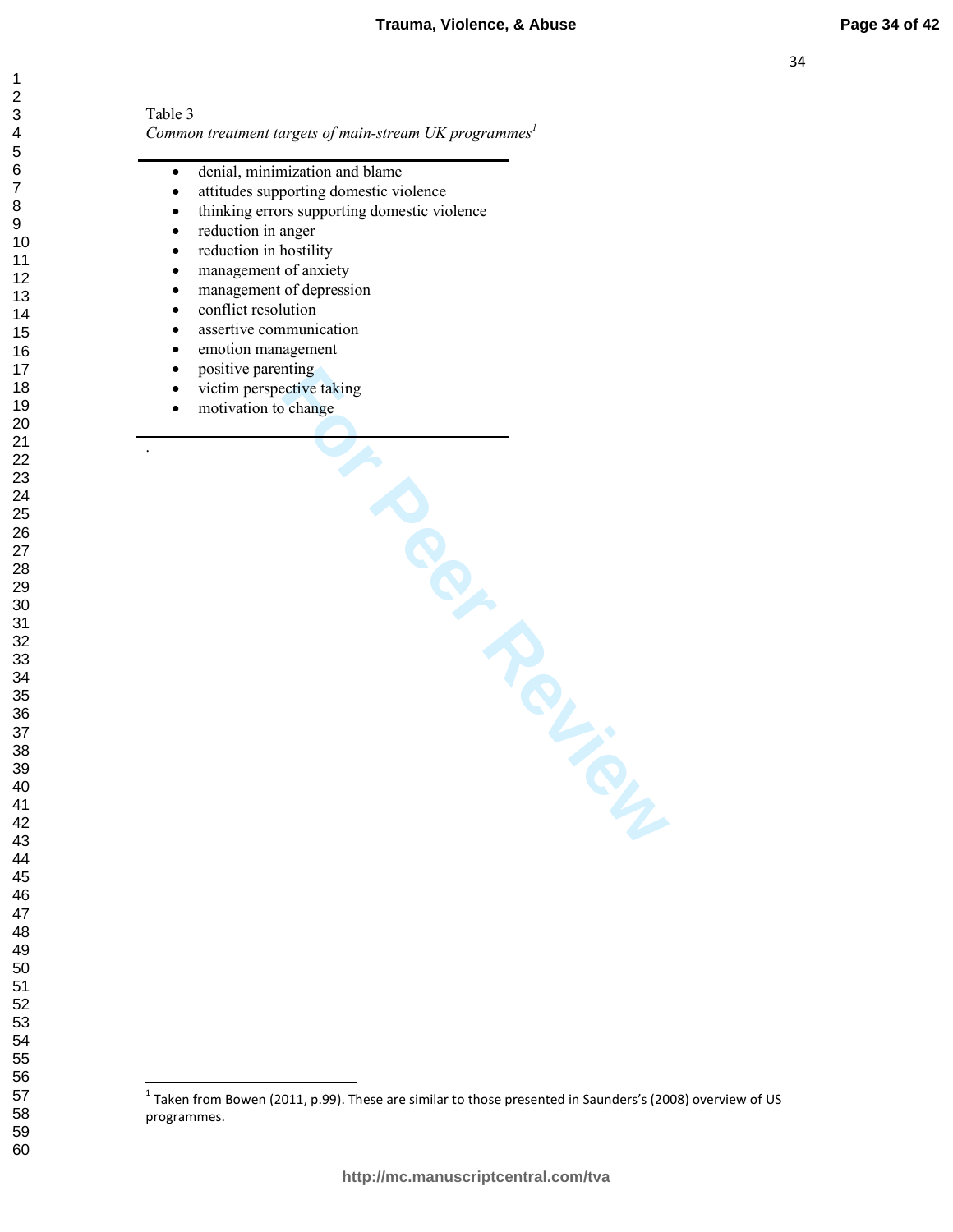## **Trauma, Violence, & Abuse**

Table 3 *Common treatment targets of main-stream UK programmes 1*

- 
- 
- denial, minimization and blame<br>
 attitudes supporting domestic violence<br>
 thinking errors supporting domestic violence<br>
 reduction in anger<br>
 reduction in hostility<br>
 management of anxiety<br>
 management of depressio
- 
- 
- 
- 
- 
- 
- 
- 

.

l,

- positive parenting<br>victim perspective taking<br>motivation to change<br>**For Perspective density**
- 

<sup>1</sup> Taken from Bowen (2011, p.99). These are similar to those presented in Saunders's (2008) overview of US programmes.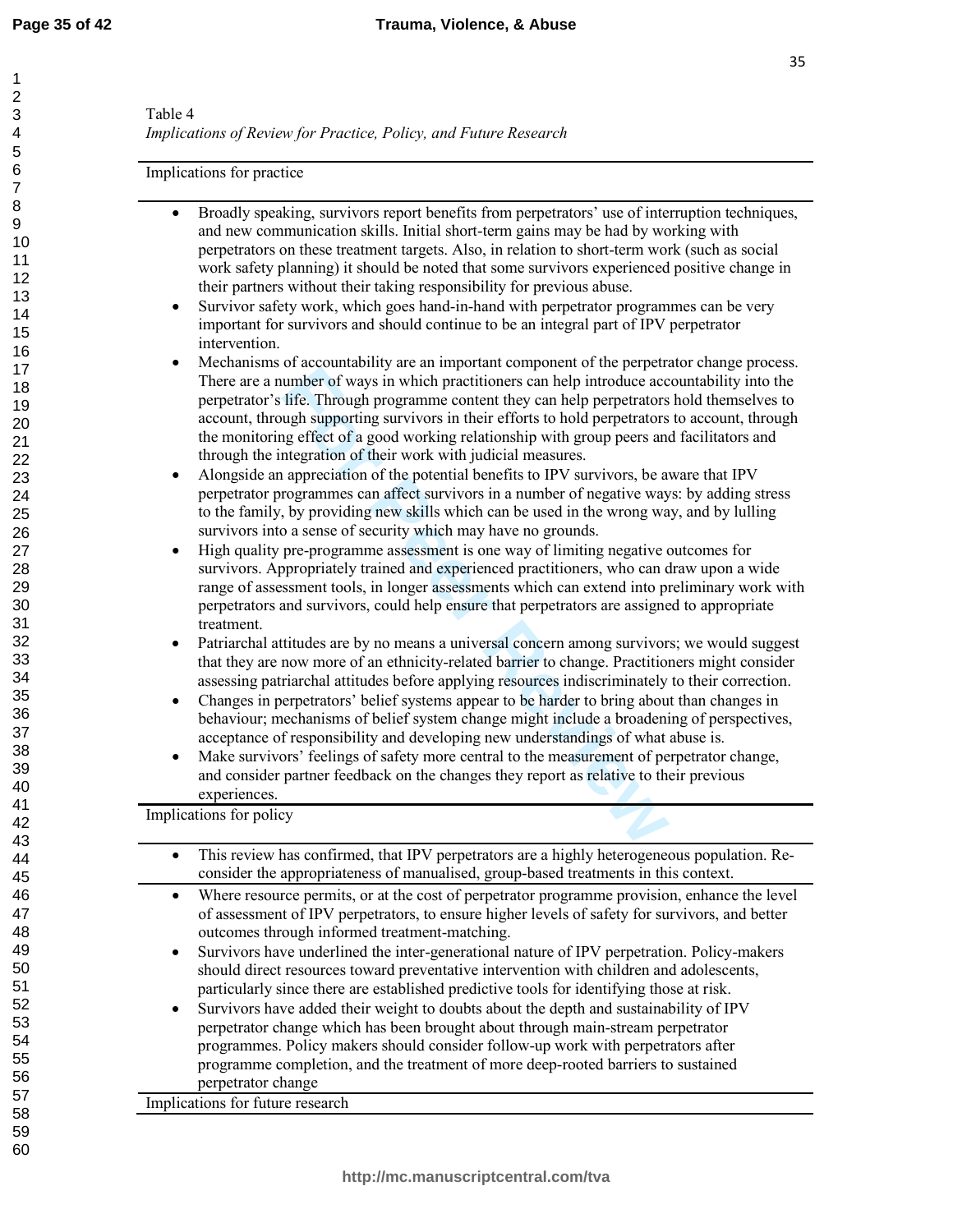$\mathbf 1$  $\overline{2}$ 3  $\overline{\mathbf{4}}$ 5 6  $\overline{7}$ 8 9

| Table 4                                                          |  |
|------------------------------------------------------------------|--|
| Implications of Review for Practice, Policy, and Future Research |  |

Implications for practice

| Broadly speaking, survivors report benefits from perpetrators' use of interruption techniques,<br>and new communication skills. Initial short-term gains may be had by working with<br>perpetrators on these treatment targets. Also, in relation to short-term work (such as social<br>work safety planning) it should be noted that some survivors experienced positive change in<br>their partners without their taking responsibility for previous abuse.<br>Survivor safety work, which goes hand-in-hand with perpetrator programmes can be very<br>important for survivors and should continue to be an integral part of IPV perpetrator<br>intervention.<br>Mechanisms of accountability are an important component of the perpetrator change process.<br>$\bullet$<br>There are a number of ways in which practitioners can help introduce accountability into the<br>perpetrator's life. Through programme content they can help perpetrators hold themselves to<br>account, through supporting survivors in their efforts to hold perpetrators to account, through<br>the monitoring effect of a good working relationship with group peers and facilitators and<br>through the integration of their work with judicial measures.<br>Alongside an appreciation of the potential benefits to IPV survivors, be aware that IPV<br>$\bullet$<br>perpetrator programmes can affect survivors in a number of negative ways: by adding stress<br>to the family, by providing new skills which can be used in the wrong way, and by lulling<br>survivors into a sense of security which may have no grounds.<br>High quality pre-programme assessment is one way of limiting negative outcomes for<br>$\bullet$<br>survivors. Appropriately trained and experienced practitioners, who can draw upon a wide<br>range of assessment tools, in longer assessments which can extend into preliminary work with<br>perpetrators and survivors, could help ensure that perpetrators are assigned to appropriate<br>treatment.<br>Patriarchal attitudes are by no means a universal concern among survivors; we would suggest<br>$\bullet$<br>that they are now more of an ethnicity-related barrier to change. Practitioners might consider<br>assessing patriarchal attitudes before applying resources indiscriminately to their correction.<br>Changes in perpetrators' belief systems appear to be harder to bring about than changes in<br>$\bullet$<br>behaviour; mechanisms of belief system change might include a broadening of perspectives,<br>acceptance of responsibility and developing new understandings of what abuse is.<br>Make survivors' feelings of safety more central to the measurement of perpetrator change,<br>$\bullet$<br>and consider partner feedback on the changes they report as relative to their previous<br>experiences.<br>Implications for policy<br>This review has confirmed, that IPV perpetrators are a highly heterogeneous population. Re-<br>$\bullet$<br>consider the appropriateness of manualised, group-based treatments in this context.<br>Where resource permits, or at the cost of perpetrator programme provision, enhance the level<br>of assessment of IPV perpetrators, to ensure higher levels of safety for survivors, and better<br>outcomes through informed treatment-matching.<br>Survivors have underlined the inter-generational nature of IPV perpetration. Policy-makers<br>$\bullet$<br>should direct resources toward preventative intervention with children and adolescents,<br>particularly since there are established predictive tools for identifying those at risk.<br>Survivors have added their weight to doubts about the depth and sustainability of IPV<br>٠<br>perpetrator change which has been brought about through main-stream perpetrator<br>programmes. Policy makers should consider follow-up work with perpetrators after<br>programme completion, and the treatment of more deep-rooted barriers to sustained<br>perpetrator change<br>Implications for future research |  |
|----------------------------------------------------------------------------------------------------------------------------------------------------------------------------------------------------------------------------------------------------------------------------------------------------------------------------------------------------------------------------------------------------------------------------------------------------------------------------------------------------------------------------------------------------------------------------------------------------------------------------------------------------------------------------------------------------------------------------------------------------------------------------------------------------------------------------------------------------------------------------------------------------------------------------------------------------------------------------------------------------------------------------------------------------------------------------------------------------------------------------------------------------------------------------------------------------------------------------------------------------------------------------------------------------------------------------------------------------------------------------------------------------------------------------------------------------------------------------------------------------------------------------------------------------------------------------------------------------------------------------------------------------------------------------------------------------------------------------------------------------------------------------------------------------------------------------------------------------------------------------------------------------------------------------------------------------------------------------------------------------------------------------------------------------------------------------------------------------------------------------------------------------------------------------------------------------------------------------------------------------------------------------------------------------------------------------------------------------------------------------------------------------------------------------------------------------------------------------------------------------------------------------------------------------------------------------------------------------------------------------------------------------------------------------------------------------------------------------------------------------------------------------------------------------------------------------------------------------------------------------------------------------------------------------------------------------------------------------------------------------------------------------------------------------------------------------------------------------------------------------------------------------------------------------------------------------------------------------------------------------------------------------------------------------------------------------------------------------------------------------------------------------------------------------------------------------------------------------------------------------------------------------------------------------------------------------------------------------------------------------------------------------------------------------------------------------------------------------------------------------------------------------------------------------------------------------------------------------------------------------------------------------------------------------------------------------------------------------------------------------------------------------------------------------------------------|--|
|                                                                                                                                                                                                                                                                                                                                                                                                                                                                                                                                                                                                                                                                                                                                                                                                                                                                                                                                                                                                                                                                                                                                                                                                                                                                                                                                                                                                                                                                                                                                                                                                                                                                                                                                                                                                                                                                                                                                                                                                                                                                                                                                                                                                                                                                                                                                                                                                                                                                                                                                                                                                                                                                                                                                                                                                                                                                                                                                                                                                                                                                                                                                                                                                                                                                                                                                                                                                                                                                                                                                                                                                                                                                                                                                                                                                                                                                                                                                                                                                                                                                      |  |
|                                                                                                                                                                                                                                                                                                                                                                                                                                                                                                                                                                                                                                                                                                                                                                                                                                                                                                                                                                                                                                                                                                                                                                                                                                                                                                                                                                                                                                                                                                                                                                                                                                                                                                                                                                                                                                                                                                                                                                                                                                                                                                                                                                                                                                                                                                                                                                                                                                                                                                                                                                                                                                                                                                                                                                                                                                                                                                                                                                                                                                                                                                                                                                                                                                                                                                                                                                                                                                                                                                                                                                                                                                                                                                                                                                                                                                                                                                                                                                                                                                                                      |  |
|                                                                                                                                                                                                                                                                                                                                                                                                                                                                                                                                                                                                                                                                                                                                                                                                                                                                                                                                                                                                                                                                                                                                                                                                                                                                                                                                                                                                                                                                                                                                                                                                                                                                                                                                                                                                                                                                                                                                                                                                                                                                                                                                                                                                                                                                                                                                                                                                                                                                                                                                                                                                                                                                                                                                                                                                                                                                                                                                                                                                                                                                                                                                                                                                                                                                                                                                                                                                                                                                                                                                                                                                                                                                                                                                                                                                                                                                                                                                                                                                                                                                      |  |
|                                                                                                                                                                                                                                                                                                                                                                                                                                                                                                                                                                                                                                                                                                                                                                                                                                                                                                                                                                                                                                                                                                                                                                                                                                                                                                                                                                                                                                                                                                                                                                                                                                                                                                                                                                                                                                                                                                                                                                                                                                                                                                                                                                                                                                                                                                                                                                                                                                                                                                                                                                                                                                                                                                                                                                                                                                                                                                                                                                                                                                                                                                                                                                                                                                                                                                                                                                                                                                                                                                                                                                                                                                                                                                                                                                                                                                                                                                                                                                                                                                                                      |  |
|                                                                                                                                                                                                                                                                                                                                                                                                                                                                                                                                                                                                                                                                                                                                                                                                                                                                                                                                                                                                                                                                                                                                                                                                                                                                                                                                                                                                                                                                                                                                                                                                                                                                                                                                                                                                                                                                                                                                                                                                                                                                                                                                                                                                                                                                                                                                                                                                                                                                                                                                                                                                                                                                                                                                                                                                                                                                                                                                                                                                                                                                                                                                                                                                                                                                                                                                                                                                                                                                                                                                                                                                                                                                                                                                                                                                                                                                                                                                                                                                                                                                      |  |
|                                                                                                                                                                                                                                                                                                                                                                                                                                                                                                                                                                                                                                                                                                                                                                                                                                                                                                                                                                                                                                                                                                                                                                                                                                                                                                                                                                                                                                                                                                                                                                                                                                                                                                                                                                                                                                                                                                                                                                                                                                                                                                                                                                                                                                                                                                                                                                                                                                                                                                                                                                                                                                                                                                                                                                                                                                                                                                                                                                                                                                                                                                                                                                                                                                                                                                                                                                                                                                                                                                                                                                                                                                                                                                                                                                                                                                                                                                                                                                                                                                                                      |  |
|                                                                                                                                                                                                                                                                                                                                                                                                                                                                                                                                                                                                                                                                                                                                                                                                                                                                                                                                                                                                                                                                                                                                                                                                                                                                                                                                                                                                                                                                                                                                                                                                                                                                                                                                                                                                                                                                                                                                                                                                                                                                                                                                                                                                                                                                                                                                                                                                                                                                                                                                                                                                                                                                                                                                                                                                                                                                                                                                                                                                                                                                                                                                                                                                                                                                                                                                                                                                                                                                                                                                                                                                                                                                                                                                                                                                                                                                                                                                                                                                                                                                      |  |
|                                                                                                                                                                                                                                                                                                                                                                                                                                                                                                                                                                                                                                                                                                                                                                                                                                                                                                                                                                                                                                                                                                                                                                                                                                                                                                                                                                                                                                                                                                                                                                                                                                                                                                                                                                                                                                                                                                                                                                                                                                                                                                                                                                                                                                                                                                                                                                                                                                                                                                                                                                                                                                                                                                                                                                                                                                                                                                                                                                                                                                                                                                                                                                                                                                                                                                                                                                                                                                                                                                                                                                                                                                                                                                                                                                                                                                                                                                                                                                                                                                                                      |  |
|                                                                                                                                                                                                                                                                                                                                                                                                                                                                                                                                                                                                                                                                                                                                                                                                                                                                                                                                                                                                                                                                                                                                                                                                                                                                                                                                                                                                                                                                                                                                                                                                                                                                                                                                                                                                                                                                                                                                                                                                                                                                                                                                                                                                                                                                                                                                                                                                                                                                                                                                                                                                                                                                                                                                                                                                                                                                                                                                                                                                                                                                                                                                                                                                                                                                                                                                                                                                                                                                                                                                                                                                                                                                                                                                                                                                                                                                                                                                                                                                                                                                      |  |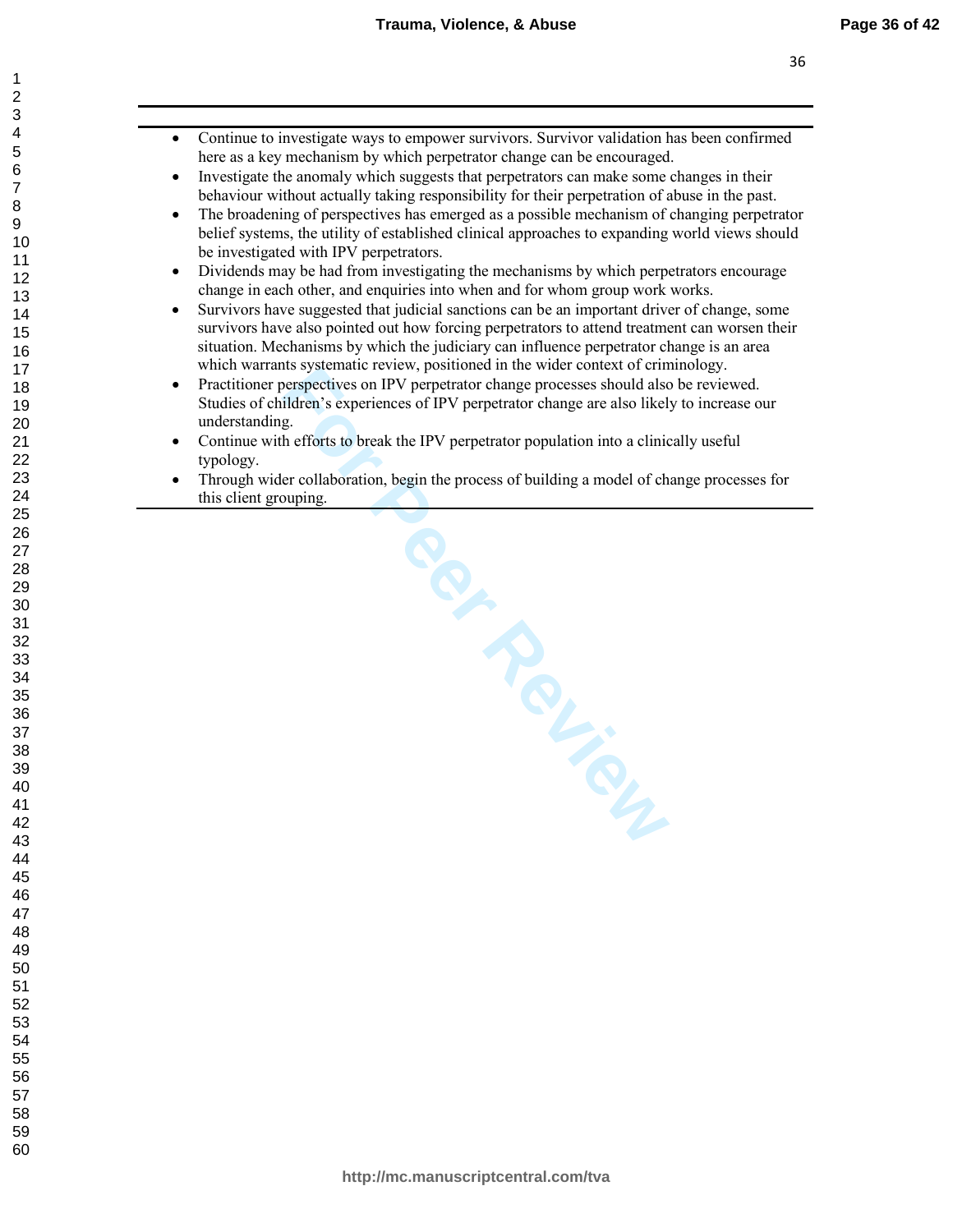- Continue to investigate ways to empower survivors. Survivor validation has been confirmed here as a key mechanism by which perpetrator change can be encouraged.
- Investigate the anomaly which suggests that perpetrators can make some changes in their behaviour without actually taking responsibility for their perpetration of abuse in the past.
- The broadening of perspectives has emerged as a possible mechanism of changing perpetrator belief systems, the utility of established clinical approaches to expanding world views should be investigated with IPV perpetrators.
- Dividends may be had from investigating the mechanisms by which perpetrators encourage change in each other, and enquiries into when and for whom group work works.
- Survivors have suggested that judicial sanctions can be an important driver of change, some survivors have also pointed out how forcing perpetrators to attend treatment can worsen their situation. Mechanisms by which the judiciary can influence perpetrator change is an area which warrants systematic review, positioned in the wider context of criminology.
- Practitioner perspectives on IPV perpetrator change processes should also be reviewed. Studies of children's experiences of IPV perpetrator change are also likely to increase our understanding.
- Continue with efforts to break the IPV perpetrator population into a clinically useful typology.
- Through wider collaboration, begin the process of building a model of change processes for this client grouping.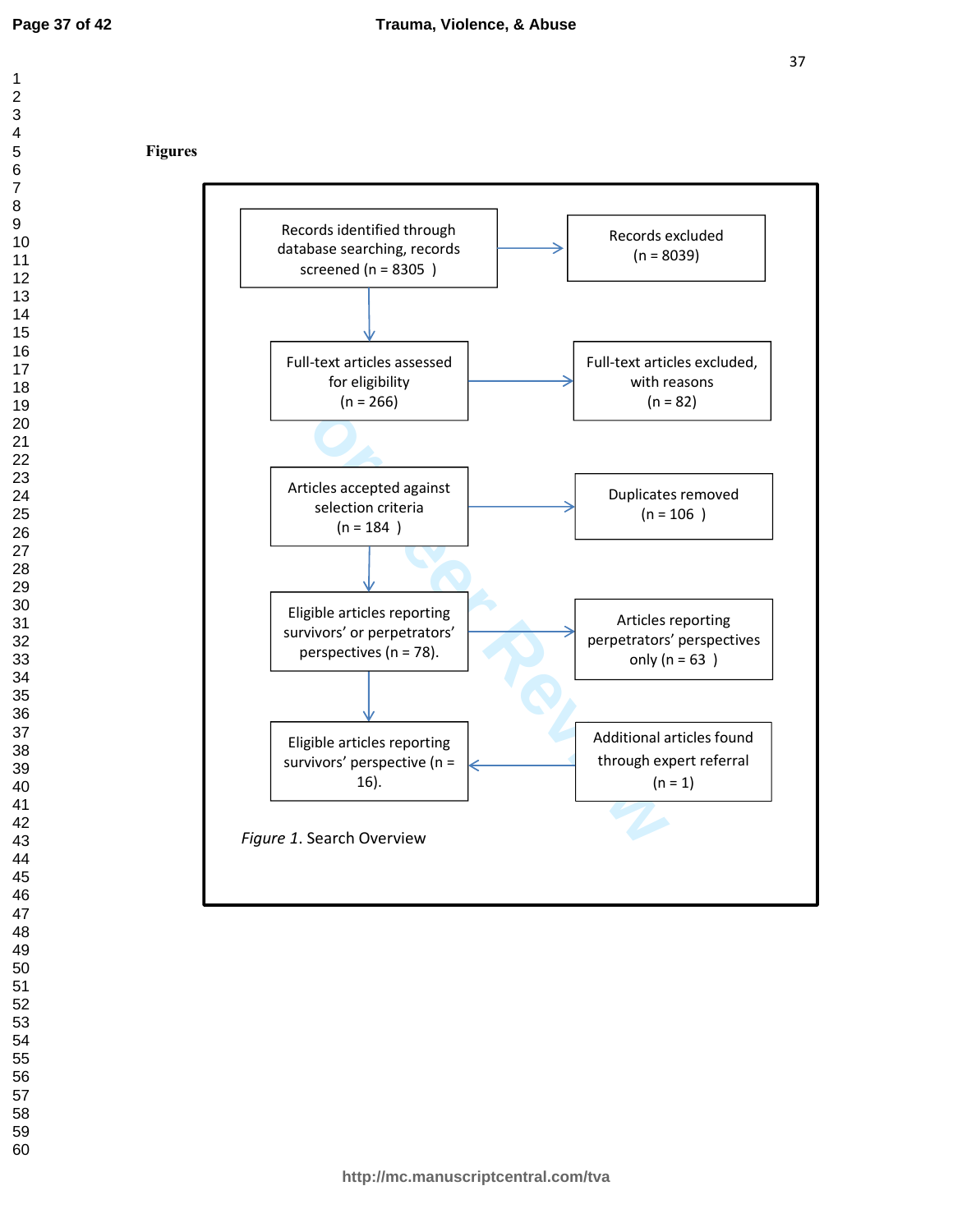**Figures** 

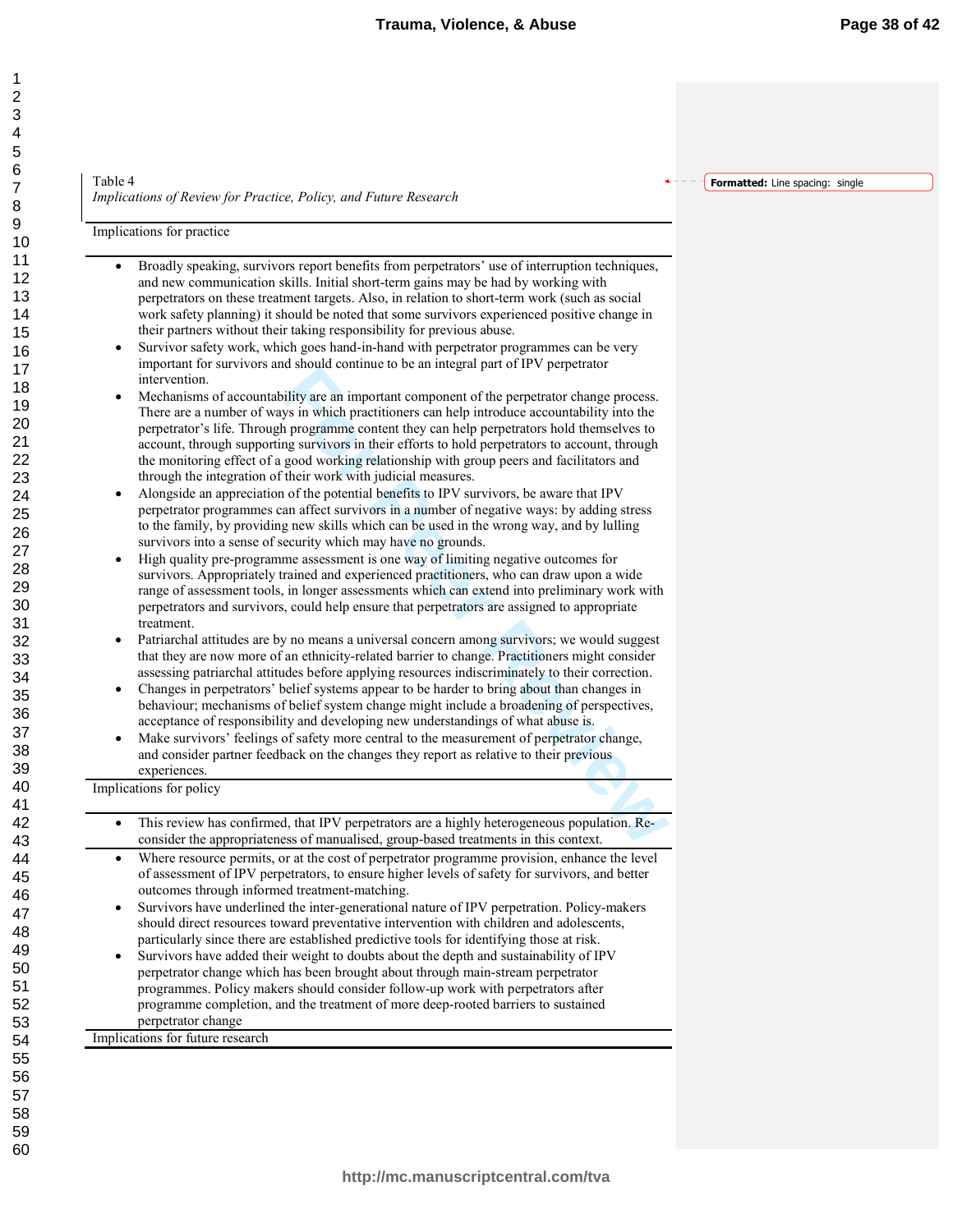|           | Implications for practice                                                                                                                                                                                                                                                                                                                                                                                                                                                                                                                                                                                                                                                                                                                                                                                                                                                                                                                                                                                                                                                                                                                                                                                                                                                                                                                                                                                                                                                                                                                                                                                                                                                                                                                                                                                                                                                                                                                                                                                                                                                                                                                                                                                                                                                                                                                                                                                                                                                                                                                                                                                                                                                                                                                                                       |
|-----------|---------------------------------------------------------------------------------------------------------------------------------------------------------------------------------------------------------------------------------------------------------------------------------------------------------------------------------------------------------------------------------------------------------------------------------------------------------------------------------------------------------------------------------------------------------------------------------------------------------------------------------------------------------------------------------------------------------------------------------------------------------------------------------------------------------------------------------------------------------------------------------------------------------------------------------------------------------------------------------------------------------------------------------------------------------------------------------------------------------------------------------------------------------------------------------------------------------------------------------------------------------------------------------------------------------------------------------------------------------------------------------------------------------------------------------------------------------------------------------------------------------------------------------------------------------------------------------------------------------------------------------------------------------------------------------------------------------------------------------------------------------------------------------------------------------------------------------------------------------------------------------------------------------------------------------------------------------------------------------------------------------------------------------------------------------------------------------------------------------------------------------------------------------------------------------------------------------------------------------------------------------------------------------------------------------------------------------------------------------------------------------------------------------------------------------------------------------------------------------------------------------------------------------------------------------------------------------------------------------------------------------------------------------------------------------------------------------------------------------------------------------------------------------|
| $\bullet$ | Broadly speaking, survivors report benefits from perpetrators' use of interruption techniques,<br>and new communication skills. Initial short-term gains may be had by working with<br>perpetrators on these treatment targets. Also, in relation to short-term work (such as social<br>work safety planning) it should be noted that some survivors experienced positive change in<br>their partners without their taking responsibility for previous abuse.<br>Survivor safety work, which goes hand-in-hand with perpetrator programmes can be very<br>important for survivors and should continue to be an integral part of IPV perpetrator<br>intervention.<br>Mechanisms of accountability are an important component of the perpetrator change process.<br>There are a number of ways in which practitioners can help introduce accountability into the<br>perpetrator's life. Through programme content they can help perpetrators hold themselves to<br>account, through supporting survivors in their efforts to hold perpetrators to account, through<br>the monitoring effect of a good working relationship with group peers and facilitators and<br>through the integration of their work with judicial measures.<br>Alongside an appreciation of the potential benefits to IPV survivors, be aware that IPV<br>perpetrator programmes can affect survivors in a number of negative ways: by adding stress<br>to the family, by providing new skills which can be used in the wrong way, and by lulling<br>survivors into a sense of security which may have no grounds.<br>High quality pre-programme assessment is one way of limiting negative outcomes for<br>survivors. Appropriately trained and experienced practitioners, who can draw upon a wide<br>range of assessment tools, in longer assessments which can extend into preliminary work with<br>perpetrators and survivors, could help ensure that perpetrators are assigned to appropriate<br>treatment.<br>Patriarchal attitudes are by no means a universal concern among survivors; we would suggest<br>that they are now more of an ethnicity-related barrier to change. Practitioners might consider<br>assessing patriarchal attitudes before applying resources indiscriminately to their correction.<br>Changes in perpetrators' belief systems appear to be harder to bring about than changes in<br>behaviour; mechanisms of belief system change might include a broadening of perspectives,<br>acceptance of responsibility and developing new understandings of what abuse is.<br>Make survivors' feelings of safety more central to the measurement of perpetrator change,<br>and consider partner feedback on the changes they report as relative to their previous<br>experiences. |
|           | Implications for policy                                                                                                                                                                                                                                                                                                                                                                                                                                                                                                                                                                                                                                                                                                                                                                                                                                                                                                                                                                                                                                                                                                                                                                                                                                                                                                                                                                                                                                                                                                                                                                                                                                                                                                                                                                                                                                                                                                                                                                                                                                                                                                                                                                                                                                                                                                                                                                                                                                                                                                                                                                                                                                                                                                                                                         |
|           | This review has confirmed, that IPV perpetrators are a highly heterogeneous population. Re-<br>consider the appropriateness of manualised, group-based treatments in this context.                                                                                                                                                                                                                                                                                                                                                                                                                                                                                                                                                                                                                                                                                                                                                                                                                                                                                                                                                                                                                                                                                                                                                                                                                                                                                                                                                                                                                                                                                                                                                                                                                                                                                                                                                                                                                                                                                                                                                                                                                                                                                                                                                                                                                                                                                                                                                                                                                                                                                                                                                                                              |
|           | Where resource permits, or at the cost of perpetrator programme provision, enhance the level<br>of assessment of IPV perpetrators, to ensure higher levels of safety for survivors, and better<br>outcomes through informed treatment-matching.<br>Survivors have underlined the inter-generational nature of IPV perpetration. Policy-makers<br>should direct resources toward preventative intervention with children and adolescents,<br>particularly since there are established predictive tools for identifying those at risk.<br>Survivors have added their weight to doubts about the depth and sustainability of IPV<br>perpetrator change which has been brought about through main-stream perpetrator<br>programmes. Policy makers should consider follow-up work with perpetrators after<br>programme completion, and the treatment of more deep-rooted barriers to sustained<br>perpetrator change                                                                                                                                                                                                                                                                                                                                                                                                                                                                                                                                                                                                                                                                                                                                                                                                                                                                                                                                                                                                                                                                                                                                                                                                                                                                                                                                                                                                                                                                                                                                                                                                                                                                                                                                                                                                                                                                 |
|           | Implications for future research                                                                                                                                                                                                                                                                                                                                                                                                                                                                                                                                                                                                                                                                                                                                                                                                                                                                                                                                                                                                                                                                                                                                                                                                                                                                                                                                                                                                                                                                                                                                                                                                                                                                                                                                                                                                                                                                                                                                                                                                                                                                                                                                                                                                                                                                                                                                                                                                                                                                                                                                                                                                                                                                                                                                                |

**Formatted:** Line spacing: single

123456789

 $\mathbf 1$  $\overline{2}$  $\overline{3}$  $\overline{\mathbf{4}}$ 5  $\,6$  $\overline{7}$  $\bf8$  $\boldsymbol{9}$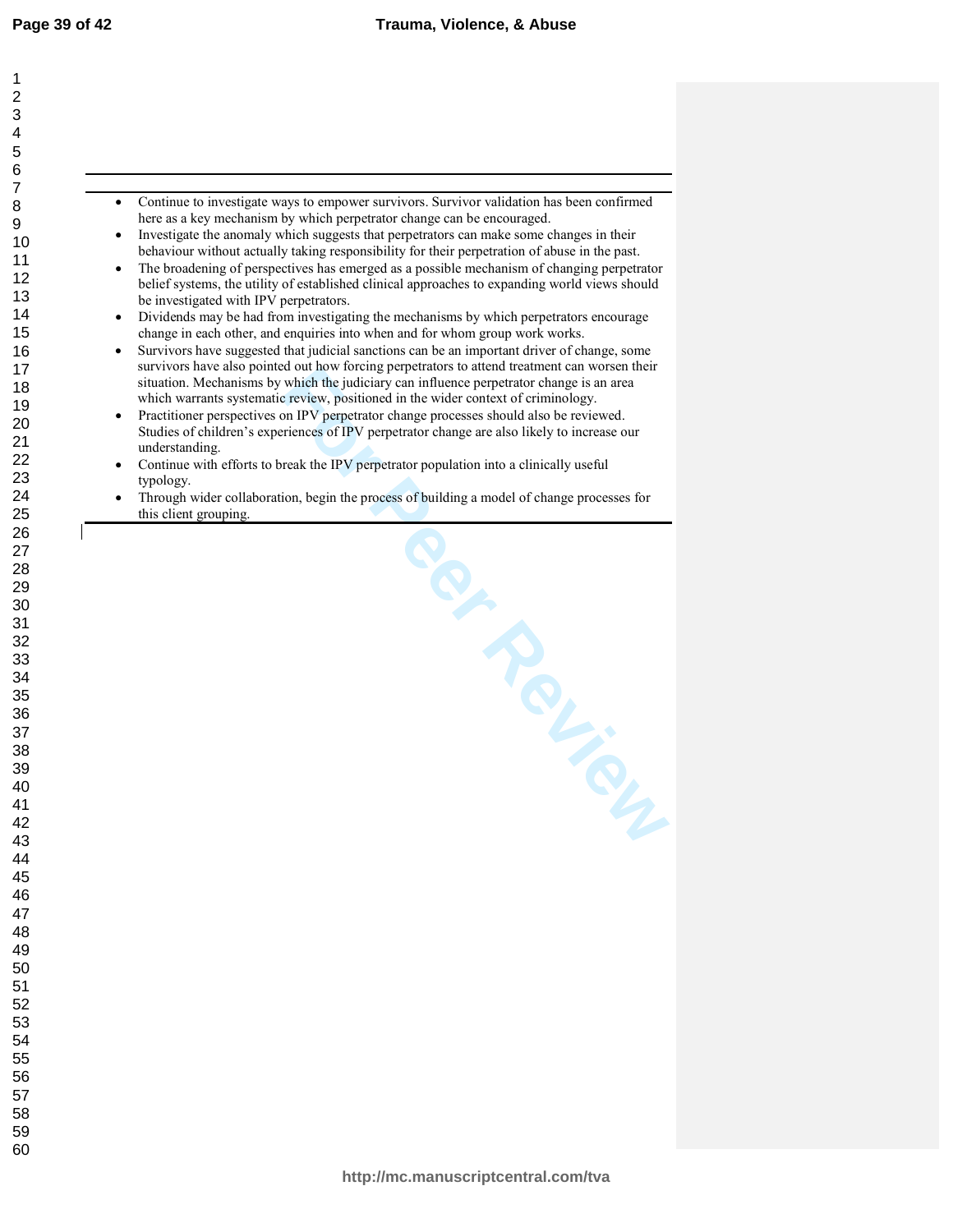$\mathbf{1}$  $\overline{2}$ 

- Continue to investigate ways to empower survivors. Survivor validation has been confirmed here as a key mechanism by which perpetrator change can be encouraged.
- Investigate the anomaly which suggests that perpetrators can make some changes in their behaviour without actually taking responsibility for their perpetration of abuse in the past.
- The broadening of perspectives has emerged as a possible mechanism of changing perpetrator belief systems, the utility of established clinical approaches to expanding world views should be investigated with IPV perpetrators.
- Dividends may be had from investigating the mechanisms by which perpetrators encourage change in each other, and enquiries into when and for whom group work works.
- Survivors have suggested that judicial sanctions can be an important driver of change, some survivors have also pointed out how forcing perpetrators to attend treatment can worsen their situation. Mechanisms by which the judiciary can influence perpetrator change is an area which warrants systematic review, positioned in the wider context of criminology.
- Practitioner perspectives on IPV perpetrator change processes should also be reviewed. Studies of children's experiences of IPV perpetrator change are also likely to increase our understanding.
- Continue with efforts to break the IPV perpetrator population into a clinically useful typology.
- Through wider collaboration, begin the process of building a model of change processes for this client grouping.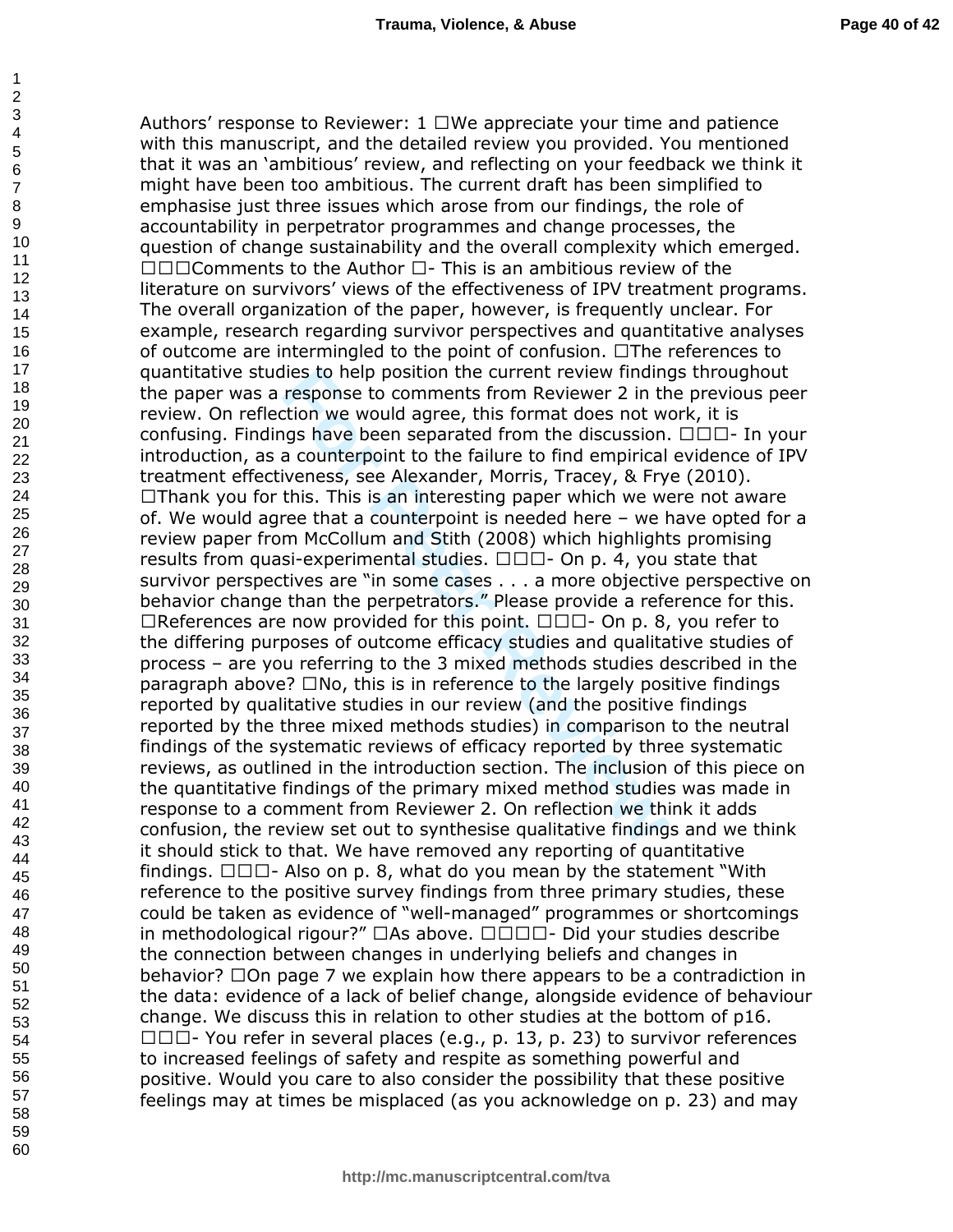Authors' response to Reviewer: 1 We appreciate your time and patience with this manuscript, and the detailed review you provided. You mentioned that it was an 'ambitious' review, and reflecting on your feedback we think it might have been too ambitious. The current draft has been simplified to emphasise just three issues which arose from our findings, the role of accountability in perpetrator programmes and change processes, the question of change sustainability and the overall complexity which emerged.

123456789

Comments to the Author - This is an ambitious review of the literature on survivors' views of the effectiveness of IPV treatment programs. The overall organization of the paper, however, is frequently unclear. For example, research regarding survivor perspectives and quantitative analyses of outcome are intermingled to the point of confusion. The references to quantitative studies to help position the current review findings throughout the paper was a response to comments from Reviewer 2 in the previous peer review. On reflection we would agree, this format does not work, it is confusing. Findings have been separated from the discussion. - In your introduction, as a counterpoint to the failure to find empirical evidence of IPV treatment effectiveness, see Alexander, Morris, Tracey, & Frye (2010).

Thank you for this. This is an interesting paper which we were not aware of. We would agree that a counterpoint is needed here – we have opted for a review paper from McCollum and Stith (2008) which highlights promising results from quasi-experimental studies.  $\blacksquare$  - On p. 4, you state that survivor perspectives are "in some cases . . . a more objective perspective on behavior change than the perpetrators." Please provide a reference for this.

lies to help position the current review finding<br>response to comments from Reviewer 2 in th<br>tion we would agree, this format does not we<br>as counterpoint to the failure to find empirical<br>a counterpoint to the failure of ind References are now provided for this point.  $\blacksquare$  - On p. 8, you refer to the differing purposes of outcome efficacy studies and qualitative studies of process – are you referring to the 3 mixed methods studies described in the paragraph above? No, this is in reference to the largely positive findings reported by qualitative studies in our review (and the positive findings reported by the three mixed methods studies) in comparison to the neutral findings of the systematic reviews of efficacy reported by three systematic reviews, as outlined in the introduction section. The inclusion of this piece on the quantitative findings of the primary mixed method studies was made in response to a comment from Reviewer 2. On reflection we think it adds confusion, the review set out to synthesise qualitative findings and we think it should stick to that. We have removed any reporting of quantitative findings.  $\blacksquare$  - Also on p. 8, what do you mean by the statement "With reference to the positive survey findings from three primary studies, these could be taken as evidence of "well-managed" programmes or shortcomings in methodological rigour?" As above. - - Did your studies describe the connection between changes in underlying beliefs and changes in behavior? On page 7 we explain how there appears to be a contradiction in the data: evidence of a lack of belief change, alongside evidence of behaviour change. We discuss this in relation to other studies at the bottom of p16.

- You refer in several places (e.g., p. 13, p. 23) to survivor references to increased feelings of safety and respite as something powerful and positive. Would you care to also consider the possibility that these positive feelings may at times be misplaced (as you acknowledge on p. 23) and may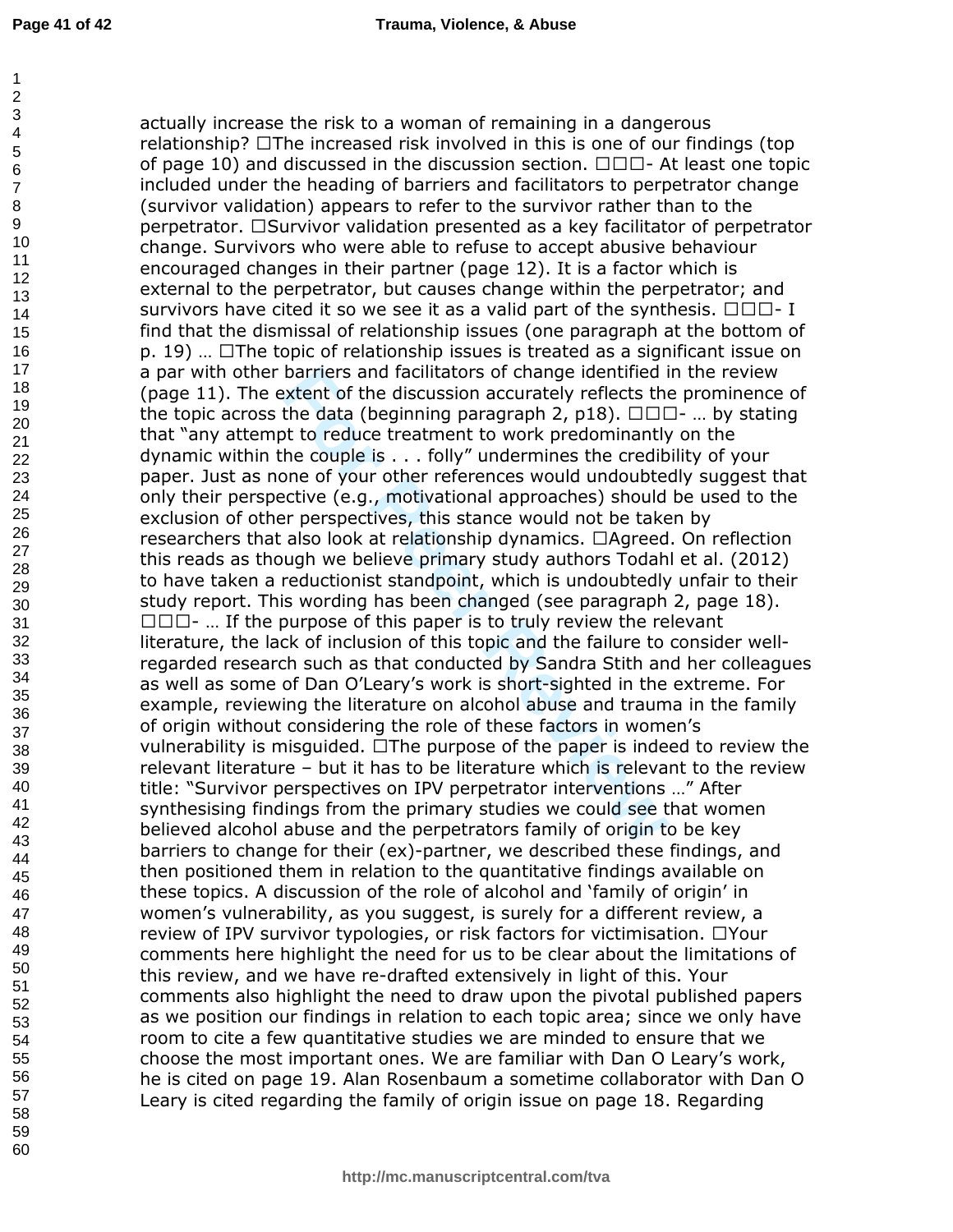barriers and facilitators of change identified in<br>
textent of the discussion accurately reflects the<br>
the data (beginning paragraph 2, p18).<br>
to to reduce treatment to work predominantly<br>
he cuple is . . . folly "undermine actually increase the risk to a woman of remaining in a dangerous relationship? The increased risk involved in this is one of our findings (top of page 10) and discussed in the discussion section. The At least one topic included under the heading of barriers and facilitators to perpetrator change (survivor validation) appears to refer to the survivor rather than to the perpetrator. Survivor validation presented as a key facilitator of perpetrator change. Survivors who were able to refuse to accept abusive behaviour encouraged changes in their partner (page 12). It is a factor which is external to the perpetrator, but causes change within the perpetrator; and survivors have cited it so we see it as a valid part of the synthesis.  $\blacksquare$  - I find that the dismissal of relationship issues (one paragraph at the bottom of p. 19) … The topic of relationship issues is treated as a significant issue on a par with other barriers and facilitators of change identified in the review (page 11). The extent of the discussion accurately reflects the prominence of the topic across the data (beginning paragraph 2,  $p18$ ).  $\qquad \qquad$  - ... by stating that "any attempt to reduce treatment to work predominantly on the dynamic within the couple is . . . folly" undermines the credibility of your paper. Just as none of your other references would undoubtedly suggest that only their perspective (e.g., motivational approaches) should be used to the exclusion of other perspectives, this stance would not be taken by researchers that also look at relationship dynamics. Agreed. On reflection this reads as though we believe primary study authors Todahl et al. (2012) to have taken a reductionist standpoint, which is undoubtedly unfair to their study report. This wording has been changed (see paragraph 2, page 18).

- … If the purpose of this paper is to truly review the relevant literature, the lack of inclusion of this topic and the failure to consider wellregarded research such as that conducted by Sandra Stith and her colleagues as well as some of Dan O'Leary's work is short-sighted in the extreme. For example, reviewing the literature on alcohol abuse and trauma in the family of origin without considering the role of these factors in women's vulnerability is misguided. The purpose of the paper is indeed to review the relevant literature – but it has to be literature which is relevant to the review title: "Survivor perspectives on IPV perpetrator interventions …" After synthesising findings from the primary studies we could see that women believed alcohol abuse and the perpetrators family of origin to be key barriers to change for their (ex)-partner, we described these findings, and then positioned them in relation to the quantitative findings available on these topics. A discussion of the role of alcohol and 'family of origin' in women's vulnerability, as you suggest, is surely for a different review, a review of IPV survivor typologies, or risk factors for victimisation. Your comments here highlight the need for us to be clear about the limitations of this review, and we have re-drafted extensively in light of this. Your comments also highlight the need to draw upon the pivotal published papers as we position our findings in relation to each topic area; since we only have room to cite a few quantitative studies we are minded to ensure that we choose the most important ones. We are familiar with Dan O Leary's work, he is cited on page 19. Alan Rosenbaum a sometime collaborator with Dan O Leary is cited regarding the family of origin issue on page 18. Regarding